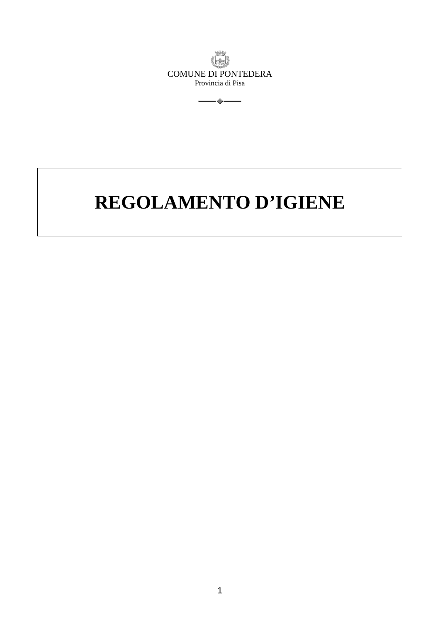<span id="page-0-0"></span>

 $\overbrace{\hspace{4.5cm}}$ 

# **REGOLAMENTO D'IGIENE**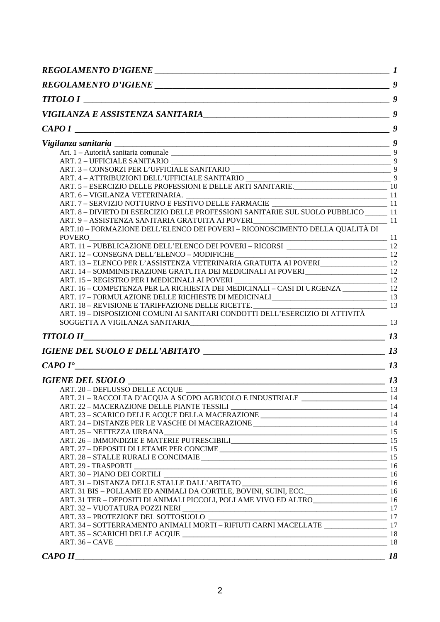| . The contract of the contract of the contract of $\mathcal{G}$<br><b>TITOLO I</b>                                                                                                           |    |
|----------------------------------------------------------------------------------------------------------------------------------------------------------------------------------------------|----|
|                                                                                                                                                                                              |    |
| $\overline{\phantom{a}}$ , and the contract of the contract of the contract of the contract of $\overline{\phantom{a}}$ , $\overline{\phantom{a}}$<br>CAPOI                                  |    |
| Vigilanza sanitaria $\frac{9}{\text{Art. 1 - Autorit\AA}}$ sanitaria comunale $\frac{9}{9}$                                                                                                  |    |
|                                                                                                                                                                                              |    |
|                                                                                                                                                                                              |    |
|                                                                                                                                                                                              |    |
|                                                                                                                                                                                              |    |
|                                                                                                                                                                                              |    |
|                                                                                                                                                                                              |    |
| ART. 8 - DIVIETO DI ESERCIZIO DELLE PROFESSIONI SANITARIE SUL SUOLO PUBBLICO ______ 11                                                                                                       |    |
| ART. 9 - ASSISTENZA SANITARIA GRATUITA AI POVERI<br>11                                                                                                                                       |    |
| ART.10 – FORMAZIONE DELL'ELENCO DEI POVERI – RICONOSCIMENTO DELLA QUALITÀ DI                                                                                                                 |    |
| <b>POVERO</b><br>$\overline{\phantom{a}}$ 11                                                                                                                                                 |    |
|                                                                                                                                                                                              |    |
| ART. 13 – ELENCO PER L'ASSISTENZA VETERINARIA GRATUITA AI POVERI                                                                                                                             |    |
|                                                                                                                                                                                              |    |
| ART. 14 - SOMMINISTRAZIONE GRATUITA DEI MEDICINALI AI POVERI _________________________ 12                                                                                                    |    |
| ART. 16 - COMPETENZA PER LA RICHIESTA DEI MEDICINALI - CASI DI URGENZA ___________ 12                                                                                                        |    |
|                                                                                                                                                                                              |    |
| ART. 17 – FORMULAZIONE DELLE RICHIESTE DI MEDICINALI<br>ART. 18 – REVISIONE E TARIFFAZIONE DELLE RICETTE.<br>ART. 19 – DISPOSIZIONI COMUNI AI SANITARI CONDOTTI DELL'ESERCIZIO DI ATTIVITÀ   |    |
|                                                                                                                                                                                              |    |
|                                                                                                                                                                                              |    |
| $TITOLO II$ $13$                                                                                                                                                                             |    |
|                                                                                                                                                                                              |    |
|                                                                                                                                                                                              |    |
| $CAPOI^{\bullet}$ 13                                                                                                                                                                         |    |
|                                                                                                                                                                                              |    |
|                                                                                                                                                                                              |    |
| ART. 21 - RACCOLTA D'ACQUA A SCOPO AGRICOLO E INDUSTRIALE                                                                                                                                    |    |
|                                                                                                                                                                                              |    |
|                                                                                                                                                                                              |    |
|                                                                                                                                                                                              |    |
| ART. 26 – IMMONDIZIE E MATERIE PUTRESCIBILI<br>15                                                                                                                                            |    |
|                                                                                                                                                                                              |    |
|                                                                                                                                                                                              |    |
|                                                                                                                                                                                              |    |
|                                                                                                                                                                                              |    |
| ART. 31 – DISTANZA DELLE STALLE DALL'ABITATO<br>ART. 31 BIS – POLLAME ED ANIMALI DA CORTILE, BOVINI, SUINI, ECC. 16                                                                          |    |
|                                                                                                                                                                                              |    |
| ART. 31 TER - DEPOSITI DI ANIMALI PICCOLI, POLLAME VIVO ED ALTRO<br>16                                                                                                                       |    |
|                                                                                                                                                                                              |    |
| $\begin{tabular}{l} ART.33 - PROTEZIONE DEL SOTTOSUOLO \\ \hline ART.34 - SOTTERRAMENTO ANIMALI MORTI - RIFIUTI CARNI MACELLATE \end{tabular} \begin{tabular}{l} 17 \\ \hline \end{tabular}$ |    |
|                                                                                                                                                                                              |    |
|                                                                                                                                                                                              |    |
|                                                                                                                                                                                              |    |
| CAPOII<br><u> 1989 - Jan James James James James James James James James James James James James James James James James J</u>                                                               | 18 |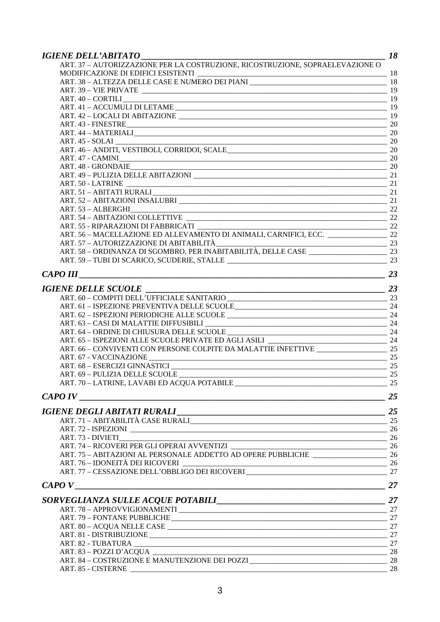| <b>IGIENE DELL'ABITATO</b>                                                                                                                 |    |
|--------------------------------------------------------------------------------------------------------------------------------------------|----|
| ART. 37 - AUTORIZZAZIONE PER LA COSTRUZIONE, RICOSTRUZIONE, SOPRAELEVAZIONE O                                                              |    |
| MODIFICAZIONE DI EDIFICI ESISTENTI                                                                                                         |    |
| $\frac{\text{MODIFICAZIONE DI EDIFICI ESISTENTI}}{\text{ART. } 38 - \text{ALTEZZA DELLE CASE E NUMERO DEI PLANI}} \frac{18}{\text{ADIT.}}$ |    |
|                                                                                                                                            |    |
| ART. 40 – CORTILI                                                                                                                          |    |
|                                                                                                                                            |    |
|                                                                                                                                            |    |
| ART. 43 - FINESTRE 20                                                                                                                      |    |
|                                                                                                                                            |    |
|                                                                                                                                            |    |
| ART. 45 - SOLAI 20<br>ART. 46 - ANDITI, VESTIBOLI, CORRIDOI, SCALE 20<br>20                                                                |    |
|                                                                                                                                            |    |
|                                                                                                                                            |    |
|                                                                                                                                            |    |
|                                                                                                                                            |    |
| ART. 51 - ABITATI RURALI 21                                                                                                                |    |
|                                                                                                                                            |    |
|                                                                                                                                            |    |
| ART. 54 - ABITAZIONI COLLETTIVE                                                                                                            |    |
| ART. 55 - RIPARAZIONI DI FABBRICATI                                                                                                        |    |
| $\frac{1}{100 \cdot 555}$                                                                                                                  |    |
|                                                                                                                                            |    |
|                                                                                                                                            |    |
|                                                                                                                                            |    |
|                                                                                                                                            |    |
| <b>CAPO III</b>                                                                                                                            | 23 |
|                                                                                                                                            |    |
|                                                                                                                                            |    |
|                                                                                                                                            |    |
|                                                                                                                                            |    |
|                                                                                                                                            |    |
|                                                                                                                                            |    |
|                                                                                                                                            |    |
|                                                                                                                                            |    |
|                                                                                                                                            |    |
|                                                                                                                                            |    |
|                                                                                                                                            |    |
|                                                                                                                                            |    |
|                                                                                                                                            |    |
|                                                                                                                                            |    |
| CAPO <sub>IV</sub>                                                                                                                         |    |
|                                                                                                                                            |    |
|                                                                                                                                            |    |
|                                                                                                                                            |    |
|                                                                                                                                            |    |
| ART. 73 - DIVIETI                                                                                                                          |    |
| ART. 74 – RICOVERI PER GLI OPERAI AVVENTIZI<br>ART. 75 – ABITAZIONI AL PERSONALE ADDETTO AD OPERE PUBBLICHE                                |    |
|                                                                                                                                            |    |
| ART. 76 – IDONEITÀ DEI RICOVERI<br>ART. 77 – CESSAZIONE DELL'OBBLIGO DEI RICOVERI<br>27                                                    |    |
|                                                                                                                                            |    |
| CAPOV                                                                                                                                      | 27 |
|                                                                                                                                            |    |
|                                                                                                                                            |    |
|                                                                                                                                            |    |
|                                                                                                                                            |    |
|                                                                                                                                            |    |
|                                                                                                                                            |    |
|                                                                                                                                            |    |
|                                                                                                                                            |    |
| ART. 84 – COSTRUZIONE E MANUTENZIONE DEI POZZI                                                                                             |    |
|                                                                                                                                            | 28 |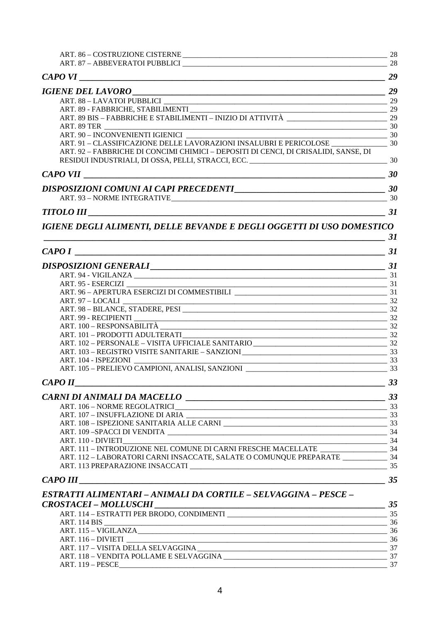| $\begin{tabular}{l} ART. 89 - FABBRICHE, STABILIMENTI & \begin{tabular}{l} \multicolumn{2}{c}{} \multicolumn{2}{c}{} \multicolumn{2}{c}{} \multicolumn{2}{c}{} \multicolumn{2}{c}{} \multicolumn{2}{c}{} \multicolumn{2}{c}{} \multicolumn{2}{c}{} \multicolumn{2}{c}{} \multicolumn{2}{c}{} \multicolumn{2}{c}{} \multicolumn{2}{c}{} \multicolumn{2}{c}{} \multicolumn{2}{c}{} \multicolumn{2}{c}{} \multicolumn{2}{c}{} \multicolumn{2}{c}{} \multicolumn{2}{c}{} \multicolumn{2$ |                |
|--------------------------------------------------------------------------------------------------------------------------------------------------------------------------------------------------------------------------------------------------------------------------------------------------------------------------------------------------------------------------------------------------------------------------------------------------------------------------------------|----------------|
|                                                                                                                                                                                                                                                                                                                                                                                                                                                                                      |                |
| ART. 90 - INCONVENIENTI IGIENICI                                                                                                                                                                                                                                                                                                                                                                                                                                                     |                |
|                                                                                                                                                                                                                                                                                                                                                                                                                                                                                      |                |
| ART. 92 - FABBRICHE DI CONCIMI CHIMICI - DEPOSITI DI CENCI, DI CRISALIDI, SANSE, DI                                                                                                                                                                                                                                                                                                                                                                                                  |                |
|                                                                                                                                                                                                                                                                                                                                                                                                                                                                                      |                |
| DISPOSIZIONI COMUNI AI CAPI PRECEDENTI<br>20                                                                                                                                                                                                                                                                                                                                                                                                                                         |                |
|                                                                                                                                                                                                                                                                                                                                                                                                                                                                                      |                |
| $TITOLO III$ $\qquad \qquad \qquad \qquad$ 31                                                                                                                                                                                                                                                                                                                                                                                                                                        |                |
| IGIENE DEGLI ALIMENTI, DELLE BEVANDE E DEGLI OGGETTI DI USO DOMESTICO                                                                                                                                                                                                                                                                                                                                                                                                                |                |
| $\sim$ 31                                                                                                                                                                                                                                                                                                                                                                                                                                                                            |                |
|                                                                                                                                                                                                                                                                                                                                                                                                                                                                                      |                |
|                                                                                                                                                                                                                                                                                                                                                                                                                                                                                      |                |
|                                                                                                                                                                                                                                                                                                                                                                                                                                                                                      |                |
|                                                                                                                                                                                                                                                                                                                                                                                                                                                                                      |                |
|                                                                                                                                                                                                                                                                                                                                                                                                                                                                                      |                |
| ART. 97 – LOCALI 232<br>ART. 98 – BILANCE, STADERE, PESI 232                                                                                                                                                                                                                                                                                                                                                                                                                         |                |
| ART. 99 - RECIPIENTI<br>ART. 100 - RESPONSABILITÀ 32                                                                                                                                                                                                                                                                                                                                                                                                                                 |                |
|                                                                                                                                                                                                                                                                                                                                                                                                                                                                                      |                |
| ART. 101 - PRODOTTI ADULTERATI<br>23                                                                                                                                                                                                                                                                                                                                                                                                                                                 |                |
|                                                                                                                                                                                                                                                                                                                                                                                                                                                                                      |                |
|                                                                                                                                                                                                                                                                                                                                                                                                                                                                                      |                |
|                                                                                                                                                                                                                                                                                                                                                                                                                                                                                      |                |
|                                                                                                                                                                                                                                                                                                                                                                                                                                                                                      |                |
| CAPOII                                                                                                                                                                                                                                                                                                                                                                                                                                                                               | $\frac{33}{2}$ |
|                                                                                                                                                                                                                                                                                                                                                                                                                                                                                      |                |
|                                                                                                                                                                                                                                                                                                                                                                                                                                                                                      |                |
|                                                                                                                                                                                                                                                                                                                                                                                                                                                                                      |                |
|                                                                                                                                                                                                                                                                                                                                                                                                                                                                                      |                |
|                                                                                                                                                                                                                                                                                                                                                                                                                                                                                      |                |
|                                                                                                                                                                                                                                                                                                                                                                                                                                                                                      |                |
|                                                                                                                                                                                                                                                                                                                                                                                                                                                                                      |                |
| ART. 112 - LABORATORI CARNI INSACCATE, SALATE O COMUNQUE PREPARATE ______________ 34                                                                                                                                                                                                                                                                                                                                                                                                 |                |
|                                                                                                                                                                                                                                                                                                                                                                                                                                                                                      |                |
| <i>CAPO III</i>                                                                                                                                                                                                                                                                                                                                                                                                                                                                      |                |
| ESTRATTI ALIMENTARI – ANIMALI DA CORTILE – SELVAGGINA – PESCE –                                                                                                                                                                                                                                                                                                                                                                                                                      |                |
|                                                                                                                                                                                                                                                                                                                                                                                                                                                                                      |                |
|                                                                                                                                                                                                                                                                                                                                                                                                                                                                                      |                |
|                                                                                                                                                                                                                                                                                                                                                                                                                                                                                      |                |
|                                                                                                                                                                                                                                                                                                                                                                                                                                                                                      |                |
|                                                                                                                                                                                                                                                                                                                                                                                                                                                                                      |                |
|                                                                                                                                                                                                                                                                                                                                                                                                                                                                                      |                |
|                                                                                                                                                                                                                                                                                                                                                                                                                                                                                      | 37             |
|                                                                                                                                                                                                                                                                                                                                                                                                                                                                                      |                |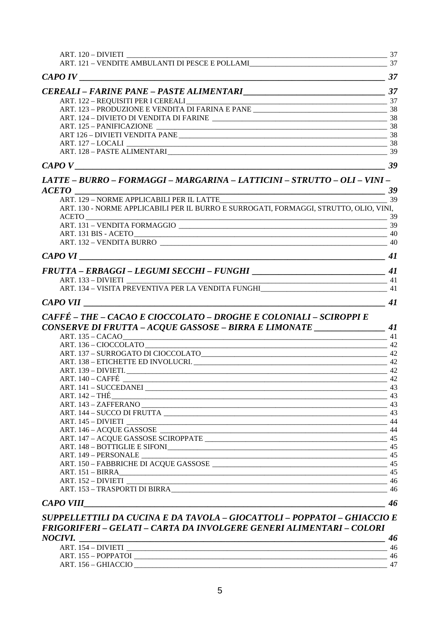| LATTE – BURRO – FORMAGGI – MARGARINA – LATTICINI – STRUTTO – OLI – VINI –<br>39<br><b>ACETO</b>      |    |
|------------------------------------------------------------------------------------------------------|----|
| ART. 129 - NORME APPLICABILI PER IL LATTE                                                            | 39 |
| ART. 130 - NORME APPLICABILI PER IL BURRO E SURROGATI, FORMAGGI, STRUTTO, OLIO, VINI,<br>39<br>ACETO |    |
|                                                                                                      |    |
| <u>2006 - Parameter Schwarzen, amerikan produktor (h. 1888).</u><br>ART. 131 BIS - ACETO             |    |
|                                                                                                      |    |
|                                                                                                      | 41 |
|                                                                                                      |    |
|                                                                                                      |    |
| ART. 134 – VISITA PREVENTIVA PER LA VENDITA FUNGHI                                                   |    |
|                                                                                                      |    |
| CAFFÉ - THE - CACAO E CIOCCOLATO - DROGHE E COLONIALI - SCIROPPI E                                   |    |
| CONSERVE DI FRUTTA - ACQUE GASSOSE - BIRRA E LIMONATE ___________________________ 41                 |    |
| <b>ART. 135 – CACAO</b>                                                                              |    |
|                                                                                                      |    |
|                                                                                                      |    |
|                                                                                                      |    |
|                                                                                                      |    |
| ART. 140 – CAFFÉ<br>$\overline{a}$ 42                                                                |    |
|                                                                                                      |    |
|                                                                                                      |    |
|                                                                                                      |    |
|                                                                                                      |    |
| ART. 145 – DIVIETI                                                                                   |    |
|                                                                                                      |    |
|                                                                                                      |    |
|                                                                                                      |    |
| 45<br>ART. 149 - PERSONALE                                                                           |    |
|                                                                                                      |    |
|                                                                                                      |    |
|                                                                                                      |    |
|                                                                                                      |    |
|                                                                                                      |    |
|                                                                                                      |    |
| <b>CAPO VIII</b><br>SUPPELLETTILI DA CUCINA E DA TAVOLA - GIOCATTOLI - POPPATOI - GHIACCIO E         | 46 |

# NOCIVI.

| CIVI                |  |
|---------------------|--|
| ART. 154 – DIVIETI  |  |
| ART. 155 – POPPATOI |  |
| ART. 156 – GHIACCIO |  |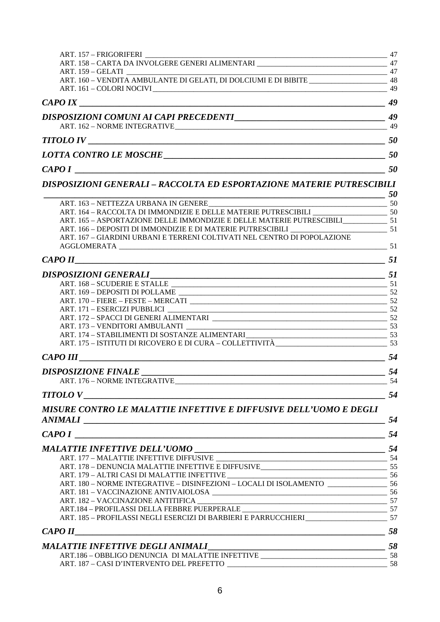| ART. 157 - FRIGORIFERI                                                                   | 47        |
|------------------------------------------------------------------------------------------|-----------|
| ART. 158 - CARTA DA INVOLGERE GENERI ALIMENTARI __________________________________ 47    |           |
|                                                                                          |           |
| ART. 160 - VENDITA AMBULANTE DI GELATI, DI DOLCIUMI E DI BIBITE _____________________ 48 |           |
|                                                                                          |           |
|                                                                                          |           |
|                                                                                          |           |
|                                                                                          |           |
|                                                                                          | <b>50</b> |
|                                                                                          | 50        |
| CAPO I                                                                                   | 50        |
| <b>DISPOSIZIONI GENERALI - RACCOLTA ED ESPORTAZIONE MATERIE PUTRESCIBILI</b>             |           |

|                                                                                                                       | <i><b>50</b></i> |
|-----------------------------------------------------------------------------------------------------------------------|------------------|
|                                                                                                                       |                  |
|                                                                                                                       |                  |
| ART. 165 - ASPORTAZIONE DELLE IMMONDIZIE E DELLE MATERIE PUTRESCIBILI 51                                              |                  |
|                                                                                                                       |                  |
| ART. 167 – GIARDINI URBANI E TERRENI COLTIVATI NEL CENTRO DI POPOLAZIONE                                              |                  |
|                                                                                                                       |                  |
| $CAPO II$ 51                                                                                                          |                  |
|                                                                                                                       |                  |
|                                                                                                                       |                  |
|                                                                                                                       |                  |
|                                                                                                                       |                  |
|                                                                                                                       |                  |
|                                                                                                                       |                  |
|                                                                                                                       |                  |
| ART. 174 – STABILIMENTI DI SOSTANZE ALIMENTARI<br>ART. 175 – ISTITUTI DI RICOVERO E DI CURA – COLLETTIVITÀ (2008) 253 |                  |
|                                                                                                                       |                  |
|                                                                                                                       |                  |
|                                                                                                                       |                  |
|                                                                                                                       |                  |
| $TITOLO$ $V$ $54$                                                                                                     |                  |
| MISURE CONTRO LE MALATTIE INFETTIVE E DIFFUSIVE DELL'UOMO E DEGLI                                                     |                  |

| ANIMALI                                                               | 54  |
|-----------------------------------------------------------------------|-----|
|                                                                       | 54  |
|                                                                       |     |
|                                                                       |     |
|                                                                       |     |
|                                                                       |     |
| ART. 180 - NORME INTEGRATIVE - DISINFEZIONI - LOCALI DI ISOLAMENTO 56 |     |
|                                                                       |     |
|                                                                       |     |
|                                                                       |     |
|                                                                       |     |
|                                                                       | 58  |
|                                                                       | 58  |
|                                                                       |     |
|                                                                       | -58 |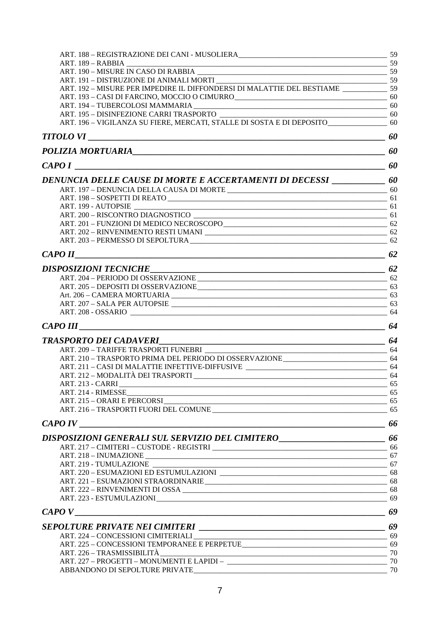| ART. 192 – MISURE PER IMPEDIRE IL DIFFONDERSI DI MALATTIE DEL BESTIAME                                                 |  |
|------------------------------------------------------------------------------------------------------------------------|--|
|                                                                                                                        |  |
| ART. 193 - CASI DI FARCINO, MOCCIO O CIMURRO<br><u> </u> 60                                                            |  |
|                                                                                                                        |  |
| ART. 195 – DISINFEZIONE CARRI TRASPORTO<br>ART. 196 – VIGILANZA SU FIERE, MERCATI, STALLE DI SOSTA E DI DEPOSITO<br>60 |  |
|                                                                                                                        |  |
| POLIZIA MORTUARIA <sub>200</sub> 00                                                                                    |  |
| $\overbrace{0}$<br>CAPOI                                                                                               |  |
| DENUNCIA DELLE CAUSE DI MORTE E ACCERTAMENTI DI DECESSI _____________ 60                                               |  |
|                                                                                                                        |  |
|                                                                                                                        |  |
|                                                                                                                        |  |
|                                                                                                                        |  |
|                                                                                                                        |  |
|                                                                                                                        |  |
|                                                                                                                        |  |
| $CAPO II$ 62                                                                                                           |  |
| DISPOSIZIONI TECNICHE                                                                                                  |  |
|                                                                                                                        |  |
| ART. 205 - DEPOSITI DI OSSERVAZIONE 63                                                                                 |  |
|                                                                                                                        |  |
|                                                                                                                        |  |
|                                                                                                                        |  |
|                                                                                                                        |  |
|                                                                                                                        |  |
|                                                                                                                        |  |
| ART. 210 - TRASPORTO PRIMA DEL PERIODO DI OSSERVAZIONE 64                                                              |  |
|                                                                                                                        |  |
|                                                                                                                        |  |
|                                                                                                                        |  |
|                                                                                                                        |  |
| ART. 215 – ORARI E PERCORSI<br>ART. 216 – TRASPORTI FUORI DEL COMUNE                                                   |  |
|                                                                                                                        |  |
| DISPOSIZIONI GENERALI SUL SERVIZIO DEL CIMITERO ________________________________ 66                                    |  |
|                                                                                                                        |  |
|                                                                                                                        |  |
|                                                                                                                        |  |
|                                                                                                                        |  |
|                                                                                                                        |  |
|                                                                                                                        |  |
|                                                                                                                        |  |
|                                                                                                                        |  |
| SEPOLTURE PRIVATE NEI CIMITERI<br>69                                                                                   |  |
|                                                                                                                        |  |
|                                                                                                                        |  |
|                                                                                                                        |  |
|                                                                                                                        |  |
|                                                                                                                        |  |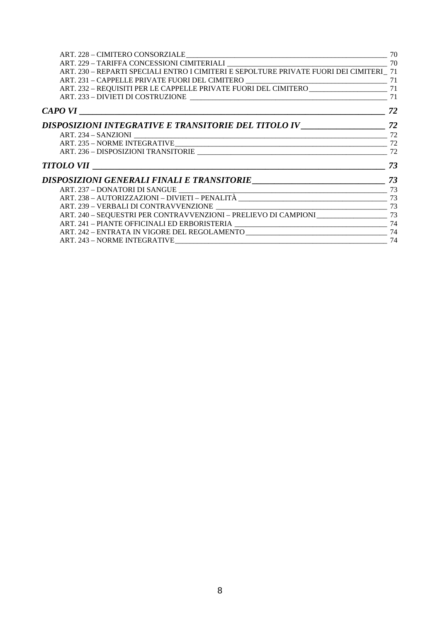| ART. 230 - REPARTI SPECIALI ENTRO I CIMITERI E SEPOLTURE PRIVATE FUORI DEI CIMITERI 71     |  |
|--------------------------------------------------------------------------------------------|--|
|                                                                                            |  |
|                                                                                            |  |
|                                                                                            |  |
|                                                                                            |  |
|                                                                                            |  |
|                                                                                            |  |
|                                                                                            |  |
|                                                                                            |  |
| $TITOLO$ VII $\_\_$ 73                                                                     |  |
|                                                                                            |  |
|                                                                                            |  |
|                                                                                            |  |
|                                                                                            |  |
| ART. 240 - SEQUESTRI PER CONTRAVVENZIONI - PRELIEVO DI CAMPIONI ________________________73 |  |
|                                                                                            |  |
|                                                                                            |  |
|                                                                                            |  |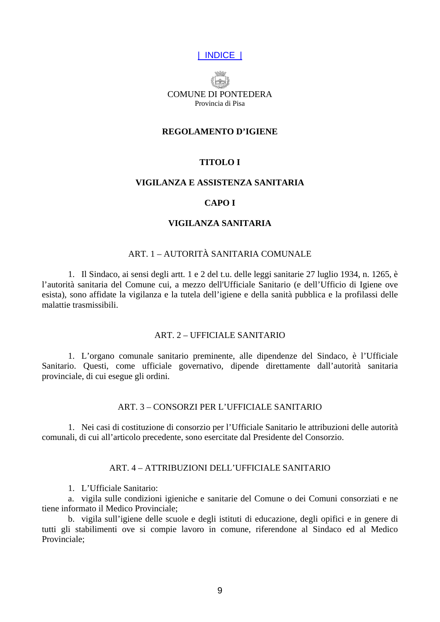# | INDICE |

<span id="page-8-0"></span>

#### **REGOLAMENTO D'IGIENE**

# **TITOLO I**

## **VIGILANZA E ASSISTENZA SANITARIA**

#### **CAPO I**

# **VIGILANZA SANITARIA**

## ART. 1 – AUTORITÀ SANITARIA COMUNALE

1. Il Sindaco, ai sensi degli artt. 1 e 2 del t.u. delle leggi sanitarie 27 luglio 1934, n. 1265, è l'autorità sanitaria del Comune cui, a mezzo dell'Ufficiale Sanitario (e dell'Ufficio di Igiene ove esista), sono affidate la vigilanza e la tutela dell'igiene e della sanità pubblica e la profilassi delle malattie trasmissibili.

## ART. 2 – UFFICIALE SANITARIO

1. L'organo comunale sanitario preminente, alle dipendenze del Sindaco, è l'Ufficiale Sanitario. Questi, come ufficiale governativo, dipende direttamente dall'autorità sanitaria provinciale, di cui esegue gli ordini.

#### ART. 3 – CONSORZI PER L'UFFICIALE SANITARIO

1. Nei casi di costituzione di consorzio per l'Ufficiale Sanitario le attribuzioni delle autorità comunali, di cui all'articolo precedente, sono esercitate dal Presidente del Consorzio.

#### ART. 4 – ATTRIBUZIONI DELL'UFFICIALE SANITARIO

1. L'Ufficiale Sanitario:

a. vigila sulle condizioni igieniche e sanitarie del Comune o dei Comuni consorziati e ne tiene informato il Medico Provinciale;

b. vigila sull'igiene delle scuole e degli istituti di educazione, degli opifici e in genere di tutti gli stabilimenti ove si compie lavoro in comune, riferendone al Sindaco ed al Medico Provinciale;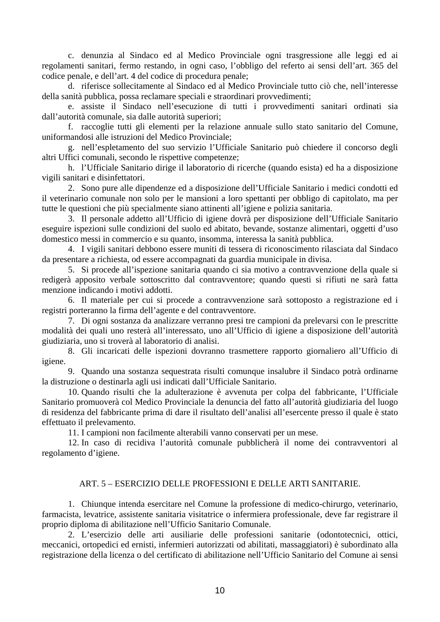<span id="page-9-0"></span>c. denunzia al Sindaco ed al Medico Provinciale ogni trasgressione alle leggi ed ai regolamenti sanitari, fermo restando, in ogni caso, l'obbligo del referto ai sensi dell'art. 365 del codice penale, e dell'art. 4 del codice di procedura penale;

d. riferisce sollecitamente al Sindaco ed al Medico Provinciale tutto ciò che, nell'interesse della sanità pubblica, possa reclamare speciali e straordinari provvedimenti;

e. assiste il Sindaco nell'esecuzione di tutti i provvedimenti sanitari ordinati sia dall'autorità comunale, sia dalle autorità superiori;

f. raccoglie tutti gli elementi per la relazione annuale sullo stato sanitario del Comune, uniformandosi alle istruzioni del Medico Provinciale;

g. nell'espletamento del suo servizio l'Ufficiale Sanitario può chiedere il concorso degli altri Uffici comunali, secondo le rispettive competenze;

h. l'Ufficiale Sanitario dirige il laboratorio di ricerche (quando esista) ed ha a disposizione vigili sanitari e disinfettatori.

2. Sono pure alle dipendenze ed a disposizione dell'Ufficiale Sanitario i medici condotti ed il veterinario comunale non solo per le mansioni a loro spettanti per obbligo di capitolato, ma per tutte le questioni che più specialmente siano attinenti all'igiene e polizia sanitaria.

3. Il personale addetto all'Ufficio di igiene dovrà per disposizione dell'Ufficiale Sanitario eseguire ispezioni sulle condizioni del suolo ed abitato, bevande, sostanze alimentari, oggetti d'uso domestico messi in commercio e su quanto, insomma, interessa la sanità pubblica.

4. I vigili sanitari debbono essere muniti di tessera di riconoscimento rilasciata dal Sindaco da presentare a richiesta, od essere accompagnati da guardia municipale in divisa.

5. Si procede all'ispezione sanitaria quando ci sia motivo a contravvenzione della quale si redigerà apposito verbale sottoscritto dal contravventore; quando questi si rifiuti ne sarà fatta menzione indicando i motivi addotti.

6. Il materiale per cui si procede a contravvenzione sarà sottoposto a registrazione ed i registri porteranno la firma dell'agente e del contravventore.

7. Di ogni sostanza da analizzare verranno presi tre campioni da prelevarsi con le prescritte modalità dei quali uno resterà all'interessato, uno all'Ufficio di igiene a disposizione dell'autorità giudiziaria, uno si troverà al laboratorio di analisi.

8. Gli incaricati delle ispezioni dovranno trasmettere rapporto giornaliero all'Ufficio di igiene.

9. Quando una sostanza sequestrata risulti comunque insalubre il Sindaco potrà ordinarne la distruzione o destinarla agli usi indicati dall'Ufficiale Sanitario.

10. Quando risulti che la adulterazione è avvenuta per colpa del fabbricante, l'Ufficiale Sanitario promuoverà col Medico Provinciale la denuncia del fatto all'autorità giudiziaria del luogo di residenza del fabbricante prima di dare il risultato dell'analisi all'esercente presso il quale è stato effettuato il prelevamento.

11. I campioni non facilmente alterabili vanno conservati per un mese.

12. In caso di recidiva l'autorità comunale pubblicherà il nome dei contravventori al regolamento d'igiene.

## ART. 5 – ESERCIZIO DELLE PROFESSIONI E DELLE ARTI SANITARIE.

1. Chiunque intenda esercitare nel Comune la professione di medico-chirurgo, veterinario, farmacista, levatrice, assistente sanitaria visitatrice o infermiera professionale, deve far registrare il proprio diploma di abilitazione nell'Ufficio Sanitario Comunale.

2. L'esercizio delle arti ausiliarie delle professioni sanitarie (odontotecnici, ottici, meccanici, ortopedici ed ernisti, infermieri autorizzati od abilitati, massaggiatori) è subordinato alla registrazione della licenza o del certificato di abilitazione nell'Ufficio Sanitario del Comune ai sensi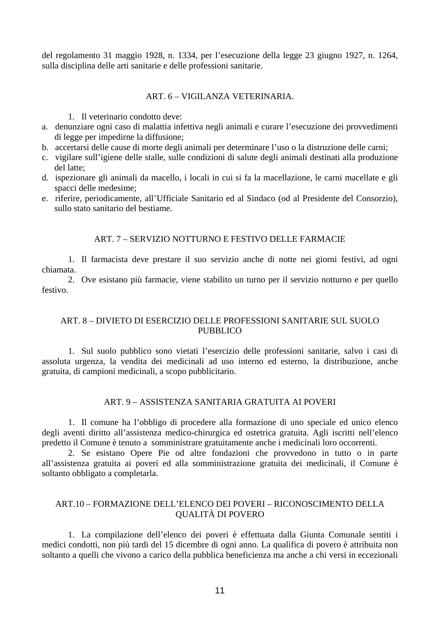<span id="page-10-0"></span>del regolamento 31 maggio 1928, n. 1334, per l'esecuzione della legge 23 giugno 1927, n. 1264, sulla disciplina delle arti sanitarie e delle professioni sanitarie.

## ART. 6 – VIGILANZA VETERINARIA.

1. Il veterinario condotto deve:

- a. denunziare ogni caso di malattia infettiva negli animali e curare l'esecuzione dei provvedimenti di legge per impedirne la diffusione;
- b. accertarsi delle cause di morte degli animali per determinare l'uso o la distruzione delle carni;
- c. vigilare sull'igiene delle stalle, sulle condizioni di salute degli animali destinati alla produzione del latte;
- d. ispezionare gli animali da macello, i locali in cui si fa la macellazione, le carni macellate e gli spacci delle medesime;
- e. riferire, periodicamente, all'Ufficiale Sanitario ed al Sindaco (od al Presidente del Consorzio), sullo stato sanitario del bestiame.

# ART. 7 – SERVIZIO NOTTURNO E FESTIVO DELLE FARMACIE

1. Il farmacista deve prestare il suo servizio anche di notte nei giorni festivi, ad ogni chiamata.

2. Ove esistano più farmacie, viene stabilito un turno per il servizio notturno e per quello festivo.

# ART. 8 – DIVIETO DI ESERCIZIO DELLE PROFESSIONI SANITARIE SUL SUOLO PUBBLICO

1. Sul suolo pubblico sono vietati l'esercizio delle professioni sanitarie, salvo i casi di assoluta urgenza, la vendita dei medicinali ad uso interno ed esterno, la distribuzione, anche gratuita, di campioni medicinali, a scopo pubblicitario.

# ART. 9 – ASSISTENZA SANITARIA GRATUITA AI POVERI

1. Il comune ha l'obbligo di procedere alla formazione di uno speciale ed unico elenco degli aventi diritto all'assistenza medico-chirurgica ed ostetrica gratuita. Agli iscritti nell'elenco predetto il Comune è tenuto a somministrare gratuitamente anche i medicinali loro occorrenti.

2. Se esistano Opere Pie od altre fondazioni che provvedono in tutto o in parte all'assistenza gratuita ai poveri ed alla somministrazione gratuita dei medicinali, il Comune è soltanto obbligato a completarla.

# ART.10 – FORMAZIONE DELL'ELENCO DEI POVERI – RICONOSCIMENTO DELLA QUALITÀ DI POVERO

1. La compilazione dell'elenco dei poveri è effettuata dalla Giunta Comunale sentiti i medici condotti, non più tardi del 15 dicembre di ogni anno. La qualifica di povero è attribuita non soltanto a quelli che vivono a carico della pubblica beneficienza ma anche a chi versi in eccezionali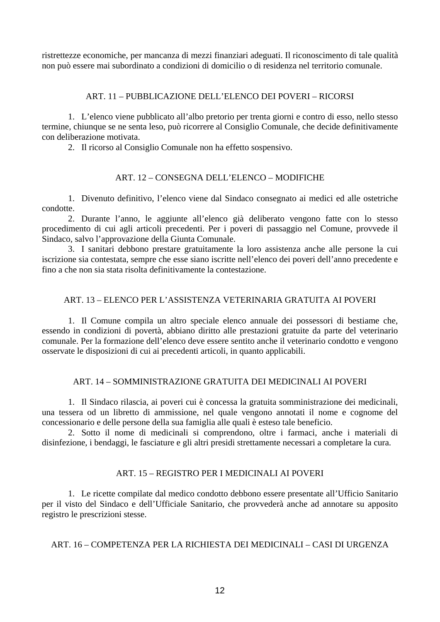<span id="page-11-0"></span>ristrettezze economiche, per mancanza di mezzi finanziari adeguati. Il riconoscimento di tale qualità non può essere mai subordinato a condizioni di domicilio o di residenza nel territorio comunale.

# ART. 11 – PUBBLICAZIONE DELL'ELENCO DEI POVERI – RICORSI

1. L'elenco viene pubblicato all'albo pretorio per trenta giorni e contro di esso, nello stesso termine, chiunque se ne senta leso, può ricorrere al Consiglio Comunale, che decide definitivamente con deliberazione motivata.

2. Il ricorso al Consiglio Comunale non ha effetto sospensivo.

# ART. 12 – CONSEGNA DELL'ELENCO – MODIFICHE

1. Divenuto definitivo, l'elenco viene dal Sindaco consegnato ai medici ed alle ostetriche condotte.

2. Durante l'anno, le aggiunte all'elenco già deliberato vengono fatte con lo stesso procedimento di cui agli articoli precedenti. Per i poveri di passaggio nel Comune, provvede il Sindaco, salvo l'approvazione della Giunta Comunale.

3. I sanitari debbono prestare gratuitamente la loro assistenza anche alle persone la cui iscrizione sia contestata, sempre che esse siano iscritte nell'elenco dei poveri dell'anno precedente e fino a che non sia stata risolta definitivamente la contestazione.

# ART. 13 – ELENCO PER L'ASSISTENZA VETERINARIA GRATUITA AI POVERI

1. Il Comune compila un altro speciale elenco annuale dei possessori di bestiame che, essendo in condizioni di povertà, abbiano diritto alle prestazioni gratuite da parte del veterinario comunale. Per la formazione dell'elenco deve essere sentito anche il veterinario condotto e vengono osservate le disposizioni di cui ai precedenti articoli, in quanto applicabili.

# ART. 14 – SOMMINISTRAZIONE GRATUITA DEI MEDICINALI AI POVERI

1. Il Sindaco rilascia, ai poveri cui è concessa la gratuita somministrazione dei medicinali, una tessera od un libretto di ammissione, nel quale vengono annotati il nome e cognome del concessionario e delle persone della sua famiglia alle quali è esteso tale beneficio.

2. Sotto il nome di medicinali si comprendono, oltre i farmaci, anche i materiali di disinfezione, i bendaggi, le fasciature e gli altri presidi strettamente necessari a completare la cura.

# ART. 15 – REGISTRO PER I MEDICINALI AI POVERI

1. Le ricette compilate dal medico condotto debbono essere presentate all'Ufficio Sanitario per il visto del Sindaco e dell'Ufficiale Sanitario, che provvederà anche ad annotare su apposito registro le prescrizioni stesse.

# ART. 16 – COMPETENZA PER LA RICHIESTA DEI MEDICINALI – CASI DI URGENZA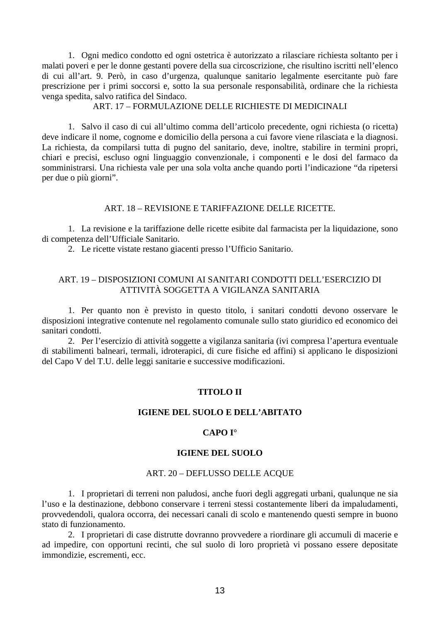<span id="page-12-0"></span>1. Ogni medico condotto ed ogni ostetrica è autorizzato a rilasciare richiesta soltanto per i malati poveri e per le donne gestanti povere della sua circoscrizione, che risultino iscritti nell'elenco di cui all'art. 9. Però, in caso d'urgenza, qualunque sanitario legalmente esercitante può fare prescrizione per i primi soccorsi e, sotto la sua personale responsabilità, ordinare che la richiesta venga spedita, salvo ratifica del Sindaco.

## ART. 17 – FORMULAZIONE DELLE RICHIESTE DI MEDICINALI

1. Salvo il caso di cui all'ultimo comma dell'articolo precedente, ogni richiesta (o ricetta) deve indicare il nome, cognome e domicilio della persona a cui favore viene rilasciata e la diagnosi. La richiesta, da compilarsi tutta di pugno del sanitario, deve, inoltre, stabilire in termini propri, chiari e precisi, escluso ogni linguaggio convenzionale, i componenti e le dosi del farmaco da somministrarsi. Una richiesta vale per una sola volta anche quando porti l'indicazione "da ripetersi per due o più giorni".

## ART. 18 – REVISIONE E TARIFFAZIONE DELLE RICETTE.

1. La revisione e la tariffazione delle ricette esibite dal farmacista per la liquidazione, sono di competenza dell'Ufficiale Sanitario.

2. Le ricette vistate restano giacenti presso l'Ufficio Sanitario.

# ART. 19 – DISPOSIZIONI COMUNI AI SANITARI CONDOTTI DELL'ESERCIZIO DI ATTIVITÀ SOGGETTA A VIGILANZA SANITARIA

1. Per quanto non è previsto in questo titolo, i sanitari condotti devono osservare le disposizioni integrative contenute nel regolamento comunale sullo stato giuridico ed economico dei sanitari condotti.

2. Per l'esercizio di attività soggette a vigilanza sanitaria (ivi compresa l'apertura eventuale di stabilimenti balneari, termali, idroterapici, di cure fisiche ed affini) si applicano le disposizioni del Capo V del T.U. delle leggi sanitarie e successive modificazioni.

## **TITOLO II**

## **IGIENE DEL SUOLO E DELL'ABITATO**

## **CAPO I°**

## **IGIENE DEL SUOLO**

#### ART. 20 – DEFLUSSO DELLE ACQUE

1. I proprietari di terreni non paludosi, anche fuori degli aggregati urbani, qualunque ne sia l'uso e la destinazione, debbono conservare i terreni stessi costantemente liberi da impaludamenti, provvedendoli, qualora occorra, dei necessari canali di scolo e mantenendo questi sempre in buono stato di funzionamento.

2. I proprietari di case distrutte dovranno provvedere a riordinare gli accumuli di macerie e ad impedire, con opportuni recinti, che sul suolo di loro proprietà vi possano essere depositate immondizie, escrementi, ecc.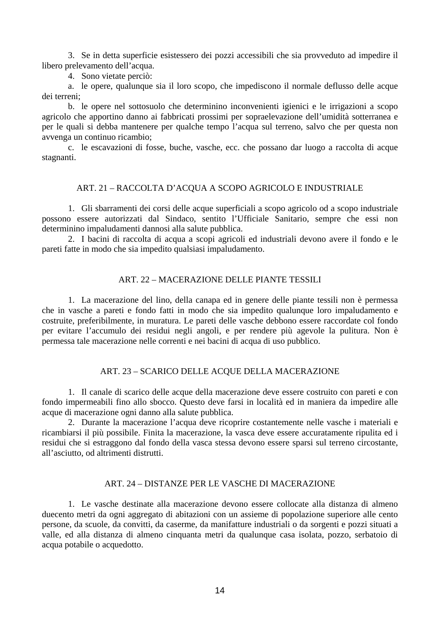<span id="page-13-0"></span>3. Se in detta superficie esistessero dei pozzi accessibili che sia provveduto ad impedire il libero prelevamento dell'acqua.

4. Sono vietate perciò:

a. le opere, qualunque sia il loro scopo, che impediscono il normale deflusso delle acque dei terreni;

b. le opere nel sottosuolo che determinino inconvenienti igienici e le irrigazioni a scopo agricolo che apportino danno ai fabbricati prossimi per sopraelevazione dell'umidità sotterranea e per le quali si debba mantenere per qualche tempo l'acqua sul terreno, salvo che per questa non avvenga un continuo ricambio;

c. le escavazioni di fosse, buche, vasche, ecc. che possano dar luogo a raccolta di acque stagnanti.

## ART. 21 – RACCOLTA D'ACQUA A SCOPO AGRICOLO E INDUSTRIALE

1. Gli sbarramenti dei corsi delle acque superficiali a scopo agricolo od a scopo industriale possono essere autorizzati dal Sindaco, sentito l'Ufficiale Sanitario, sempre che essi non determinino impaludamenti dannosi alla salute pubblica.

2. I bacini di raccolta di acqua a scopi agricoli ed industriali devono avere il fondo e le pareti fatte in modo che sia impedito qualsiasi impaludamento.

# ART. 22 – MACERAZIONE DELLE PIANTE TESSILI

1. La macerazione del lino, della canapa ed in genere delle piante tessili non è permessa che in vasche a pareti e fondo fatti in modo che sia impedito qualunque loro impaludamento e costruite, preferibilmente, in muratura. Le pareti delle vasche debbono essere raccordate col fondo per evitare l'accumulo dei residui negli angoli, e per rendere più agevole la pulitura. Non è permessa tale macerazione nelle correnti e nei bacini di acqua di uso pubblico.

## ART. 23 – SCARICO DELLE ACQUE DELLA MACERAZIONE

1. Il canale di scarico delle acque della macerazione deve essere costruito con pareti e con fondo impermeabili fino allo sbocco. Questo deve farsi in località ed in maniera da impedire alle acque di macerazione ogni danno alla salute pubblica.

2. Durante la macerazione l'acqua deve ricoprire costantemente nelle vasche i materiali e ricambiarsi il più possibile. Finita la macerazione, la vasca deve essere accuratamente ripulita ed i residui che si estraggono dal fondo della vasca stessa devono essere sparsi sul terreno circostante, all'asciutto, od altrimenti distrutti.

## ART. 24 – DISTANZE PER LE VASCHE DI MACERAZIONE

1. Le vasche destinate alla macerazione devono essere collocate alla distanza di almeno duecento metri da ogni aggregato di abitazioni con un assieme di popolazione superiore alle cento persone, da scuole, da convitti, da caserme, da manifatture industriali o da sorgenti e pozzi situati a valle, ed alla distanza di almeno cinquanta metri da qualunque casa isolata, pozzo, serbatoio di acqua potabile o acquedotto.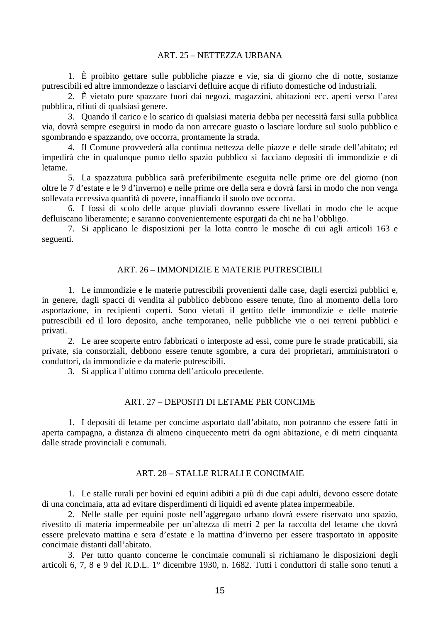#### ART. 25 – NETTEZZA URBANA

<span id="page-14-0"></span>1. È proibito gettare sulle pubbliche piazze e vie, sia di giorno che di notte, sostanze putrescibili ed altre immondezze o lasciarvi defluire acque di rifiuto domestiche od industriali.

2. È vietato pure spazzare fuori dai negozi, magazzini, abitazioni ecc. aperti verso l'area pubblica, rifiuti di qualsiasi genere.

3. Quando il carico e lo scarico di qualsiasi materia debba per necessità farsi sulla pubblica via, dovrà sempre eseguirsi in modo da non arrecare guasto o lasciare lordure sul suolo pubblico e sgombrando e spazzando, ove occorra, prontamente la strada.

4. Il Comune provvederà alla continua nettezza delle piazze e delle strade dell'abitato; ed impedirà che in qualunque punto dello spazio pubblico si facciano depositi di immondizie e di letame.

5. La spazzatura pubblica sarà preferibilmente eseguita nelle prime ore del giorno (non oltre le 7 d'estate e le 9 d'inverno) e nelle prime ore della sera e dovrà farsi in modo che non venga sollevata eccessiva quantità di povere, innaffiando il suolo ove occorra.

6. I fossi di scolo delle acque pluviali dovranno essere livellati in modo che le acque defluiscano liberamente; e saranno convenientemente espurgati da chi ne ha l'obbligo.

7. Si applicano le disposizioni per la lotta contro le mosche di cui agli articoli 163 e seguenti.

#### ART. 26 – IMMONDIZIE E MATERIE PUTRESCIBILI

1. Le immondizie e le materie putrescibili provenienti dalle case, dagli esercizi pubblici e, in genere, dagli spacci di vendita al pubblico debbono essere tenute, fino al momento della loro asportazione, in recipienti coperti. Sono vietati il gettito delle immondizie e delle materie putrescibili ed il loro deposito, anche temporaneo, nelle pubbliche vie o nei terreni pubblici e privati.

2. Le aree scoperte entro fabbricati o interposte ad essi, come pure le strade praticabili, sia private, sia consorziali, debbono essere tenute sgombre, a cura dei proprietari, amministratori o conduttori, da immondizie e da materie putrescibili.

3. Si applica l'ultimo comma dell'articolo precedente.

## ART. 27 – DEPOSITI DI LETAME PER CONCIME

1. I depositi di letame per concime asportato dall'abitato, non potranno che essere fatti in aperta campagna, a distanza di almeno cinquecento metri da ogni abitazione, e di metri cinquanta dalle strade provinciali e comunali.

## ART. 28 – STALLE RURALI E CONCIMAIE

1. Le stalle rurali per bovini ed equini adibiti a più di due capi adulti, devono essere dotate di una concimaia, atta ad evitare disperdimenti di liquidi ed avente platea impermeabile.

2. Nelle stalle per equini poste nell'aggregato urbano dovrà essere riservato uno spazio, rivestito di materia impermeabile per un'altezza di metri 2 per la raccolta del letame che dovrà essere prelevato mattina e sera d'estate e la mattina d'inverno per essere trasportato in apposite concimaie distanti dall'abitato.

3. Per tutto quanto concerne le concimaie comunali si richiamano le disposizioni degli articoli 6, 7, 8 e 9 del R.D.L. 1° dicembre 1930, n. 1682. Tutti i conduttori di stalle sono tenuti a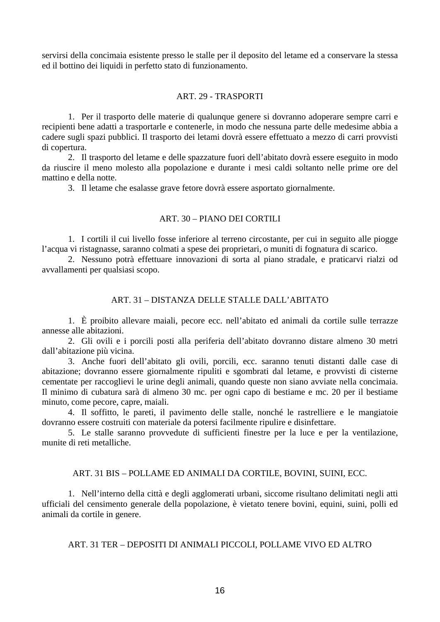<span id="page-15-0"></span>servirsi della concimaia esistente presso le stalle per il deposito del letame ed a conservare la stessa ed il bottino dei liquidi in perfetto stato di funzionamento.

## ART. 29 - TRASPORTI

1. Per il trasporto delle materie di qualunque genere si dovranno adoperare sempre carri e recipienti bene adatti a trasportarle e contenerle, in modo che nessuna parte delle medesime abbia a cadere sugli spazi pubblici. Il trasporto dei letami dovrà essere effettuato a mezzo di carri provvisti di copertura.

2. Il trasporto del letame e delle spazzature fuori dell'abitato dovrà essere eseguito in modo da riuscire il meno molesto alla popolazione e durante i mesi caldi soltanto nelle prime ore del mattino e della notte.

3. Il letame che esalasse grave fetore dovrà essere asportato giornalmente.

## ART. 30 – PIANO DEI CORTILI

1. I cortili il cui livello fosse inferiore al terreno circostante, per cui in seguito alle piogge l'acqua vi ristagnasse, saranno colmati a spese dei proprietari, o muniti di fognatura di scarico.

2. Nessuno potrà effettuare innovazioni di sorta al piano stradale, e praticarvi rialzi od avvallamenti per qualsiasi scopo.

## ART. 31 – DISTANZA DELLE STALLE DALL'ABITATO

1. È proibito allevare maiali, pecore ecc. nell'abitato ed animali da cortile sulle terrazze annesse alle abitazioni.

2. Gli ovili e i porcili posti alla periferia dell'abitato dovranno distare almeno 30 metri dall'abitazione più vicina.

3. Anche fuori dell'abitato gli ovili, porcili, ecc. saranno tenuti distanti dalle case di abitazione; dovranno essere giornalmente ripuliti e sgombrati dal letame, e provvisti di cisterne cementate per raccoglievi le urine degli animali, quando queste non siano avviate nella concimaia. Il minimo di cubatura sarà di almeno 30 mc. per ogni capo di bestiame e mc. 20 per il bestiame minuto, come pecore, capre, maiali.

4. Il soffitto, le pareti, il pavimento delle stalle, nonché le rastrelliere e le mangiatoie dovranno essere costruiti con materiale da potersi facilmente ripulire e disinfettare.

5. Le stalle saranno provvedute di sufficienti finestre per la luce e per la ventilazione, munite di reti metalliche.

## ART. 31 BIS – POLLAME ED ANIMALI DA CORTILE, BOVINI, SUINI, ECC.

1. Nell'interno della città e degli agglomerati urbani, siccome risultano delimitati negli atti ufficiali del censimento generale della popolazione, è vietato tenere bovini, equini, suini, polli ed animali da cortile in genere.

ART. 31 TER – DEPOSITI DI ANIMALI PICCOLI, POLLAME VIVO ED ALTRO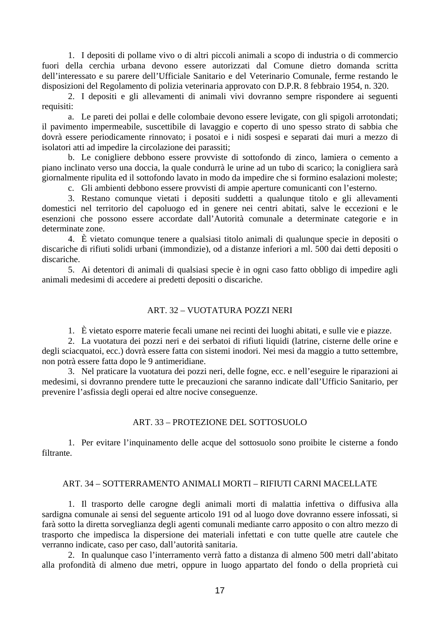<span id="page-16-0"></span>1. I depositi di pollame vivo o di altri piccoli animali a scopo di industria o di commercio fuori della cerchia urbana devono essere autorizzati dal Comune dietro domanda scritta dell'interessato e su parere dell'Ufficiale Sanitario e del Veterinario Comunale, ferme restando le disposizioni del Regolamento di polizia veterinaria approvato con D.P.R. 8 febbraio 1954, n. 320.

2. I depositi e gli allevamenti di animali vivi dovranno sempre rispondere ai seguenti requisiti:

a. Le pareti dei pollai e delle colombaie devono essere levigate, con gli spigoli arrotondati; il pavimento impermeabile, suscettibile di lavaggio e coperto di uno spesso strato di sabbia che dovrà essere periodicamente rinnovato; i posatoi e i nidi sospesi e separati dai muri a mezzo di isolatori atti ad impedire la circolazione dei parassiti;

b. Le conigliere debbono essere provviste di sottofondo di zinco, lamiera o cemento a piano inclinato verso una doccia, la quale condurrà le urine ad un tubo di scarico; la conigliera sarà giornalmente ripulita ed il sottofondo lavato in modo da impedire che si formino esalazioni moleste;

c. Gli ambienti debbono essere provvisti di ampie aperture comunicanti con l'esterno.

3. Restano comunque vietati i depositi suddetti a qualunque titolo e gli allevamenti domestici nel territorio del capoluogo ed in genere nei centri abitati, salve le eccezioni e le esenzioni che possono essere accordate dall'Autorità comunale a determinate categorie e in determinate zone.

4. È vietato comunque tenere a qualsiasi titolo animali di qualunque specie in depositi o discariche di rifiuti solidi urbani (immondizie), od a distanze inferiori a ml. 500 dai detti depositi o discariche.

5. Ai detentori di animali di qualsiasi specie è in ogni caso fatto obbligo di impedire agli animali medesimi di accedere ai predetti depositi o discariche.

#### ART. 32 – VUOTATURA POZZI NERI

1. È vietato esporre materie fecali umane nei recinti dei luoghi abitati, e sulle vie e piazze.

2. La vuotatura dei pozzi neri e dei serbatoi di rifiuti liquidi (latrine, cisterne delle orine e degli sciacquatoi, ecc.) dovrà essere fatta con sistemi inodori. Nei mesi da maggio a tutto settembre, non potrà essere fatta dopo le 9 antimeridiane.

3. Nel praticare la vuotatura dei pozzi neri, delle fogne, ecc. e nell'eseguire le riparazioni ai medesimi, si dovranno prendere tutte le precauzioni che saranno indicate dall'Ufficio Sanitario, per prevenire l'asfissia degli operai ed altre nocive conseguenze.

#### ART. 33 – PROTEZIONE DEL SOTTOSUOLO

1. Per evitare l'inquinamento delle acque del sottosuolo sono proibite le cisterne a fondo filtrante.

## ART. 34 – SOTTERRAMENTO ANIMALI MORTI – RIFIUTI CARNI MACELLATE

1. Il trasporto delle carogne degli animali morti di malattia infettiva o diffusiva alla sardigna comunale ai sensi del seguente articolo 191 od al luogo dove dovranno essere infossati, si farà sotto la diretta sorveglianza degli agenti comunali mediante carro apposito o con altro mezzo di trasporto che impedisca la dispersione dei materiali infettati e con tutte quelle atre cautele che verranno indicate, caso per caso, dall'autorità sanitaria.

2. In qualunque caso l'interramento verrà fatto a distanza di almeno 500 metri dall'abitato alla profondità di almeno due metri, oppure in luogo appartato del fondo o della proprietà cui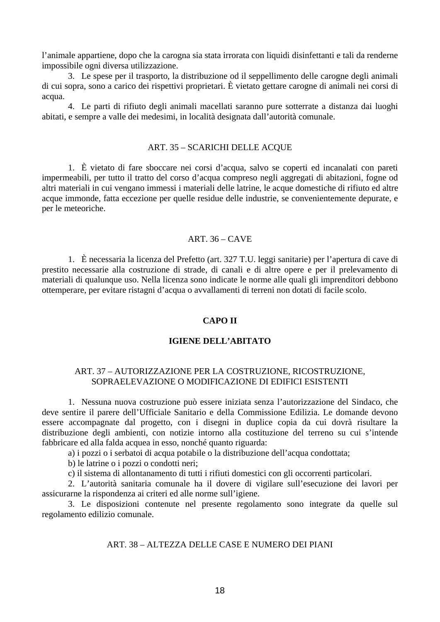<span id="page-17-0"></span>l'animale appartiene, dopo che la carogna sia stata irrorata con liquidi disinfettanti e tali da renderne impossibile ogni diversa utilizzazione.

3. Le spese per il trasporto, la distribuzione od il seppellimento delle carogne degli animali di cui sopra, sono a carico dei rispettivi proprietari. È vietato gettare carogne di animali nei corsi di acqua.

4. Le parti di rifiuto degli animali macellati saranno pure sotterrate a distanza dai luoghi abitati, e sempre a valle dei medesimi, in località designata dall'autorità comunale.

#### ART. 35 – SCARICHI DELLE ACQUE

1. È vietato di fare sboccare nei corsi d'acqua, salvo se coperti ed incanalati con pareti impermeabili, per tutto il tratto del corso d'acqua compreso negli aggregati di abitazioni, fogne od altri materiali in cui vengano immessi i materiali delle latrine, le acque domestiche di rifiuto ed altre acque immonde, fatta eccezione per quelle residue delle industrie, se convenientemente depurate, e per le meteoriche.

## ART. 36 – CAVE

1. È necessaria la licenza del Prefetto (art. 327 T.U. leggi sanitarie) per l'apertura di cave di prestito necessarie alla costruzione di strade, di canali e di altre opere e per il prelevamento di materiali di qualunque uso. Nella licenza sono indicate le norme alle quali gli imprenditori debbono ottemperare, per evitare ristagni d'acqua o avvallamenti di terreni non dotati di facile scolo.

#### **CAPO II**

## **IGIENE DELL'ABITATO**

## ART. 37 – AUTORIZZAZIONE PER LA COSTRUZIONE, RICOSTRUZIONE, SOPRAELEVAZIONE O MODIFICAZIONE DI EDIFICI ESISTENTI

1. Nessuna nuova costruzione può essere iniziata senza l'autorizzazione del Sindaco, che deve sentire il parere dell'Ufficiale Sanitario e della Commissione Edilizia. Le domande devono essere accompagnate dal progetto, con i disegni in duplice copia da cui dovrà risultare la distribuzione degli ambienti, con notizie intorno alla costituzione del terreno su cui s'intende fabbricare ed alla falda acquea in esso, nonché quanto riguarda:

a) i pozzi o i serbatoi di acqua potabile o la distribuzione dell'acqua condottata;

b) le latrine o i pozzi o condotti neri;

c) il sistema di allontanamento di tutti i rifiuti domestici con gli occorrenti particolari.

2. L'autorità sanitaria comunale ha il dovere di vigilare sull'esecuzione dei lavori per assicurarne la rispondenza ai criteri ed alle norme sull'igiene.

3. Le disposizioni contenute nel presente regolamento sono integrate da quelle sul regolamento edilizio comunale.

## ART. 38 – ALTEZZA DELLE CASE E NUMERO DEI PIANI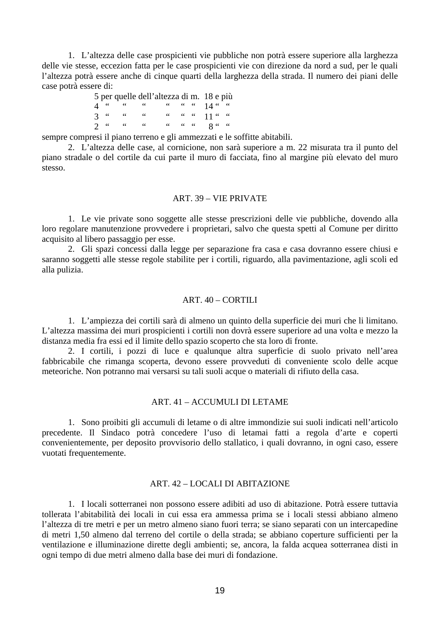<span id="page-18-0"></span>1. L'altezza delle case prospicienti vie pubbliche non potrà essere superiore alla larghezza delle vie stesse, eccezion fatta per le case prospicienti vie con direzione da nord a sud, per le quali l'altezza potrà essere anche di cinque quarti della larghezza della strada. Il numero dei piani delle case potrà essere di:

|  |  | 5 per quelle dell'altezza di m. 18 e più |  |  |
|--|--|------------------------------------------|--|--|
|  |  | 4 " " " " " " 14 " "                     |  |  |
|  |  | 3 " " " " " " " 11 " "                   |  |  |
|  |  | $2u$ and $uu$ and $uu$ and $2u$ and $2u$ |  |  |

sempre compresi il piano terreno e gli ammezzati e le soffitte abitabili.

2. L'altezza delle case, al cornicione, non sarà superiore a m. 22 misurata tra il punto del piano stradale o del cortile da cui parte il muro di facciata, fino al margine più elevato del muro stesso.

#### ART. 39 – VIE PRIVATE

1. Le vie private sono soggette alle stesse prescrizioni delle vie pubbliche, dovendo alla loro regolare manutenzione provvedere i proprietari, salvo che questa spetti al Comune per diritto acquisito al libero passaggio per esse.

2. Gli spazi concessi dalla legge per separazione fra casa e casa dovranno essere chiusi e saranno soggetti alle stesse regole stabilite per i cortili, riguardo, alla pavimentazione, agli scoli ed alla pulizia.

#### ART. 40 – CORTILI

1. L'ampiezza dei cortili sarà di almeno un quinto della superficie dei muri che li limitano. L'altezza massima dei muri prospicienti i cortili non dovrà essere superiore ad una volta e mezzo la distanza media fra essi ed il limite dello spazio scoperto che sta loro di fronte.

2. I cortili, i pozzi di luce e qualunque altra superficie di suolo privato nell'area fabbricabile che rimanga scoperta, devono essere provveduti di conveniente scolo delle acque meteoriche. Non potranno mai versarsi su tali suoli acque o materiali di rifiuto della casa.

## ART. 41 – ACCUMULI DI LETAME

1. Sono proibiti gli accumuli di letame o di altre immondizie sui suoli indicati nell'articolo precedente. Il Sindaco potrà concedere l'uso di letamai fatti a regola d'arte e coperti convenientemente, per deposito provvisorio dello stallatico, i quali dovranno, in ogni caso, essere vuotati frequentemente.

## ART. 42 – LOCALI DI ABITAZIONE

1. I locali sotterranei non possono essere adibiti ad uso di abitazione. Potrà essere tuttavia tollerata l'abitabilità dei locali in cui essa era ammessa prima se i locali stessi abbiano almeno l'altezza di tre metri e per un metro almeno siano fuori terra; se siano separati con un intercapedine di metri 1,50 almeno dal terreno del cortile o della strada; se abbiano coperture sufficienti per la ventilazione e illuminazione dirette degli ambienti; se, ancora, la falda acquea sotterranea disti in ogni tempo di due metri almeno dalla base dei muri di fondazione.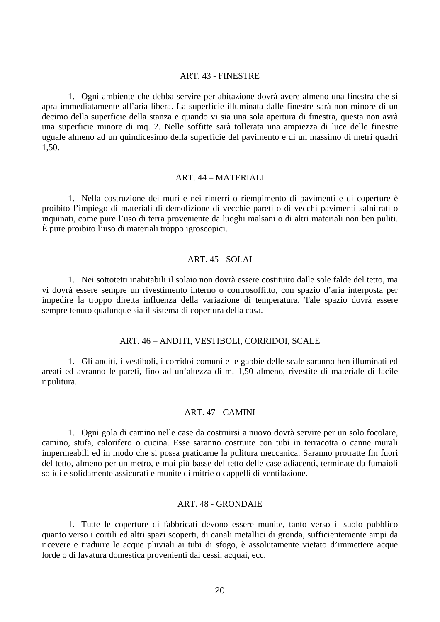#### ART. 43 - FINESTRE

<span id="page-19-0"></span>1. Ogni ambiente che debba servire per abitazione dovrà avere almeno una finestra che si apra immediatamente all'aria libera. La superficie illuminata dalle finestre sarà non minore di un decimo della superficie della stanza e quando vi sia una sola apertura di finestra, questa non avrà una superficie minore di mq. 2. Nelle soffitte sarà tollerata una ampiezza di luce delle finestre uguale almeno ad un quindicesimo della superficie del pavimento e di un massimo di metri quadri 1,50.

#### ART. 44 – MATERIALI

1. Nella costruzione dei muri e nei rinterri o riempimento di pavimenti e di coperture è proibito l'impiego di materiali di demolizione di vecchie pareti o di vecchi pavimenti salnitrati o inquinati, come pure l'uso di terra proveniente da luoghi malsani o di altri materiali non ben puliti. È pure proibito l'uso di materiali troppo igroscopici.

#### ART. 45 - SOLAI

1. Nei sottotetti inabitabili il solaio non dovrà essere costituito dalle sole falde del tetto, ma vi dovrà essere sempre un rivestimento interno o controsoffitto, con spazio d'aria interposta per impedire la troppo diretta influenza della variazione di temperatura. Tale spazio dovrà essere sempre tenuto qualunque sia il sistema di copertura della casa.

#### ART. 46 – ANDITI, VESTIBOLI, CORRIDOI, SCALE

1. Gli anditi, i vestiboli, i corridoi comuni e le gabbie delle scale saranno ben illuminati ed areati ed avranno le pareti, fino ad un'altezza di m. 1,50 almeno, rivestite di materiale di facile ripulitura.

#### ART. 47 - CAMINI

1. Ogni gola di camino nelle case da costruirsi a nuovo dovrà servire per un solo focolare, camino, stufa, calorifero o cucina. Esse saranno costruite con tubi in terracotta o canne murali impermeabili ed in modo che si possa praticarne la pulitura meccanica. Saranno protratte fin fuori del tetto, almeno per un metro, e mai più basse del tetto delle case adiacenti, terminate da fumaioli solidi e solidamente assicurati e munite di mitrie o cappelli di ventilazione.

#### ART. 48 - GRONDAIE

1. Tutte le coperture di fabbricati devono essere munite, tanto verso il suolo pubblico quanto verso i cortili ed altri spazi scoperti, di canali metallici di gronda, sufficientemente ampi da ricevere e tradurre le acque pluviali ai tubi di sfogo, è assolutamente vietato d'immettere acque lorde o di lavatura domestica provenienti dai cessi, acquai, ecc.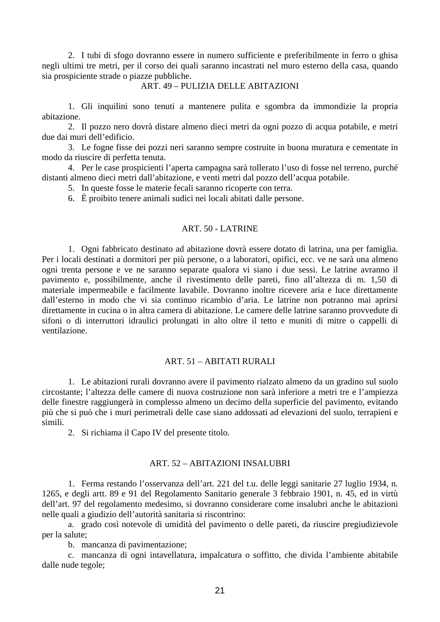<span id="page-20-0"></span>2. I tubi di sfogo dovranno essere in numero sufficiente e preferibilmente in ferro o ghisa negli ultimi tre metri, per il corso dei quali saranno incastrati nel muro esterno della casa, quando sia prospiciente strade o piazze pubbliche.

#### ART. 49 – PULIZIA DELLE ABITAZIONI

1. Gli inquilini sono tenuti a mantenere pulita e sgombra da immondizie la propria abitazione.

2. Il pozzo nero dovrà distare almeno dieci metri da ogni pozzo di acqua potabile, e metri due dai muri dell'edificio.

3. Le fogne fisse dei pozzi neri saranno sempre costruite in buona muratura e cementate in modo da riuscire di perfetta tenuta.

4. Per le case prospicienti l'aperta campagna sarà tollerato l'uso di fosse nel terreno, purché distanti almeno dieci metri dall'abitazione, e venti metri dal pozzo dell'acqua potabile.

5. In queste fosse le materie fecali saranno ricoperte con terra.

6. È proibito tenere animali sudici nei locali abitati dalle persone.

#### ART. 50 - LATRINE

1. Ogni fabbricato destinato ad abitazione dovrà essere dotato di latrina, una per famiglia. Per i locali destinati a dormitori per più persone, o a laboratori, opifici, ecc. ve ne sarà una almeno ogni trenta persone e ve ne saranno separate qualora vi siano i due sessi. Le latrine avranno il pavimento e, possibilmente, anche il rivestimento delle pareti, fino all'altezza di m. 1,50 di materiale impermeabile e facilmente lavabile. Dovranno inoltre ricevere aria e luce direttamente dall'esterno in modo che vi sia continuo ricambio d'aria. Le latrine non potranno mai aprirsi direttamente in cucina o in altra camera di abitazione. Le camere delle latrine saranno provvedute di sifoni o di interruttori idraulici prolungati in alto oltre il tetto e muniti di mitre o cappelli di ventilazione.

## ART. 51 – ABITATI RURALI

1. Le abitazioni rurali dovranno avere il pavimento rialzato almeno da un gradino sul suolo circostante; l'altezza delle camere di nuova costruzione non sarà inferiore a metri tre e l'ampiezza delle finestre raggiungerà in complesso almeno un decimo della superficie del pavimento, evitando più che si può che i muri perimetrali delle case siano addossati ad elevazioni del suolo, terrapieni e simili.

2. Si richiama il Capo IV del presente titolo.

#### ART. 52 – ABITAZIONI INSALUBRI

1. Ferma restando l'osservanza dell'art. 221 del t.u. delle leggi sanitarie 27 luglio 1934, n. 1265, e degli artt. 89 e 91 del Regolamento Sanitario generale 3 febbraio 1901, n. 45, ed in virtù dell'art. 97 del regolamento medesimo, si dovranno considerare come insalubri anche le abitazioni nelle quali a giudizio dell'autorità sanitaria si riscontrino:

a. grado così notevole di umidità del pavimento o delle pareti, da riuscire pregiudizievole per la salute;

b. mancanza di pavimentazione;

c. mancanza di ogni intavellatura, impalcatura o soffitto, che divida l'ambiente abitabile dalle nude tegole;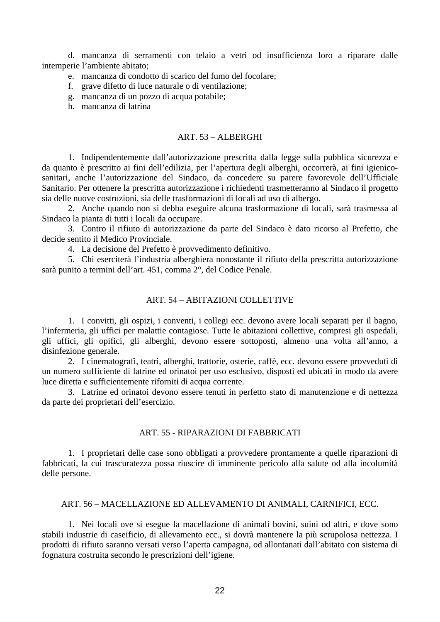<span id="page-21-0"></span>d. mancanza di serramenti con telaio a vetri od insufficienza loro a riparare dalle intemperie l'ambiente abitato;

- e. mancanza di condotto di scarico del fumo del focolare;
- f. grave difetto di luce naturale o di ventilazione;
- g. mancanza di un pozzo di acqua potabile;
- h. mancanza di latrina

## ART. 53 – ALBERGHI

1. Indipendentemente dall'autorizzazione prescritta dalla legge sulla pubblica sicurezza e da quanto è prescritto ai fini dell'edilizia, per l'apertura degli alberghi, occorrerà, ai fini igienicosanitari, anche l'autorizzazione del Sindaco, da concedere su parere favorevole dell'Ufficiale Sanitario. Per ottenere la prescritta autorizzazione i richiedenti trasmetteranno al Sindaco il progetto sia delle nuove costruzioni, sia delle trasformazioni di locali ad uso di albergo.

2. Anche quando non si debba eseguire alcuna trasformazione di locali, sarà trasmessa al Sindaco la pianta di tutti i locali da occupare.

3. Contro il rifiuto di autorizzazione da parte del Sindaco è dato ricorso al Prefetto, che decide sentito il Medico Provinciale.

4. La decisione del Prefetto è provvedimento definitivo.

5. Chi eserciterà l'industria alberghiera nonostante il rifiuto della prescritta autorizzazione sarà punito a termini dell'art. 451, comma 2°, del Codice Penale.

## ART. 54 – ABITAZIONI COLLETTIVE

1. I convitti, gli ospizi, i conventi, i collegi ecc. devono avere locali separati per il bagno, l'infermeria, gli uffici per malattie contagiose. Tutte le abitazioni collettive, compresi gli ospedali, gli uffici, gli opifici, gli alberghi, devono essere sottoposti, almeno una volta all'anno, a disinfezione generale.

2. I cinematografi, teatri, alberghi, trattorie, osterie, caffè, ecc. devono essere provveduti di un numero sufficiente di latrine ed orinatoi per uso esclusivo, disposti ed ubicati in modo da avere luce diretta e sufficientemente riforniti di acqua corrente.

3. Latrine ed orinatoi devono essere tenuti in perfetto stato di manutenzione e di nettezza da parte dei proprietari dell'esercizio.

## ART. 55 - RIPARAZIONI DI FABBRICATI

1. I proprietari delle case sono obbligati a provvedere prontamente a quelle riparazioni di fabbricati, la cui trascuratezza possa riuscire di imminente pericolo alla salute od alla incolumità delle persone.

#### ART. 56 – MACELLAZIONE ED ALLEVAMENTO DI ANIMALI, CARNIFICI, ECC.

1. Nei locali ove si esegue la macellazione di animali bovini, suini od altri, e dove sono stabili industrie di caseificio, di allevamento ecc., si dovrà mantenere la più scrupolosa nettezza. I prodotti di rifiuto saranno versati verso l'aperta campagna, od allontanati dall'abitato con sistema di fognatura costruita secondo le prescrizioni dell'igiene.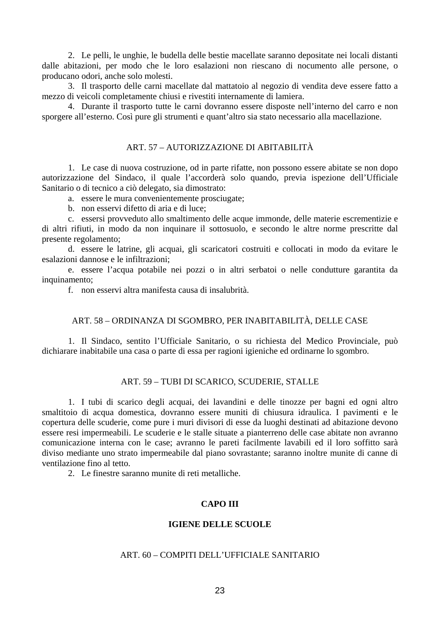<span id="page-22-0"></span>2. Le pelli, le unghie, le budella delle bestie macellate saranno depositate nei locali distanti dalle abitazioni, per modo che le loro esalazioni non riescano di nocumento alle persone, o producano odori, anche solo molesti.

3. Il trasporto delle carni macellate dal mattatoio al negozio di vendita deve essere fatto a mezzo di veicoli completamente chiusi e rivestiti internamente di lamiera.

4. Durante il trasporto tutte le carni dovranno essere disposte nell'interno del carro e non sporgere all'esterno. Così pure gli strumenti e quant'altro sia stato necessario alla macellazione.

#### ART. 57 – AUTORIZZAZIONE DI ABITABILITÀ

1. Le case di nuova costruzione, od in parte rifatte, non possono essere abitate se non dopo autorizzazione del Sindaco, il quale l'accorderà solo quando, previa ispezione dell'Ufficiale Sanitario o di tecnico a ciò delegato, sia dimostrato:

a. essere le mura convenientemente prosciugate;

b. non esservi difetto di aria e di luce;

c. essersi provveduto allo smaltimento delle acque immonde, delle materie escrementizie e di altri rifiuti, in modo da non inquinare il sottosuolo, e secondo le altre norme prescritte dal presente regolamento;

d. essere le latrine, gli acquai, gli scaricatori costruiti e collocati in modo da evitare le esalazioni dannose e le infiltrazioni;

e. essere l'acqua potabile nei pozzi o in altri serbatoi o nelle condutture garantita da inquinamento:

f. non esservi altra manifesta causa di insalubrità.

## ART. 58 – ORDINANZA DI SGOMBRO, PER INABITABILITÀ, DELLE CASE

1. Il Sindaco, sentito l'Ufficiale Sanitario, o su richiesta del Medico Provinciale, può dichiarare inabitabile una casa o parte di essa per ragioni igieniche ed ordinarne lo sgombro.

## ART. 59 – TUBI DI SCARICO, SCUDERIE, STALLE

1. I tubi di scarico degli acquai, dei lavandini e delle tinozze per bagni ed ogni altro smaltitoio di acqua domestica, dovranno essere muniti di chiusura idraulica. I pavimenti e le copertura delle scuderie, come pure i muri divisori di esse da luoghi destinati ad abitazione devono essere resi impermeabili. Le scuderie e le stalle situate a pianterreno delle case abitate non avranno comunicazione interna con le case; avranno le pareti facilmente lavabili ed il loro soffitto sarà diviso mediante uno strato impermeabile dal piano sovrastante; saranno inoltre munite di canne di ventilazione fino al tetto.

2. Le finestre saranno munite di reti metalliche.

# **CAPO III**

#### **IGIENE DELLE SCUOLE**

## ART. 60 – COMPITI DELL'UFFICIALE SANITARIO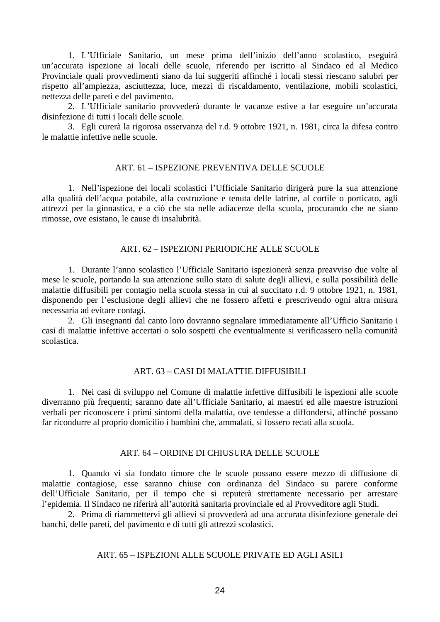<span id="page-23-0"></span>1. L'Ufficiale Sanitario, un mese prima dell'inizio dell'anno scolastico, eseguirà un'accurata ispezione ai locali delle scuole, riferendo per iscritto al Sindaco ed al Medico Provinciale quali provvedimenti siano da lui suggeriti affinché i locali stessi riescano salubri per rispetto all'ampiezza, asciuttezza, luce, mezzi di riscaldamento, ventilazione, mobili scolastici, nettezza delle pareti e del pavimento.

2. L'Ufficiale sanitario provvederà durante le vacanze estive a far eseguire un'accurata disinfezione di tutti i locali delle scuole.

3. Egli curerà la rigorosa osservanza del r.d. 9 ottobre 1921, n. 1981, circa la difesa contro le malattie infettive nelle scuole.

## ART. 61 – ISPEZIONE PREVENTIVA DELLE SCUOLE

1. Nell'ispezione dei locali scolastici l'Ufficiale Sanitario dirigerà pure la sua attenzione alla qualità dell'acqua potabile, alla costruzione e tenuta delle latrine, al cortile o porticato, agli attrezzi per la ginnastica, e a ciò che sta nelle adiacenze della scuola, procurando che ne siano rimosse, ove esistano, le cause di insalubrità.

## ART. 62 – ISPEZIONI PERIODICHE ALLE SCUOLE

1. Durante l'anno scolastico l'Ufficiale Sanitario ispezionerà senza preavviso due volte al mese le scuole, portando la sua attenzione sullo stato di salute degli allievi, e sulla possibilità delle malattie diffusibili per contagio nella scuola stessa in cui al succitato r.d. 9 ottobre 1921, n. 1981, disponendo per l'esclusione degli allievi che ne fossero affetti e prescrivendo ogni altra misura necessaria ad evitare contagi.

2. Gli insegnanti dal canto loro dovranno segnalare immediatamente all'Ufficio Sanitario i casi di malattie infettive accertati o solo sospetti che eventualmente si verificassero nella comunità scolastica.

## ART. 63 – CASI DI MALATTIE DIFFUSIBILI

1. Nei casi di sviluppo nel Comune di malattie infettive diffusibili le ispezioni alle scuole diverranno più frequenti; saranno date all'Ufficiale Sanitario, ai maestri ed alle maestre istruzioni verbali per riconoscere i primi sintomi della malattia, ove tendesse a diffondersi, affinché possano far ricondurre al proprio domicilio i bambini che, ammalati, si fossero recati alla scuola.

#### ART. 64 – ORDINE DI CHIUSURA DELLE SCUOLE

1. Quando vi sia fondato timore che le scuole possano essere mezzo di diffusione di malattie contagiose, esse saranno chiuse con ordinanza del Sindaco su parere conforme dell'Ufficiale Sanitario, per il tempo che si reputerà strettamente necessario per arrestare l'epidemia. Il Sindaco ne riferirà all'autorità sanitaria provinciale ed al Provveditore agli Studi.

2. Prima di riammettervi gli allievi si provvederà ad una accurata disinfezione generale dei banchi, delle pareti, del pavimento e di tutti gli attrezzi scolastici.

# ART. 65 – ISPEZIONI ALLE SCUOLE PRIVATE ED AGLI ASILI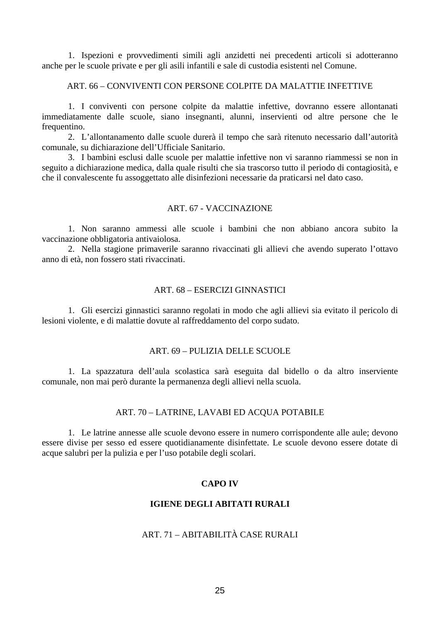<span id="page-24-0"></span>1. Ispezioni e provvedimenti simili agli anzidetti nei precedenti articoli si adotteranno anche per le scuole private e per gli asili infantili e sale di custodia esistenti nel Comune.

#### ART. 66 – CONVIVENTI CON PERSONE COLPITE DA MALATTIE INFETTIVE

1. I conviventi con persone colpite da malattie infettive, dovranno essere allontanati immediatamente dalle scuole, siano insegnanti, alunni, inservienti od altre persone che le frequentino.

2. L'allontanamento dalle scuole durerà il tempo che sarà ritenuto necessario dall'autorità comunale, su dichiarazione dell'Ufficiale Sanitario.

3. I bambini esclusi dalle scuole per malattie infettive non vi saranno riammessi se non in seguito a dichiarazione medica, dalla quale risulti che sia trascorso tutto il periodo di contagiosità, e che il convalescente fu assoggettato alle disinfezioni necessarie da praticarsi nel dato caso.

## ART. 67 - VACCINAZIONE

1. Non saranno ammessi alle scuole i bambini che non abbiano ancora subito la vaccinazione obbligatoria antivaiolosa.

2. Nella stagione primaverile saranno rivaccinati gli allievi che avendo superato l'ottavo anno di età, non fossero stati rivaccinati.

## ART. 68 – ESERCIZI GINNASTICI

1. Gli esercizi ginnastici saranno regolati in modo che agli allievi sia evitato il pericolo di lesioni violente, e di malattie dovute al raffreddamento del corpo sudato.

## ART. 69 – PULIZIA DELLE SCUOLE

1. La spazzatura dell'aula scolastica sarà eseguita dal bidello o da altro inserviente comunale, non mai però durante la permanenza degli allievi nella scuola.

#### ART. 70 – LATRINE, LAVABI ED ACQUA POTABILE

1. Le latrine annesse alle scuole devono essere in numero corrispondente alle aule; devono essere divise per sesso ed essere quotidianamente disinfettate. Le scuole devono essere dotate di acque salubri per la pulizia e per l'uso potabile degli scolari.

## **CAPO IV**

## **IGIENE DEGLI ABITATI RURALI**

# ART. 71 – ABITABILITÀ CASE RURALI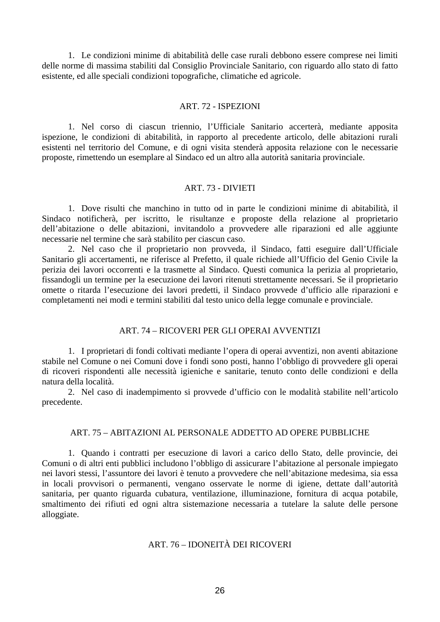<span id="page-25-0"></span>1. Le condizioni minime di abitabilità delle case rurali debbono essere comprese nei limiti delle norme di massima stabiliti dal Consiglio Provinciale Sanitario, con riguardo allo stato di fatto esistente, ed alle speciali condizioni topografiche, climatiche ed agricole.

#### ART. 72 - ISPEZIONI

1. Nel corso di ciascun triennio, l'Ufficiale Sanitario accerterà, mediante apposita ispezione, le condizioni di abitabilità, in rapporto al precedente articolo, delle abitazioni rurali esistenti nel territorio del Comune, e di ogni visita stenderà apposita relazione con le necessarie proposte, rimettendo un esemplare al Sindaco ed un altro alla autorità sanitaria provinciale.

#### ART. 73 - DIVIETI

1. Dove risulti che manchino in tutto od in parte le condizioni minime di abitabilità, il Sindaco notificherà, per iscritto, le risultanze e proposte della relazione al proprietario dell'abitazione o delle abitazioni, invitandolo a provvedere alle riparazioni ed alle aggiunte necessarie nel termine che sarà stabilito per ciascun caso.

2. Nel caso che il proprietario non provveda, il Sindaco, fatti eseguire dall'Ufficiale Sanitario gli accertamenti, ne riferisce al Prefetto, il quale richiede all'Ufficio del Genio Civile la perizia dei lavori occorrenti e la trasmette al Sindaco. Questi comunica la perizia al proprietario, fissandogli un termine per la esecuzione dei lavori ritenuti strettamente necessari. Se il proprietario omette o ritarda l'esecuzione dei lavori predetti, il Sindaco provvede d'ufficio alle riparazioni e completamenti nei modi e termini stabiliti dal testo unico della legge comunale e provinciale.

## ART. 74 – RICOVERI PER GLI OPERAI AVVENTIZI

1. I proprietari di fondi coltivati mediante l'opera di operai avventizi, non aventi abitazione stabile nel Comune o nei Comuni dove i fondi sono posti, hanno l'obbligo di provvedere gli operai di ricoveri rispondenti alle necessità igieniche e sanitarie, tenuto conto delle condizioni e della natura della località.

2. Nel caso di inadempimento si provvede d'ufficio con le modalità stabilite nell'articolo precedente.

#### ART. 75 – ABITAZIONI AL PERSONALE ADDETTO AD OPERE PUBBLICHE

1. Quando i contratti per esecuzione di lavori a carico dello Stato, delle provincie, dei Comuni o di altri enti pubblici includono l'obbligo di assicurare l'abitazione al personale impiegato nei lavori stessi, l'assuntore dei lavori è tenuto a provvedere che nell'abitazione medesima, sia essa in locali provvisori o permanenti, vengano osservate le norme di igiene, dettate dall'autorità sanitaria, per quanto riguarda cubatura, ventilazione, illuminazione, fornitura di acqua potabile, smaltimento dei rifiuti ed ogni altra sistemazione necessaria a tutelare la salute delle persone alloggiate.

# ART. 76 – IDONEITÀ DEI RICOVERI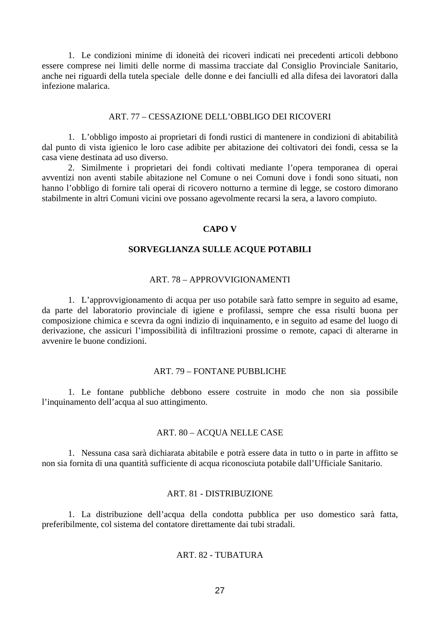<span id="page-26-0"></span>1. Le condizioni minime di idoneità dei ricoveri indicati nei precedenti articoli debbono essere comprese nei limiti delle norme di massima tracciate dal Consiglio Provinciale Sanitario, anche nei riguardi della tutela speciale delle donne e dei fanciulli ed alla difesa dei lavoratori dalla infezione malarica.

#### ART. 77 – CESSAZIONE DELL'OBBLIGO DEI RICOVERI

1. L'obbligo imposto ai proprietari di fondi rustici di mantenere in condizioni di abitabilità dal punto di vista igienico le loro case adibite per abitazione dei coltivatori dei fondi, cessa se la casa viene destinata ad uso diverso.

2. Similmente i proprietari dei fondi coltivati mediante l'opera temporanea di operai avventizi non aventi stabile abitazione nel Comune o nei Comuni dove i fondi sono situati, non hanno l'obbligo di fornire tali operai di ricovero notturno a termine di legge, se costoro dimorano stabilmente in altri Comuni vicini ove possano agevolmente recarsi la sera, a lavoro compiuto.

#### **CAPO V**

#### **SORVEGLIANZA SULLE ACQUE POTABILI**

#### ART. 78 – APPROVVIGIONAMENTI

1. L'approvvigionamento di acqua per uso potabile sarà fatto sempre in seguito ad esame, da parte del laboratorio provinciale di igiene e profilassi, sempre che essa risulti buona per composizione chimica e scevra da ogni indizio di inquinamento, e in seguito ad esame del luogo di derivazione, che assicuri l'impossibilità di infiltrazioni prossime o remote, capaci di alterarne in avvenire le buone condizioni.

#### ART. 79 – FONTANE PUBBLICHE

1. Le fontane pubbliche debbono essere costruite in modo che non sia possibile l'inquinamento dell'acqua al suo attingimento.

## ART. 80 – ACQUA NELLE CASE

1. Nessuna casa sarà dichiarata abitabile e potrà essere data in tutto o in parte in affitto se non sia fornita di una quantità sufficiente di acqua riconosciuta potabile dall'Ufficiale Sanitario.

#### ART. 81 - DISTRIBUZIONE

1. La distribuzione dell'acqua della condotta pubblica per uso domestico sarà fatta, preferibilmente, col sistema del contatore direttamente dai tubi stradali.

## ART. 82 - TUBATURA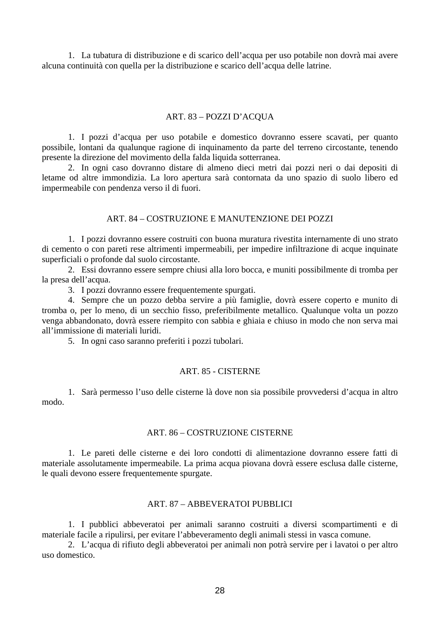<span id="page-27-0"></span>1. La tubatura di distribuzione e di scarico dell'acqua per uso potabile non dovrà mai avere alcuna continuità con quella per la distribuzione e scarico dell'acqua delle latrine.

## ART. 83 – POZZI D'ACQUA

1. I pozzi d'acqua per uso potabile e domestico dovranno essere scavati, per quanto possibile, lontani da qualunque ragione di inquinamento da parte del terreno circostante, tenendo presente la direzione del movimento della falda liquida sotterranea.

2. In ogni caso dovranno distare di almeno dieci metri dai pozzi neri o dai depositi di letame od altre immondizia. La loro apertura sarà contornata da uno spazio di suolo libero ed impermeabile con pendenza verso il di fuori.

## ART. 84 – COSTRUZIONE E MANUTENZIONE DEI POZZI

1. I pozzi dovranno essere costruiti con buona muratura rivestita internamente di uno strato di cemento o con pareti rese altrimenti impermeabili, per impedire infiltrazione di acque inquinate superficiali o profonde dal suolo circostante.

2. Essi dovranno essere sempre chiusi alla loro bocca, e muniti possibilmente di tromba per la presa dell'acqua.

3. I pozzi dovranno essere frequentemente spurgati.

4. Sempre che un pozzo debba servire a più famiglie, dovrà essere coperto e munito di tromba o, per lo meno, di un secchio fisso, preferibilmente metallico. Qualunque volta un pozzo venga abbandonato, dovrà essere riempito con sabbia e ghiaia e chiuso in modo che non serva mai all'immissione di materiali luridi.

5. In ogni caso saranno preferiti i pozzi tubolari.

#### ART. 85 - CISTERNE

1. Sarà permesso l'uso delle cisterne là dove non sia possibile provvedersi d'acqua in altro modo.

## ART. 86 – COSTRUZIONE CISTERNE

1. Le pareti delle cisterne e dei loro condotti di alimentazione dovranno essere fatti di materiale assolutamente impermeabile. La prima acqua piovana dovrà essere esclusa dalle cisterne, le quali devono essere frequentemente spurgate.

#### ART. 87 – ABBEVERATOI PUBBLICI

1. I pubblici abbeveratoi per animali saranno costruiti a diversi scompartimenti e di materiale facile a ripulirsi, per evitare l'abbeveramento degli animali stessi in vasca comune.

2. L'acqua di rifiuto degli abbeveratoi per animali non potrà servire per i lavatoi o per altro uso domestico.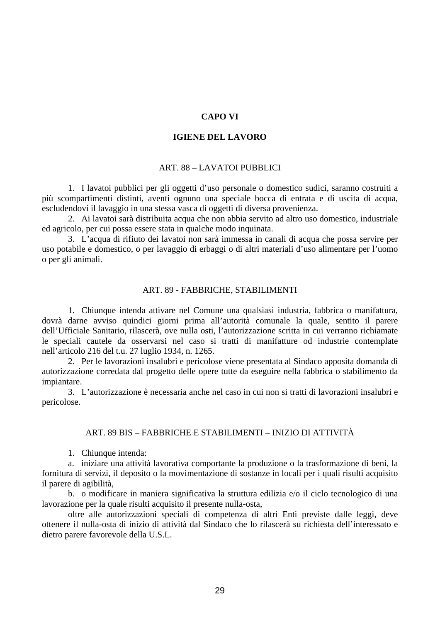## **CAPO VI**

#### **IGIENE DEL LAVORO**

#### ART. 88 – LAVATOI PUBBLICI

<span id="page-28-0"></span>1. I lavatoi pubblici per gli oggetti d'uso personale o domestico sudici, saranno costruiti a più scompartimenti distinti, aventi ognuno una speciale bocca di entrata e di uscita di acqua, escludendovi il lavaggio in una stessa vasca di oggetti di diversa provenienza.

2. Ai lavatoi sarà distribuita acqua che non abbia servito ad altro uso domestico, industriale ed agricolo, per cui possa essere stata in qualche modo inquinata.

3. L'acqua di rifiuto dei lavatoi non sarà immessa in canali di acqua che possa servire per uso potabile e domestico, o per lavaggio di erbaggi o di altri materiali d'uso alimentare per l'uomo o per gli animali.

#### ART. 89 - FABBRICHE, STABILIMENTI

1. Chiunque intenda attivare nel Comune una qualsiasi industria, fabbrica o manifattura, dovrà darne avviso quindici giorni prima all'autorità comunale la quale, sentito il parere dell'Ufficiale Sanitario, rilascerà, ove nulla osti, l'autorizzazione scritta in cui verranno richiamate le speciali cautele da osservarsi nel caso si tratti di manifatture od industrie contemplate nell'articolo 216 del t.u. 27 luglio 1934, n. 1265.

2. Per le lavorazioni insalubri e pericolose viene presentata al Sindaco apposita domanda di autorizzazione corredata dal progetto delle opere tutte da eseguire nella fabbrica o stabilimento da impiantare.

3. L'autorizzazione è necessaria anche nel caso in cui non si tratti di lavorazioni insalubri e pericolose.

#### ART. 89 BIS – FABBRICHE E STABILIMENTI – INIZIO DI ATTIVITÀ

1. Chiunque intenda:

a. iniziare una attività lavorativa comportante la produzione o la trasformazione di beni, la fornitura di servizi, il deposito o la movimentazione di sostanze in locali per i quali risulti acquisito il parere di agibilità,

b. o modificare in maniera significativa la struttura edilizia e/o il ciclo tecnologico di una lavorazione per la quale risulti acquisito il presente nulla-osta,

oltre alle autorizzazioni speciali di competenza di altri Enti previste dalle leggi, deve ottenere il nulla-osta di inizio di attività dal Sindaco che lo rilascerà su richiesta dell'interessato e dietro parere favorevole della U.S.L.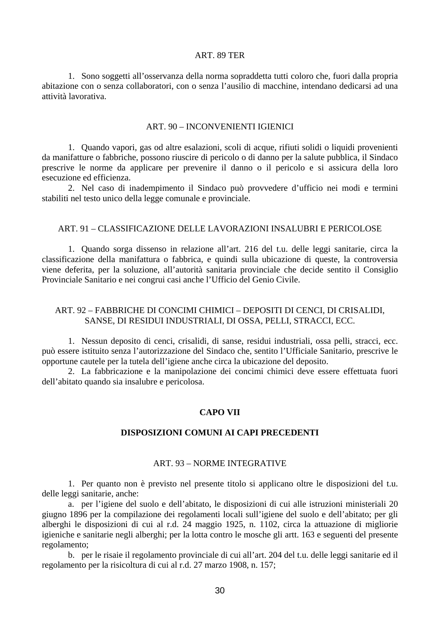#### ART. 89 TER

<span id="page-29-0"></span>1. Sono soggetti all'osservanza della norma sopraddetta tutti coloro che, fuori dalla propria abitazione con o senza collaboratori, con o senza l'ausilio di macchine, intendano dedicarsi ad una attività lavorativa.

#### ART. 90 – INCONVENIENTI IGIENICI

1. Quando vapori, gas od altre esalazioni, scoli di acque, rifiuti solidi o liquidi provenienti da manifatture o fabbriche, possono riuscire di pericolo o di danno per la salute pubblica, il Sindaco prescrive le norme da applicare per prevenire il danno o il pericolo e si assicura della loro esecuzione ed efficienza.

2. Nel caso di inadempimento il Sindaco può provvedere d'ufficio nei modi e termini stabiliti nel testo unico della legge comunale e provinciale.

#### ART. 91 – CLASSIFICAZIONE DELLE LAVORAZIONI INSALUBRI E PERICOLOSE

1. Quando sorga dissenso in relazione all'art. 216 del t.u. delle leggi sanitarie, circa la classificazione della manifattura o fabbrica, e quindi sulla ubicazione di queste, la controversia viene deferita, per la soluzione, all'autorità sanitaria provinciale che decide sentito il Consiglio Provinciale Sanitario e nei congrui casi anche l'Ufficio del Genio Civile.

#### ART. 92 – FABBRICHE DI CONCIMI CHIMICI – DEPOSITI DI CENCI, DI CRISALIDI, SANSE, DI RESIDUI INDUSTRIALI, DI OSSA, PELLI, STRACCI, ECC.

1. Nessun deposito di cenci, crisalidi, di sanse, residui industriali, ossa pelli, stracci, ecc. può essere istituito senza l'autorizzazione del Sindaco che, sentito l'Ufficiale Sanitario, prescrive le opportune cautele per la tutela dell'igiene anche circa la ubicazione del deposito.

2. La fabbricazione e la manipolazione dei concimi chimici deve essere effettuata fuori dell'abitato quando sia insalubre e pericolosa.

#### **CAPO VII**

## **DISPOSIZIONI COMUNI AI CAPI PRECEDENTI**

#### ART. 93 – NORME INTEGRATIVE

1. Per quanto non è previsto nel presente titolo si applicano oltre le disposizioni del t.u. delle leggi sanitarie, anche:

a. per l'igiene del suolo e dell'abitato, le disposizioni di cui alle istruzioni ministeriali 20 giugno 1896 per la compilazione dei regolamenti locali sull'igiene del suolo e dell'abitato; per gli alberghi le disposizioni di cui al r.d. 24 maggio 1925, n. 1102, circa la attuazione di migliorie igieniche e sanitarie negli alberghi; per la lotta contro le mosche gli artt. 163 e seguenti del presente regolamento;

b. per le risaie il regolamento provinciale di cui all'art. 204 del t.u. delle leggi sanitarie ed il regolamento per la risicoltura di cui al r.d. 27 marzo 1908, n. 157;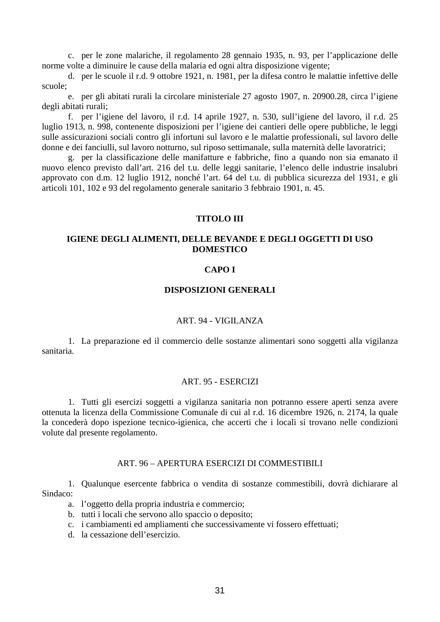<span id="page-30-0"></span>c. per le zone malariche, il regolamento 28 gennaio 1935, n. 93, per l'applicazione delle norme volte a diminuire le cause della malaria ed ogni altra disposizione vigente;

d. per le scuole il r.d. 9 ottobre 1921, n. 1981, per la difesa contro le malattie infettive delle scuole;

e. per gli abitati rurali la circolare ministeriale 27 agosto 1907, n. 20900.28, circa l'igiene degli abitati rurali;

f. per l'igiene del lavoro, il r.d. 14 aprile 1927, n. 530, sull'igiene del lavoro, il r.d. 25 luglio 1913, n. 998, contenente disposizioni per l'igiene dei cantieri delle opere pubbliche, le leggi sulle assicurazioni sociali contro gli infortuni sul lavoro e le malattie professionali, sul lavoro delle donne e dei fanciulli, sul lavoro notturno, sul riposo settimanale, sulla maternità delle lavoratrici;

g. per la classificazione delle manifatture e fabbriche, fino a quando non sia emanato il nuovo elenco previsto dall'art. 216 del t.u. delle leggi sanitarie, l'elenco delle industrie insalubri approvato con d.m. 12 luglio 1912, nonché l'art. 64 del t.u. di pubblica sicurezza del 1931, e gli articoli 101, 102 e 93 del regolamento generale sanitario 3 febbraio 1901, n. 45.

## **TITOLO III**

## **IGIENE DEGLI ALIMENTI, DELLE BEVANDE E DEGLI OGGETTI DI USO DOMESTICO**

#### **CAPO I**

## **DISPOSIZIONI GENERALI**

#### ART. 94 - VIGILANZA

1. La preparazione ed il commercio delle sostanze alimentari sono soggetti alla vigilanza sanitaria.

#### ART. 95 - ESERCIZI

1. Tutti gli esercizi soggetti a vigilanza sanitaria non potranno essere aperti senza avere ottenuta la licenza della Commissione Comunale di cui al r.d. 16 dicembre 1926, n. 2174, la quale la concederà dopo ispezione tecnico-igienica, che accerti che i locali si trovano nelle condizioni volute dal presente regolamento.

#### ART. 96 – APERTURA ESERCIZI DI COMMESTIBILI

1. Qualunque esercente fabbrica o vendita di sostanze commestibili, dovrà dichiarare al Sindaco:

- a. l'oggetto della propria industria e commercio;
- b. tutti i locali che servono allo spaccio o deposito;
- c. i cambiamenti ed ampliamenti che successivamente vi fossero effettuati;
- d. la cessazione dell'esercizio.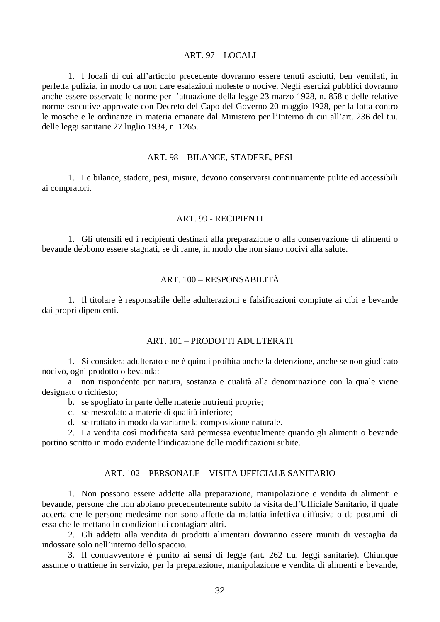## ART. 97 – LOCALI

<span id="page-31-0"></span>1. I locali di cui all'articolo precedente dovranno essere tenuti asciutti, ben ventilati, in perfetta pulizia, in modo da non dare esalazioni moleste o nocive. Negli esercizi pubblici dovranno anche essere osservate le norme per l'attuazione della legge 23 marzo 1928, n. 858 e delle relative norme esecutive approvate con Decreto del Capo del Governo 20 maggio 1928, per la lotta contro le mosche e le ordinanze in materia emanate dal Ministero per l'Interno di cui all'art. 236 del t.u. delle leggi sanitarie 27 luglio 1934, n. 1265.

#### ART. 98 – BILANCE, STADERE, PESI

1. Le bilance, stadere, pesi, misure, devono conservarsi continuamente pulite ed accessibili ai compratori.

# ART. 99 - RECIPIENTI

1. Gli utensili ed i recipienti destinati alla preparazione o alla conservazione di alimenti o bevande debbono essere stagnati, se di rame, in modo che non siano nocivi alla salute.

## ART. 100 – RESPONSABILITÀ

1. Il titolare è responsabile delle adulterazioni e falsificazioni compiute ai cibi e bevande dai propri dipendenti.

## ART. 101 – PRODOTTI ADULTERATI

1. Si considera adulterato e ne è quindi proibita anche la detenzione, anche se non giudicato nocivo, ogni prodotto o bevanda:

a. non rispondente per natura, sostanza e qualità alla denominazione con la quale viene designato o richiesto;

- b. se spogliato in parte delle materie nutrienti proprie;
- c. se mescolato a materie di qualità inferiore;
- d. se trattato in modo da variarne la composizione naturale.

2. La vendita così modificata sarà permessa eventualmente quando gli alimenti o bevande portino scritto in modo evidente l'indicazione delle modificazioni subite.

## ART. 102 – PERSONALE – VISITA UFFICIALE SANITARIO

1. Non possono essere addette alla preparazione, manipolazione e vendita di alimenti e bevande, persone che non abbiano precedentemente subito la visita dell'Ufficiale Sanitario, il quale accerta che le persone medesime non sono affette da malattia infettiva diffusiva o da postumi di essa che le mettano in condizioni di contagiare altri.

2. Gli addetti alla vendita di prodotti alimentari dovranno essere muniti di vestaglia da indossare solo nell'interno dello spaccio.

3. Il contravventore è punito ai sensi di legge (art. 262 t.u. leggi sanitarie). Chiunque assume o trattiene in servizio, per la preparazione, manipolazione e vendita di alimenti e bevande,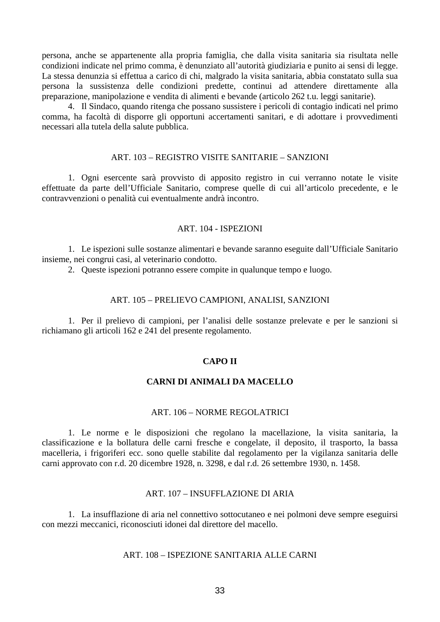<span id="page-32-0"></span>persona, anche se appartenente alla propria famiglia, che dalla visita sanitaria sia risultata nelle condizioni indicate nel primo comma, è denunziato all'autorità giudiziaria e punito ai sensi di legge. La stessa denunzia si effettua a carico di chi, malgrado la visita sanitaria, abbia constatato sulla sua persona la sussistenza delle condizioni predette, continui ad attendere direttamente alla preparazione, manipolazione e vendita di alimenti e bevande (articolo 262 t.u. leggi sanitarie).

4. Il Sindaco, quando ritenga che possano sussistere i pericoli di contagio indicati nel primo comma, ha facoltà di disporre gli opportuni accertamenti sanitari, e di adottare i provvedimenti necessari alla tutela della salute pubblica.

#### ART. 103 – REGISTRO VISITE SANITARIE – SANZIONI

1. Ogni esercente sarà provvisto di apposito registro in cui verranno notate le visite effettuate da parte dell'Ufficiale Sanitario, comprese quelle di cui all'articolo precedente, e le contravvenzioni o penalità cui eventualmente andrà incontro.

## ART. 104 - ISPEZIONI

1. Le ispezioni sulle sostanze alimentari e bevande saranno eseguite dall'Ufficiale Sanitario insieme, nei congrui casi, al veterinario condotto.

2. Queste ispezioni potranno essere compite in qualunque tempo e luogo.

#### ART. 105 – PRELIEVO CAMPIONI, ANALISI, SANZIONI

1. Per il prelievo di campioni, per l'analisi delle sostanze prelevate e per le sanzioni si richiamano gli articoli 162 e 241 del presente regolamento.

## **CAPO II**

#### **CARNI DI ANIMALI DA MACELLO**

#### ART. 106 – NORME REGOLATRICI

1. Le norme e le disposizioni che regolano la macellazione, la visita sanitaria, la classificazione e la bollatura delle carni fresche e congelate, il deposito, il trasporto, la bassa macelleria, i frigoriferi ecc. sono quelle stabilite dal regolamento per la vigilanza sanitaria delle carni approvato con r.d. 20 dicembre 1928, n. 3298, e dal r.d. 26 settembre 1930, n. 1458.

#### ART. 107 – INSUFFLAZIONE DI ARIA

1. La insufflazione di aria nel connettivo sottocutaneo e nei polmoni deve sempre eseguirsi con mezzi meccanici, riconosciuti idonei dal direttore del macello.

## ART. 108 – ISPEZIONE SANITARIA ALLE CARNI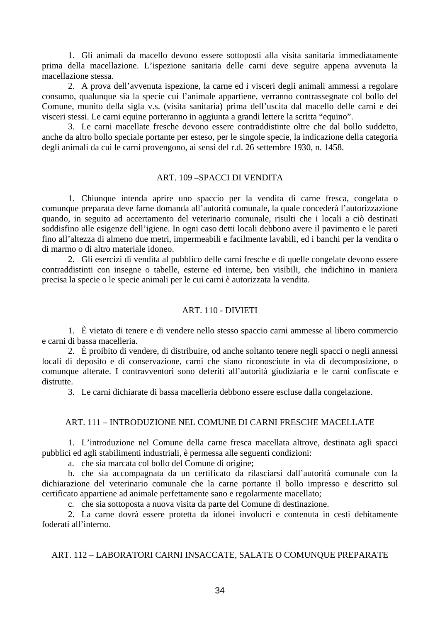<span id="page-33-0"></span>1. Gli animali da macello devono essere sottoposti alla visita sanitaria immediatamente prima della macellazione. L'ispezione sanitaria delle carni deve seguire appena avvenuta la macellazione stessa.

2. A prova dell'avvenuta ispezione, la carne ed i visceri degli animali ammessi a regolare consumo, qualunque sia la specie cui l'animale appartiene, verranno contrassegnate col bollo del Comune, munito della sigla v.s. (visita sanitaria) prima dell'uscita dal macello delle carni e dei visceri stessi. Le carni equine porteranno in aggiunta a grandi lettere la scritta "equino".

3. Le carni macellate fresche devono essere contraddistinte oltre che dal bollo suddetto, anche da altro bollo speciale portante per esteso, per le singole specie, la indicazione della categoria degli animali da cui le carni provengono, ai sensi del r.d. 26 settembre 1930, n. 1458.

#### ART. 109 –SPACCI DI VENDITA

1. Chiunque intenda aprire uno spaccio per la vendita di carne fresca, congelata o comunque preparata deve farne domanda all'autorità comunale, la quale concederà l'autorizzazione quando, in seguito ad accertamento del veterinario comunale, risulti che i locali a ciò destinati soddisfino alle esigenze dell'igiene. In ogni caso detti locali debbono avere il pavimento e le pareti fino all'altezza di almeno due metri, impermeabili e facilmente lavabili, ed i banchi per la vendita o di marmo o di altro materiale idoneo.

2. Gli esercizi di vendita al pubblico delle carni fresche e di quelle congelate devono essere contraddistinti con insegne o tabelle, esterne ed interne, ben visibili, che indichino in maniera precisa la specie o le specie animali per le cui carni è autorizzata la vendita.

#### ART. 110 - DIVIETI

1. È vietato di tenere e di vendere nello stesso spaccio carni ammesse al libero commercio e carni di bassa macelleria.

2. È proibito di vendere, di distribuire, od anche soltanto tenere negli spacci o negli annessi locali di deposito e di conservazione, carni che siano riconosciute in via di decomposizione, o comunque alterate. I contravventori sono deferiti all'autorità giudiziaria e le carni confiscate e distrutte.

3. Le carni dichiarate di bassa macelleria debbono essere escluse dalla congelazione.

#### ART. 111 – INTRODUZIONE NEL COMUNE DI CARNI FRESCHE MACELLATE

1. L'introduzione nel Comune della carne fresca macellata altrove, destinata agli spacci pubblici ed agli stabilimenti industriali, è permessa alle seguenti condizioni:

a. che sia marcata col bollo del Comune di origine;

b. che sia accompagnata da un certificato da rilasciarsi dall'autorità comunale con la dichiarazione del veterinario comunale che la carne portante il bollo impresso e descritto sul certificato appartiene ad animale perfettamente sano e regolarmente macellato;

c. che sia sottoposta a nuova visita da parte del Comune di destinazione.

2. La carne dovrà essere protetta da idonei involucri e contenuta in cesti debitamente foderati all'interno.

## ART. 112 – LABORATORI CARNI INSACCATE, SALATE O COMUNQUE PREPARATE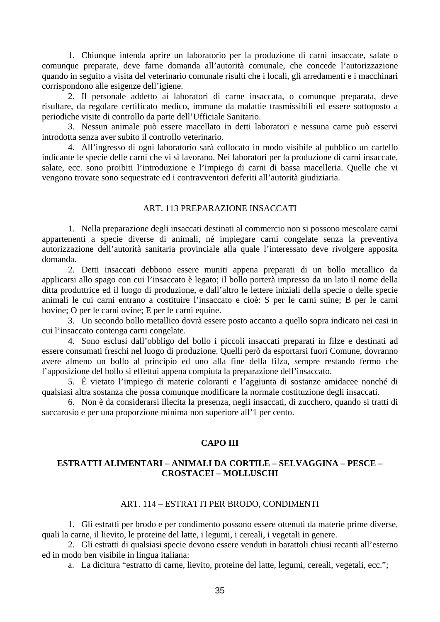<span id="page-34-0"></span>1. Chiunque intenda aprire un laboratorio per la produzione di carni insaccate, salate o comunque preparate, deve farne domanda all'autorità comunale, che concede l'autorizzazione quando in seguito a visita del veterinario comunale risulti che i locali, gli arredamenti e i macchinari corrispondono alle esigenze dell'igiene.

2. Il personale addetto ai laboratori di carne insaccata, o comunque preparata, deve risultare, da regolare certificato medico, immune da malattie trasmissibili ed essere sottoposto a periodiche visite di controllo da parte dell'Ufficiale Sanitario.

3. Nessun animale può essere macellato in detti laboratori e nessuna carne può esservi introdotta senza aver subito il controllo veterinario.

4. All'ingresso di ogni laboratorio sarà collocato in modo visibile al pubblico un cartello indicante le specie delle carni che vi si lavorano. Nei laboratori per la produzione di carni insaccate, salate, ecc. sono proibiti l'introduzione e l'impiego di carni di bassa macelleria. Quelle che vi vengono trovate sono sequestrate ed i contravventori deferiti all'autorità giudiziaria.

#### ART. 113 PREPARAZIONE INSACCATI

1. Nella preparazione degli insaccati destinati al commercio non si possono mescolare carni appartenenti a specie diverse di animali, né impiegare carni congelate senza la preventiva autorizzazione dell'autorità sanitaria provinciale alla quale l'interessato deve rivolgere apposita domanda.

2. Detti insaccati debbono essere muniti appena preparati di un bollo metallico da applicarsi allo spago con cui l'insaccato è legato; il bollo porterà impresso da un lato il nome della ditta produttrice ed il luogo di produzione, e dall'altro le lettere iniziali della specie o delle specie animali le cui carni entrano a costituire l'insaccato e cioè: S per le carni suine; B per le carni bovine; O per le carni ovine; E per le carni equine.

3. Un secondo bollo metallico dovrà essere posto accanto a quello sopra indicato nei casi in cui l'insaccato contenga carni congelate.

4. Sono esclusi dall'obbligo del bollo i piccoli insaccati preparati in filze e destinati ad essere consumati freschi nel luogo di produzione. Quelli però da esportarsi fuori Comune, dovranno avere almeno un bollo al principio ed uno alla fine della filza, sempre restando fermo che l'apposizione del bollo si effettui appena compiuta la preparazione dell'insaccato.

5. È vietato l'impiego di materie coloranti e l'aggiunta di sostanze amidacee nonché di qualsiasi altra sostanza che possa comunque modificare la normale costituzione degli insaccati.

6. Non è da considerarsi illecita la presenza, negli insaccati, di zucchero, quando si tratti di saccarosio e per una proporzione minima non superiore all'1 per cento.

# **CAPO III**

## **ESTRATTI ALIMENTARI – ANIMALI DA CORTILE – SELVAGGINA – PESCE – CROSTACEI – MOLLUSCHI**

#### ART. 114 – ESTRATTI PER BRODO, CONDIMENTI

1. Gli estratti per brodo e per condimento possono essere ottenuti da materie prime diverse, quali la carne, il lievito, le proteine del latte, i legumi, i cereali, i vegetali in genere.

2. Gli estratti di qualsiasi specie devono essere venduti in barattoli chiusi recanti all'esterno ed in modo ben visibile in lingua italiana:

a. La dicitura "estratto di carne, lievito, proteine del latte, legumi, cereali, vegetali, ecc.";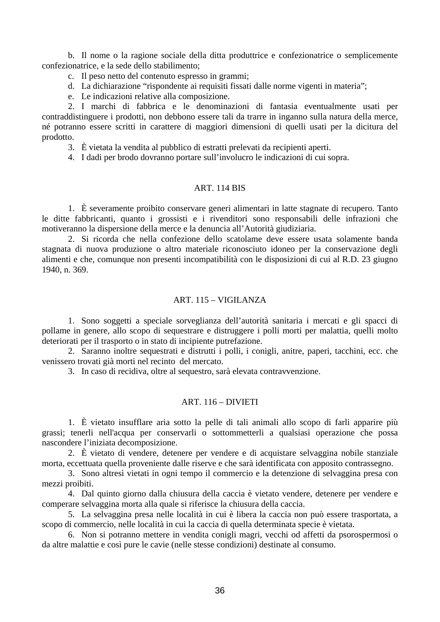<span id="page-35-0"></span>b. Il nome o la ragione sociale della ditta produttrice e confezionatrice o semplicemente confezionatrice, e la sede dello stabilimento;

c. Il peso netto del contenuto espresso in grammi;

d. La dichiarazione "rispondente ai requisiti fissati dalle norme vigenti in materia";

e. Le indicazioni relative alla composizione.

2. I marchi di fabbrica e le denominazioni di fantasia eventualmente usati per contraddistinguere i prodotti, non debbono essere tali da trarre in inganno sulla natura della merce, né potranno essere scritti in carattere di maggiori dimensioni di quelli usati per la dicitura del prodotto.

3. È vietata la vendita al pubblico di estratti prelevati da recipienti aperti.

4. I dadi per brodo dovranno portare sull'involucro le indicazioni di cui sopra.

#### ART. 114 BIS

1. È severamente proibito conservare generi alimentari in latte stagnate di recupero. Tanto le ditte fabbricanti, quanto i grossisti e i rivenditori sono responsabili delle infrazioni che motiveranno la dispersione della merce e la denuncia all'Autorità giudiziaria.

2. Si ricorda che nella confezione dello scatolame deve essere usata solamente banda stagnata di nuova produzione o altro materiale riconosciuto idoneo per la conservazione degli alimenti e che, comunque non presenti incompatibilità con le disposizioni di cui al R.D. 23 giugno 1940, n. 369.

## ART. 115 – VIGILANZA

1. Sono soggetti a speciale sorveglianza dell'autorità sanitaria i mercati e gli spacci di pollame in genere, allo scopo di sequestrare e distruggere i polli morti per malattia, quelli molto deteriorati per il trasporto o in stato di incipiente putrefazione.

2. Saranno inoltre sequestrati e distrutti i polli, i conigli, anitre, paperi, tacchini, ecc. che venissero trovati già morti nel recinto del mercato.

3. In caso di recidiva, oltre al sequestro, sarà elevata contravvenzione.

## ART. 116 – DIVIETI

1. È vietato insufflare aria sotto la pelle di tali animali allo scopo di farli apparire più grassi; tenerli nell'acqua per conservarli o sottommetterli a qualsiasi operazione che possa nascondere l'iniziata decomposizione.

2. È vietato di vendere, detenere per vendere e di acquistare selvaggina nobile stanziale morta, eccettuata quella proveniente dalle riserve e che sarà identificata con apposito contrassegno.

3. Sono altresì vietati in ogni tempo il commercio e la detenzione di selvaggina presa con mezzi proibiti.

4. Dal quinto giorno dalla chiusura della caccia è vietato vendere, detenere per vendere e comperare selvaggina morta alla quale si riferisce la chiusura della caccia.

5. La selvaggina presa nelle località in cui è libera la caccia non può essere trasportata, a scopo di commercio, nelle località in cui la caccia di quella determinata specie è vietata.

6. Non si potranno mettere in vendita conigli magri, vecchi od affetti da psorospermosi o da altre malattie e così pure le cavie (nelle stesse condizioni) destinate al consumo.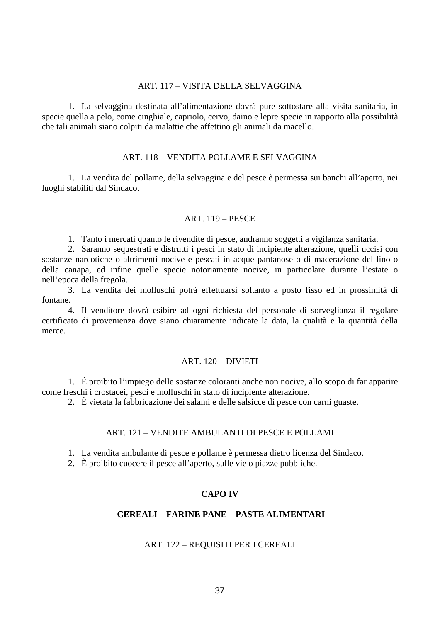## ART. 117 – VISITA DELLA SELVAGGINA

1. La selvaggina destinata all'alimentazione dovrà pure sottostare alla visita sanitaria, in specie quella a pelo, come cinghiale, capriolo, cervo, daino e lepre specie in rapporto alla possibilità che tali animali siano colpiti da malattie che affettino gli animali da macello.

## ART. 118 – VENDITA POLLAME E SELVAGGINA

1. La vendita del pollame, della selvaggina e del pesce è permessa sui banchi all'aperto, nei luoghi stabiliti dal Sindaco.

### ART. 119 – PESCE

1. Tanto i mercati quanto le rivendite di pesce, andranno soggetti a vigilanza sanitaria.

2. Saranno sequestrati e distrutti i pesci in stato di incipiente alterazione, quelli uccisi con sostanze narcotiche o altrimenti nocive e pescati in acque pantanose o di macerazione del lino o della canapa, ed infine quelle specie notoriamente nocive, in particolare durante l'estate o nell'epoca della fregola.

3. La vendita dei molluschi potrà effettuarsi soltanto a posto fisso ed in prossimità di fontane.

4. Il venditore dovrà esibire ad ogni richiesta del personale di sorveglianza il regolare certificato di provenienza dove siano chiaramente indicate la data, la qualità e la quantità della merce.

### ART. 120 – DIVIETI

1. È proibito l'impiego delle sostanze coloranti anche non nocive, allo scopo di far apparire come freschi i crostacei, pesci e molluschi in stato di incipiente alterazione.

2. È vietata la fabbricazione dei salami e delle salsicce di pesce con carni guaste.

### ART. 121 – VENDITE AMBULANTI DI PESCE E POLLAMI

1. La vendita ambulante di pesce e pollame è permessa dietro licenza del Sindaco.

2. È proibito cuocere il pesce all'aperto, sulle vie o piazze pubbliche.

## **CAPO IV**

## **CEREALI – FARINE PANE – PASTE ALIMENTARI**

## ART. 122 – REQUISITI PER I CEREALI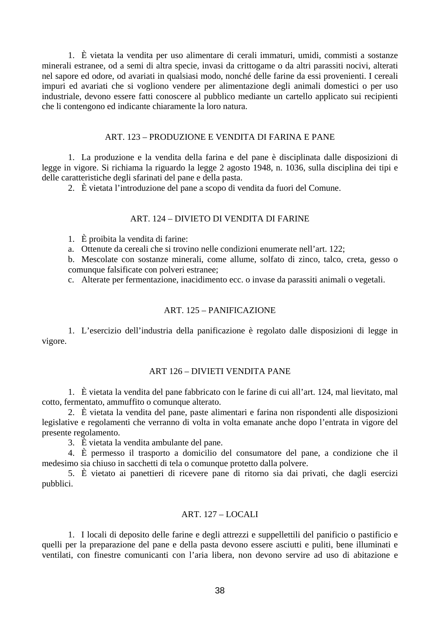1. È vietata la vendita per uso alimentare di cerali immaturi, umidi, commisti a sostanze minerali estranee, od a semi di altra specie, invasi da crittogame o da altri parassiti nocivi, alterati nel sapore ed odore, od avariati in qualsiasi modo, nonché delle farine da essi provenienti. I cereali impuri ed avariati che si vogliono vendere per alimentazione degli animali domestici o per uso industriale, devono essere fatti conoscere al pubblico mediante un cartello applicato sui recipienti che li contengono ed indicante chiaramente la loro natura.

### ART. 123 – PRODUZIONE E VENDITA DI FARINA E PANE

1. La produzione e la vendita della farina e del pane è disciplinata dalle disposizioni di legge in vigore. Si richiama la riguardo la legge 2 agosto 1948, n. 1036, sulla disciplina dei tipi e delle caratteristiche degli sfarinati del pane e della pasta.

2. È vietata l'introduzione del pane a scopo di vendita da fuori del Comune.

# ART. 124 – DIVIETO DI VENDITA DI FARINE

1. È proibita la vendita di farine:

a. Ottenute da cereali che si trovino nelle condizioni enumerate nell'art. 122;

b. Mescolate con sostanze minerali, come allume, solfato di zinco, talco, creta, gesso o comunque falsificate con polveri estranee;

c. Alterate per fermentazione, inacidimento ecc. o invase da parassiti animali o vegetali.

### ART. 125 – PANIFICAZIONE

1. L'esercizio dell'industria della panificazione è regolato dalle disposizioni di legge in vigore.

### ART 126 – DIVIETI VENDITA PANE

1. È vietata la vendita del pane fabbricato con le farine di cui all'art. 124, mal lievitato, mal cotto, fermentato, ammuffito o comunque alterato.

2. È vietata la vendita del pane, paste alimentari e farina non rispondenti alle disposizioni legislative e regolamenti che verranno di volta in volta emanate anche dopo l'entrata in vigore del presente regolamento.

3. È vietata la vendita ambulante del pane.

4. È permesso il trasporto a domicilio del consumatore del pane, a condizione che il medesimo sia chiuso in sacchetti di tela o comunque protetto dalla polvere.

5. È vietato ai panettieri di ricevere pane di ritorno sia dai privati, che dagli esercizi pubblici.

# ART. 127 – LOCALI

1. I locali di deposito delle farine e degli attrezzi e suppellettili del panificio o pastificio e quelli per la preparazione del pane e della pasta devono essere asciutti e puliti, bene illuminati e ventilati, con finestre comunicanti con l'aria libera, non devono servire ad uso di abitazione e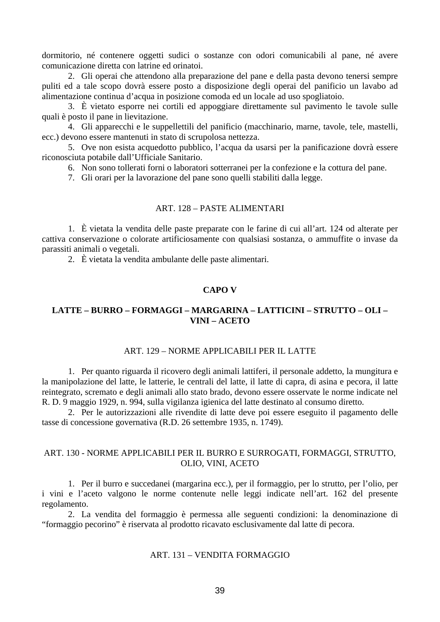dormitorio, né contenere oggetti sudici o sostanze con odori comunicabili al pane, né avere comunicazione diretta con latrine ed orinatoi.

2. Gli operai che attendono alla preparazione del pane e della pasta devono tenersi sempre puliti ed a tale scopo dovrà essere posto a disposizione degli operai del panificio un lavabo ad alimentazione continua d'acqua in posizione comoda ed un locale ad uso spogliatoio.

3. È vietato esporre nei cortili ed appoggiare direttamente sul pavimento le tavole sulle quali è posto il pane in lievitazione.

4. Gli apparecchi e le suppellettili del panificio (macchinario, marne, tavole, tele, mastelli, ecc.) devono essere mantenuti in stato di scrupolosa nettezza.

5. Ove non esista acquedotto pubblico, l'acqua da usarsi per la panificazione dovrà essere riconosciuta potabile dall'Ufficiale Sanitario.

6. Non sono tollerati forni o laboratori sotterranei per la confezione e la cottura del pane.

7. Gli orari per la lavorazione del pane sono quelli stabiliti dalla legge.

### ART. 128 – PASTE ALIMENTARI

1. È vietata la vendita delle paste preparate con le farine di cui all'art. 124 od alterate per cattiva conservazione o colorate artificiosamente con qualsiasi sostanza, o ammuffite o invase da parassiti animali o vegetali.

2. È vietata la vendita ambulante delle paste alimentari.

## **CAPO V**

# **LATTE – BURRO – FORMAGGI – MARGARINA – LATTICINI – STRUTTO – OLI – VINI – ACETO**

### ART. 129 – NORME APPLICABILI PER IL LATTE

1. Per quanto riguarda il ricovero degli animali lattiferi, il personale addetto, la mungitura e la manipolazione del latte, le latterie, le centrali del latte, il latte di capra, di asina e pecora, il latte reintegrato, scremato e degli animali allo stato brado, devono essere osservate le norme indicate nel R. D. 9 maggio 1929, n. 994, sulla vigilanza igienica del latte destinato al consumo diretto.

2. Per le autorizzazioni alle rivendite di latte deve poi essere eseguito il pagamento delle tasse di concessione governativa (R.D. 26 settembre 1935, n. 1749).

# ART. 130 - NORME APPLICABILI PER IL BURRO E SURROGATI, FORMAGGI, STRUTTO, OLIO, VINI, ACETO

1. Per il burro e succedanei (margarina ecc.), per il formaggio, per lo strutto, per l'olio, per i vini e l'aceto valgono le norme contenute nelle leggi indicate nell'art. 162 del presente regolamento.

2. La vendita del formaggio è permessa alle seguenti condizioni: la denominazione di "formaggio pecorino" è riservata al prodotto ricavato esclusivamente dal latte di pecora.

# ART. 131 – VENDITA FORMAGGIO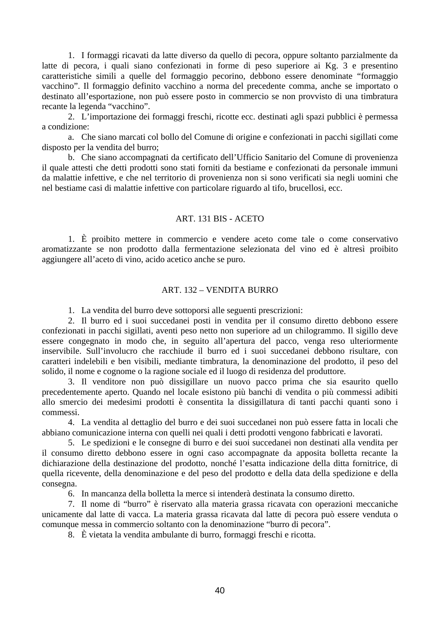1. I formaggi ricavati da latte diverso da quello di pecora, oppure soltanto parzialmente da latte di pecora, i quali siano confezionati in forme di peso superiore ai Kg. 3 e presentino caratteristiche simili a quelle del formaggio pecorino, debbono essere denominate "formaggio vacchino". Il formaggio definito vacchino a norma del precedente comma, anche se importato o destinato all'esportazione, non può essere posto in commercio se non provvisto di una timbratura recante la legenda "vacchino".

2. L'importazione dei formaggi freschi, ricotte ecc. destinati agli spazi pubblici è permessa a condizione:

a. Che siano marcati col bollo del Comune di origine e confezionati in pacchi sigillati come disposto per la vendita del burro;

b. Che siano accompagnati da certificato dell'Ufficio Sanitario del Comune di provenienza il quale attesti che detti prodotti sono stati forniti da bestiame e confezionati da personale immuni da malattie infettive, e che nel territorio di provenienza non si sono verificati sia negli uomini che nel bestiame casi di malattie infettive con particolare riguardo al tifo, brucellosi, ecc.

## ART. 131 BIS - ACETO

1. È proibito mettere in commercio e vendere aceto come tale o come conservativo aromatizzante se non prodotto dalla fermentazione selezionata del vino ed è altresì proibito aggiungere all'aceto di vino, acido acetico anche se puro.

# ART. 132 – VENDITA BURRO

1. La vendita del burro deve sottoporsi alle seguenti prescrizioni:

2. Il burro ed i suoi succedanei posti in vendita per il consumo diretto debbono essere confezionati in pacchi sigillati, aventi peso netto non superiore ad un chilogrammo. Il sigillo deve essere congegnato in modo che, in seguito all'apertura del pacco, venga reso ulteriormente inservibile. Sull'involucro che racchiude il burro ed i suoi succedanei debbono risultare, con caratteri indelebili e ben visibili, mediante timbratura, la denominazione del prodotto, il peso del solido, il nome e cognome o la ragione sociale ed il luogo di residenza del produttore.

3. Il venditore non può dissigillare un nuovo pacco prima che sia esaurito quello precedentemente aperto. Quando nel locale esistono più banchi di vendita o più commessi adibiti allo smercio dei medesimi prodotti è consentita la dissigillatura di tanti pacchi quanti sono i commessi.

4. La vendita al dettaglio del burro e dei suoi succedanei non può essere fatta in locali che abbiano comunicazione interna con quelli nei quali i detti prodotti vengono fabbricati e lavorati.

5. Le spedizioni e le consegne di burro e dei suoi succedanei non destinati alla vendita per il consumo diretto debbono essere in ogni caso accompagnate da apposita bolletta recante la dichiarazione della destinazione del prodotto, nonché l'esatta indicazione della ditta fornitrice, di quella ricevente, della denominazione e del peso del prodotto e della data della spedizione e della consegna.

6. In mancanza della bolletta la merce si intenderà destinata la consumo diretto.

7. Il nome di "burro" è riservato alla materia grassa ricavata con operazioni meccaniche unicamente dal latte di vacca. La materia grassa ricavata dal latte di pecora può essere venduta o comunque messa in commercio soltanto con la denominazione "burro di pecora".

8. È vietata la vendita ambulante di burro, formaggi freschi e ricotta.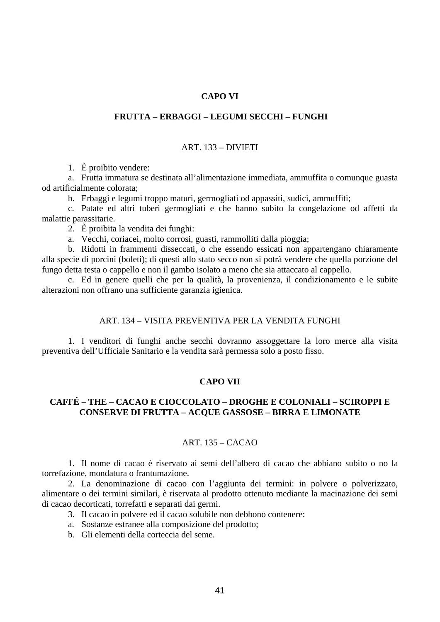### **CAPO VI**

## **FRUTTA – ERBAGGI – LEGUMI SECCHI – FUNGHI**

#### ART. 133 – DIVIETI

1. È proibito vendere:

a. Frutta immatura se destinata all'alimentazione immediata, ammuffita o comunque guasta od artificialmente colorata;

b. Erbaggi e legumi troppo maturi, germogliati od appassiti, sudici, ammuffiti;

c. Patate ed altri tuberi germogliati e che hanno subito la congelazione od affetti da malattie parassitarie.

2. È proibita la vendita dei funghi:

a. Vecchi, coriacei, molto corrosi, guasti, rammolliti dalla pioggia;

b. Ridotti in frammenti disseccati, o che essendo essicati non appartengano chiaramente alla specie di porcini (boleti); di questi allo stato secco non si potrà vendere che quella porzione del fungo detta testa o cappello e non il gambo isolato a meno che sia attaccato al cappello.

c. Ed in genere quelli che per la qualità, la provenienza, il condizionamento e le subite alterazioni non offrano una sufficiente garanzia igienica.

## ART. 134 – VISITA PREVENTIVA PER LA VENDITA FUNGHI

1. I venditori di funghi anche secchi dovranno assoggettare la loro merce alla visita preventiva dell'Ufficiale Sanitario e la vendita sarà permessa solo a posto fisso.

#### **CAPO VII**

# **CAFFÉ – THE – CACAO E CIOCCOLATO – DROGHE E COLONIALI – SCIROPPI E CONSERVE DI FRUTTA – ACQUE GASSOSE – BIRRA E LIMONATE**

## ART. 135 – CACAO

1. Il nome di cacao è riservato ai semi dell'albero di cacao che abbiano subito o no la torrefazione, mondatura o frantumazione.

2. La denominazione di cacao con l'aggiunta dei termini: in polvere o polverizzato, alimentare o dei termini similari, è riservata al prodotto ottenuto mediante la macinazione dei semi di cacao decorticati, torrefatti e separati dai germi.

- 3. Il cacao in polvere ed il cacao solubile non debbono contenere:
- a. Sostanze estranee alla composizione del prodotto;
- b. Gli elementi della corteccia del seme.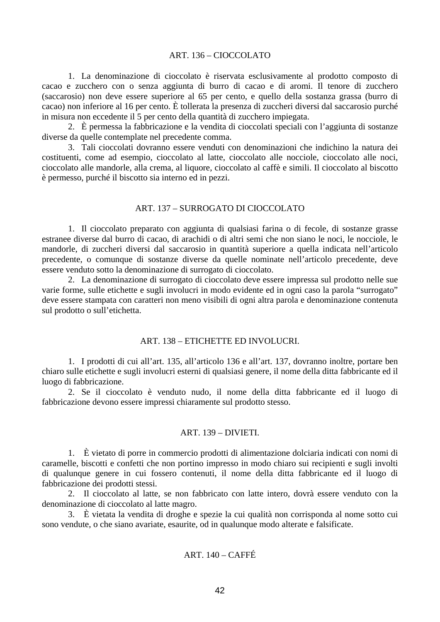### ART. 136 – CIOCCOLATO

1. La denominazione di cioccolato è riservata esclusivamente al prodotto composto di cacao e zucchero con o senza aggiunta di burro di cacao e di aromi. Il tenore di zucchero (saccarosio) non deve essere superiore al 65 per cento, e quello della sostanza grassa (burro di cacao) non inferiore al 16 per cento. È tollerata la presenza di zuccheri diversi dal saccarosio purché in misura non eccedente il 5 per cento della quantità di zucchero impiegata.

2. È permessa la fabbricazione e la vendita di cioccolati speciali con l'aggiunta di sostanze diverse da quelle contemplate nel precedente comma.

3. Tali cioccolati dovranno essere venduti con denominazioni che indichino la natura dei costituenti, come ad esempio, cioccolato al latte, cioccolato alle nocciole, cioccolato alle noci, cioccolato alle mandorle, alla crema, al liquore, cioccolato al caffè e simili. Il cioccolato al biscotto è permesso, purché il biscotto sia interno ed in pezzi.

### ART. 137 – SURROGATO DI CIOCCOLATO

1. Il cioccolato preparato con aggiunta di qualsiasi farina o di fecole, di sostanze grasse estranee diverse dal burro di cacao, di arachidi o di altri semi che non siano le noci, le nocciole, le mandorle, di zuccheri diversi dal saccarosio in quantità superiore a quella indicata nell'articolo precedente, o comunque di sostanze diverse da quelle nominate nell'articolo precedente, deve essere venduto sotto la denominazione di surrogato di cioccolato.

2. La denominazione di surrogato di cioccolato deve essere impressa sul prodotto nelle sue varie forme, sulle etichette e sugli involucri in modo evidente ed in ogni caso la parola "surrogato" deve essere stampata con caratteri non meno visibili di ogni altra parola e denominazione contenuta sul prodotto o sull'etichetta.

### ART. 138 – ETICHETTE ED INVOLUCRI.

1. I prodotti di cui all'art. 135, all'articolo 136 e all'art. 137, dovranno inoltre, portare ben chiaro sulle etichette e sugli involucri esterni di qualsiasi genere, il nome della ditta fabbricante ed il luogo di fabbricazione.

2. Se il cioccolato è venduto nudo, il nome della ditta fabbricante ed il luogo di fabbricazione devono essere impressi chiaramente sul prodotto stesso.

### ART. 139 – DIVIETI.

1. È vietato di porre in commercio prodotti di alimentazione dolciaria indicati con nomi di caramelle, biscotti e confetti che non portino impresso in modo chiaro sui recipienti e sugli involti di qualunque genere in cui fossero contenuti, il nome della ditta fabbricante ed il luogo di fabbricazione dei prodotti stessi.

2. Il cioccolato al latte, se non fabbricato con latte intero, dovrà essere venduto con la denominazione di cioccolato al latte magro.

3. È vietata la vendita di droghe e spezie la cui qualità non corrisponda al nome sotto cui sono vendute, o che siano avariate, esaurite, od in qualunque modo alterate e falsificate.

# $ART$  140 – CAFFÉ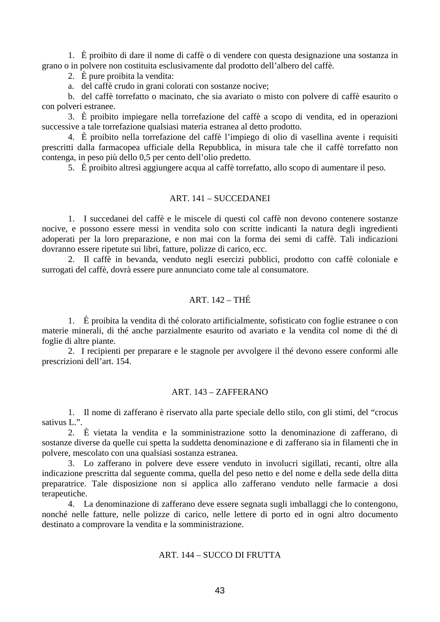1. È proibito di dare il nome di caffè o di vendere con questa designazione una sostanza in grano o in polvere non costituita esclusivamente dal prodotto dell'albero del caffè.

2. È pure proibita la vendita:

a. del caffè crudo in grani colorati con sostanze nocive;

b. del caffè torrefatto o macinato, che sia avariato o misto con polvere di caffè esaurito o con polveri estranee.

3. È proibito impiegare nella torrefazione del caffè a scopo di vendita, ed in operazioni successive a tale torrefazione qualsiasi materia estranea al detto prodotto.

4. È proibito nella torrefazione del caffè l'impiego di olio di vasellina avente i requisiti prescritti dalla farmacopea ufficiale della Repubblica, in misura tale che il caffè torrefatto non contenga, in peso più dello 0,5 per cento dell'olio predetto.

5. È proibito altresì aggiungere acqua al caffè torrefatto, allo scopo di aumentare il peso.

## ART. 141 – SUCCEDANEI

1. I succedanei del caffè e le miscele di questi col caffè non devono contenere sostanze nocive, e possono essere messi in vendita solo con scritte indicanti la natura degli ingredienti adoperati per la loro preparazione, e non mai con la forma dei semi di caffè. Tali indicazioni dovranno essere ripetute sui libri, fatture, polizze di carico, ecc.

2. Il caffè in bevanda, venduto negli esercizi pubblici, prodotto con caffè coloniale e surrogati del caffè, dovrà essere pure annunciato come tale al consumatore.

# ART. 142 – THÉ

1. È proibita la vendita di thé colorato artificialmente, sofisticato con foglie estranee o con materie minerali, di thé anche parzialmente esaurito od avariato e la vendita col nome di thé di foglie di altre piante.

2. I recipienti per preparare e le stagnole per avvolgere il thé devono essere conformi alle prescrizioni dell'art. 154.

## ART. 143 – ZAFFERANO

1. Il nome di zafferano è riservato alla parte speciale dello stilo, con gli stimi, del "crocus sativus L.".

2. È vietata la vendita e la somministrazione sotto la denominazione di zafferano, di sostanze diverse da quelle cui spetta la suddetta denominazione e di zafferano sia in filamenti che in polvere, mescolato con una qualsiasi sostanza estranea.

3. Lo zafferano in polvere deve essere venduto in involucri sigillati, recanti, oltre alla indicazione prescritta dal seguente comma, quella del peso netto e del nome e della sede della ditta preparatrice. Tale disposizione non si applica allo zafferano venduto nelle farmacie a dosi terapeutiche.

4. La denominazione di zafferano deve essere segnata sugli imballaggi che lo contengono, nonché nelle fatture, nelle polizze di carico, nelle lettere di porto ed in ogni altro documento destinato a comprovare la vendita e la somministrazione.

# ART. 144 – SUCCO DI FRUTTA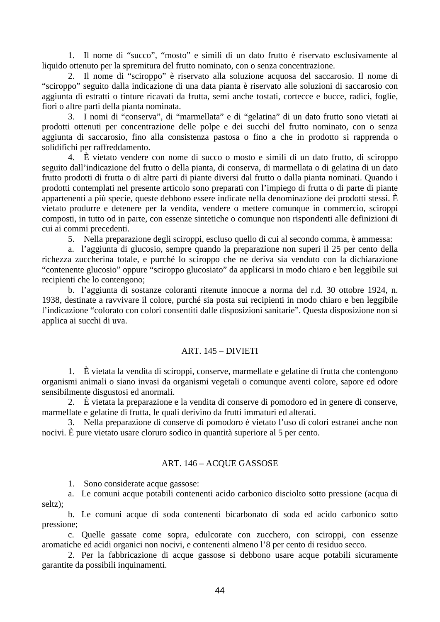1. Il nome di "succo", "mosto" e simili di un dato frutto è riservato esclusivamente al liquido ottenuto per la spremitura del frutto nominato, con o senza concentrazione.

2. Il nome di "sciroppo" è riservato alla soluzione acquosa del saccarosio. Il nome di "sciroppo" seguito dalla indicazione di una data pianta è riservato alle soluzioni di saccarosio con aggiunta di estratti o tinture ricavati da frutta, semi anche tostati, cortecce e bucce, radici, foglie, fiori o altre parti della pianta nominata.

3. I nomi di "conserva", di "marmellata" e di "gelatina" di un dato frutto sono vietati ai prodotti ottenuti per concentrazione delle polpe e dei succhi del frutto nominato, con o senza aggiunta di saccarosio, fino alla consistenza pastosa o fino a che in prodotto si rapprenda o solidifichi per raffreddamento.

4. È vietato vendere con nome di succo o mosto e simili di un dato frutto, di sciroppo seguito dall'indicazione del frutto o della pianta, di conserva, di marmellata o di gelatina di un dato frutto prodotti di frutta o di altre parti di piante diversi dal frutto o dalla pianta nominati. Quando i prodotti contemplati nel presente articolo sono preparati con l'impiego di frutta o di parte di piante appartenenti a più specie, queste debbono essere indicate nella denominazione dei prodotti stessi. È vietato produrre e detenere per la vendita, vendere o mettere comunque in commercio, sciroppi composti, in tutto od in parte, con essenze sintetiche o comunque non rispondenti alle definizioni di cui ai commi precedenti.

5. Nella preparazione degli sciroppi, escluso quello di cui al secondo comma, è ammessa:

a. l'aggiunta di glucosio, sempre quando la preparazione non superi il 25 per cento della richezza zuccherina totale, e purché lo sciroppo che ne deriva sia venduto con la dichiarazione "contenente glucosio" oppure "sciroppo glucosiato" da applicarsi in modo chiaro e ben leggibile sui recipienti che lo contengono;

b. l'aggiunta di sostanze coloranti ritenute innocue a norma del r.d. 30 ottobre 1924, n. 1938, destinate a ravvivare il colore, purché sia posta sui recipienti in modo chiaro e ben leggibile l'indicazione "colorato con colori consentiti dalle disposizioni sanitarie". Questa disposizione non si applica ai succhi di uva.

### ART. 145 – DIVIETI

1. È vietata la vendita di sciroppi, conserve, marmellate e gelatine di frutta che contengono organismi animali o siano invasi da organismi vegetali o comunque aventi colore, sapore ed odore sensibilmente disgustosi ed anormali.

2. È vietata la preparazione e la vendita di conserve di pomodoro ed in genere di conserve, marmellate e gelatine di frutta, le quali derivino da frutti immaturi ed alterati.

3. Nella preparazione di conserve di pomodoro è vietato l'uso di colori estranei anche non nocivi. È pure vietato usare cloruro sodico in quantità superiore al 5 per cento.

### ART. 146 – ACQUE GASSOSE

1. Sono considerate acque gassose:

a. Le comuni acque potabili contenenti acido carbonico disciolto sotto pressione (acqua di seltz);

b. Le comuni acque di soda contenenti bicarbonato di soda ed acido carbonico sotto pressione;

c. Quelle gassate come sopra, edulcorate con zucchero, con sciroppi, con essenze aromatiche ed acidi organici non nocivi, e contenenti almeno l'8 per cento di residuo secco.

2. Per la fabbricazione di acque gassose si debbono usare acque potabili sicuramente garantite da possibili inquinamenti.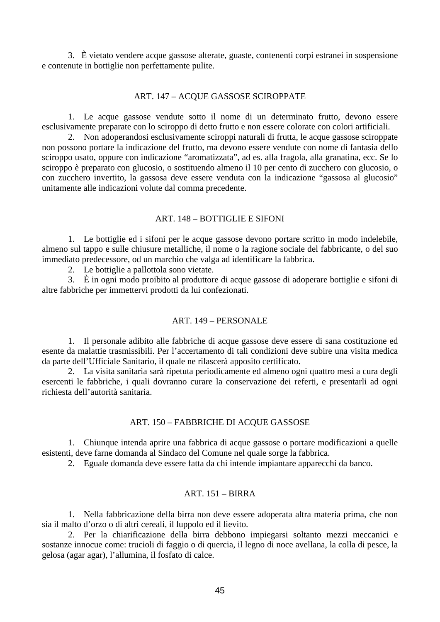3. È vietato vendere acque gassose alterate, guaste, contenenti corpi estranei in sospensione e contenute in bottiglie non perfettamente pulite.

### ART. 147 – ACQUE GASSOSE SCIROPPATE

1. Le acque gassose vendute sotto il nome di un determinato frutto, devono essere esclusivamente preparate con lo sciroppo di detto frutto e non essere colorate con colori artificiali.

2. Non adoperandosi esclusivamente sciroppi naturali di frutta, le acque gassose sciroppate non possono portare la indicazione del frutto, ma devono essere vendute con nome di fantasia dello sciroppo usato, oppure con indicazione "aromatizzata", ad es. alla fragola, alla granatina, ecc. Se lo sciroppo è preparato con glucosio, o sostituendo almeno il 10 per cento di zucchero con glucosio, o con zucchero invertito, la gassosa deve essere venduta con la indicazione "gassosa al glucosio" unitamente alle indicazioni volute dal comma precedente.

## ART. 148 – BOTTIGLIE E SIFONI

1. Le bottiglie ed i sifoni per le acque gassose devono portare scritto in modo indelebile, almeno sul tappo e sulle chiusure metalliche, il nome o la ragione sociale del fabbricante, o del suo immediato predecessore, od un marchio che valga ad identificare la fabbrica.

2. Le bottiglie a pallottola sono vietate.

3. È in ogni modo proibito al produttore di acque gassose di adoperare bottiglie e sifoni di altre fabbriche per immettervi prodotti da lui confezionati.

### ART. 149 – PERSONALE

1. Il personale adibito alle fabbriche di acque gassose deve essere di sana costituzione ed esente da malattie trasmissibili. Per l'accertamento di tali condizioni deve subire una visita medica da parte dell'Ufficiale Sanitario, il quale ne rilascerà apposito certificato.

2. La visita sanitaria sarà ripetuta periodicamente ed almeno ogni quattro mesi a cura degli esercenti le fabbriche, i quali dovranno curare la conservazione dei referti, e presentarli ad ogni richiesta dell'autorità sanitaria.

#### ART. 150 – FABBRICHE DI ACQUE GASSOSE

1. Chiunque intenda aprire una fabbrica di acque gassose o portare modificazioni a quelle esistenti, deve farne domanda al Sindaco del Comune nel quale sorge la fabbrica.

2. Eguale domanda deve essere fatta da chi intende impiantare apparecchi da banco.

### $ART$ . 151 – BIRRA

1. Nella fabbricazione della birra non deve essere adoperata altra materia prima, che non sia il malto d'orzo o di altri cereali, il luppolo ed il lievito.

2. Per la chiarificazione della birra debbono impiegarsi soltanto mezzi meccanici e sostanze innocue come: trucioli di faggio o di quercia, il legno di noce avellana, la colla di pesce, la gelosa (agar agar), l'allumina, il fosfato di calce.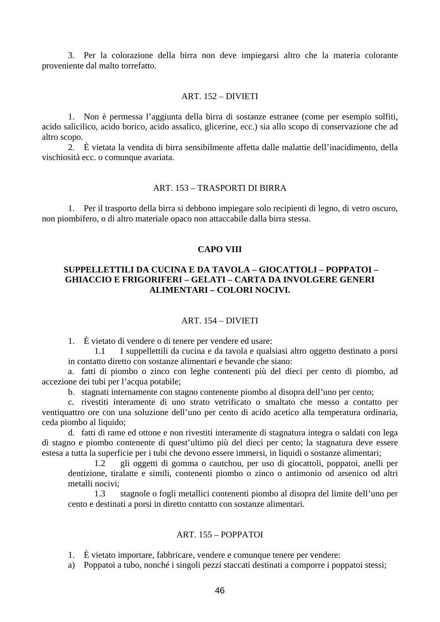3. Per la colorazione della birra non deve impiegarsi altro che la materia colorante proveniente dal malto torrefatto.

## ART. 152 – DIVIETI

1. Non è permessa l'aggiunta della birra di sostanze estranee (come per esempio solfiti, acido salicilico, acido borico, acido assalico, glicerine, ecc.) sia allo scopo di conservazione che ad altro scopo.

2. È vietata la vendita di birra sensibilmente affetta dalle malattie dell'inacidimento, della vischiosità ecc. o comunque avariata.

#### ART. 153 – TRASPORTI DI BIRRA

1. Per il trasporto della birra si debbono impiegare solo recipienti di legno, di vetro oscuro, non piombifero, o di altro materiale opaco non attaccabile dalla birra stessa.

## **CAPO VIII**

# **SUPPELLETTILI DA CUCINA E DA TAVOLA – GIOCATTOLI – POPPATOI – GHIACCIO E FRIGORIFERI – GELATI – CARTA DA INVOLGERE GENERI ALIMENTARI – COLORI NOCIVI.**

### ART. 154 – DIVIETI

1. È vietato di vendere o di tenere per vendere ed usare:

1.1 I suppellettili da cucina e da tavola e qualsiasi altro oggetto destinato a porsi in contatto diretto con sostanze alimentari e bevande che siano:

a. fatti di piombo o zinco con leghe contenenti più del dieci per cento di piombo, ad accezione dei tubi per l'acqua potabile;

b. stagnati internamente con stagno contenente piombo al disopra dell'uno per cento;

c. rivestiti interamente di uno strato vetrificato o smaltato che messo a contatto per ventiquattro ore con una soluzione dell'uno per cento di acido acetico alla temperatura ordinaria, ceda piombo al liquido;

d. fatti di rame ed ottone e non rivestiti interamente di stagnatura integra o saldati con lega di stagno e piombo contenente di quest'ultimo più del dieci per cento; la stagnatura deve essere estesa a tutta la superficie per i tubi che devono essere immersi, in liquidi o sostanze alimentari;

1.2 gli oggetti di gomma o cautchou, per uso di giocattoli, poppatoi, anelli per dentizione, tiralatte e simili, contenenti piombo o zinco o antimonio od arsenico od altri metalli nocivi;

1.3 stagnole o fogli metallici contenenti piombo al disopra del limite dell'uno per cento e destinati a porsi in diretto contatto con sostanze alimentari.

## ART. 155 – POPPATOI

1. È vietato importare, fabbricare, vendere e comunque tenere per vendere:

a) Poppatoi a tubo, nonché i singoli pezzi staccati destinati a comporre i poppatoi stessi;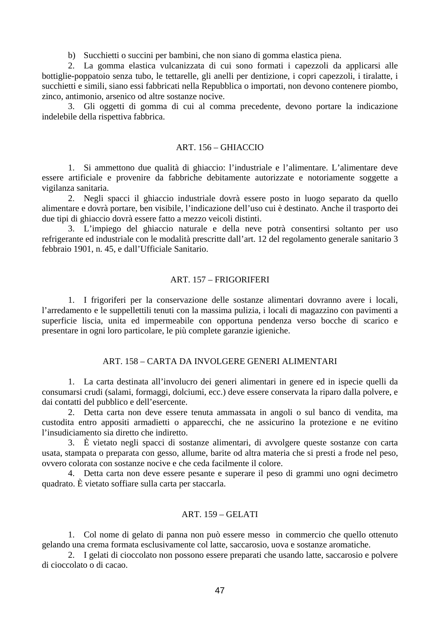b) Succhietti o succini per bambini, che non siano di gomma elastica piena.

2. La gomma elastica vulcanizzata di cui sono formati i capezzoli da applicarsi alle bottiglie-poppatoio senza tubo, le tettarelle, gli anelli per dentizione, i copri capezzoli, i tiralatte, i succhietti e simili, siano essi fabbricati nella Repubblica o importati, non devono contenere piombo, zinco, antimonio, arsenico od altre sostanze nocive.

3. Gli oggetti di gomma di cui al comma precedente, devono portare la indicazione indelebile della rispettiva fabbrica.

#### ART. 156 – GHIACCIO

1. Si ammettono due qualità di ghiaccio: l'industriale e l'alimentare. L'alimentare deve essere artificiale e provenire da fabbriche debitamente autorizzate e notoriamente soggette a vigilanza sanitaria.

2. Negli spacci il ghiaccio industriale dovrà essere posto in luogo separato da quello alimentare e dovrà portare, ben visibile, l'indicazione dell'uso cui è destinato. Anche il trasporto dei due tipi di ghiaccio dovrà essere fatto a mezzo veicoli distinti.

3. L'impiego del ghiaccio naturale e della neve potrà consentirsi soltanto per uso refrigerante ed industriale con le modalità prescritte dall'art. 12 del regolamento generale sanitario 3 febbraio 1901, n. 45, e dall'Ufficiale Sanitario.

## ART. 157 – FRIGORIFERI

1. I frigoriferi per la conservazione delle sostanze alimentari dovranno avere i locali, l'arredamento e le suppellettili tenuti con la massima pulizia, i locali di magazzino con pavimenti a superficie liscia, unita ed impermeabile con opportuna pendenza verso bocche di scarico e presentare in ogni loro particolare, le più complete garanzie igieniche.

### ART. 158 – CARTA DA INVOLGERE GENERI ALIMENTARI

1. La carta destinata all'involucro dei generi alimentari in genere ed in ispecie quelli da consumarsi crudi (salami, formaggi, dolciumi, ecc.) deve essere conservata la riparo dalla polvere, e dai contatti del pubblico e dell'esercente.

2. Detta carta non deve essere tenuta ammassata in angoli o sul banco di vendita, ma custodita entro appositi armadietti o apparecchi, che ne assicurino la protezione e ne evitino l'insudiciamento sia diretto che indiretto.

3. È vietato negli spacci di sostanze alimentari, di avvolgere queste sostanze con carta usata, stampata o preparata con gesso, allume, barite od altra materia che si presti a frode nel peso, ovvero colorata con sostanze nocive e che ceda facilmente il colore.

4. Detta carta non deve essere pesante e superare il peso di grammi uno ogni decimetro quadrato. È vietato soffiare sulla carta per staccarla.

# ART. 159 – GELATI

1. Col nome di gelato di panna non può essere messo in commercio che quello ottenuto gelando una crema formata esclusivamente col latte, saccarosio, uova e sostanze aromatiche.

2. I gelati di cioccolato non possono essere preparati che usando latte, saccarosio e polvere di cioccolato o di cacao.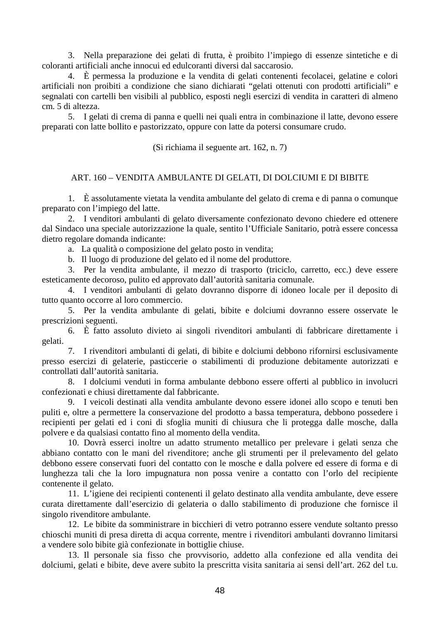3. Nella preparazione dei gelati di frutta, è proibito l'impiego di essenze sintetiche e di coloranti artificiali anche innocui ed edulcoranti diversi dal saccarosio.

4. È permessa la produzione e la vendita di gelati contenenti fecolacei, gelatine e colori artificiali non proibiti a condizione che siano dichiarati "gelati ottenuti con prodotti artificiali" e segnalati con cartelli ben visibili al pubblico, esposti negli esercizi di vendita in caratteri di almeno cm. 5 di altezza.

5. I gelati di crema di panna e quelli nei quali entra in combinazione il latte, devono essere preparati con latte bollito e pastorizzato, oppure con latte da potersi consumare crudo.

(Si richiama il seguente art. 162, n. 7)

### ART. 160 – VENDITA AMBULANTE DI GELATI, DI DOLCIUMI E DI BIBITE

1. È assolutamente vietata la vendita ambulante del gelato di crema e di panna o comunque preparato con l'impiego del latte.

2. I venditori ambulanti di gelato diversamente confezionato devono chiedere ed ottenere dal Sindaco una speciale autorizzazione la quale, sentito l'Ufficiale Sanitario, potrà essere concessa dietro regolare domanda indicante:

a. La qualità o composizione del gelato posto in vendita;

b. Il luogo di produzione del gelato ed il nome del produttore.

3. Per la vendita ambulante, il mezzo di trasporto (triciclo, carretto, ecc.) deve essere esteticamente decoroso, pulito ed approvato dall'autorità sanitaria comunale.

4. I venditori ambulanti di gelato dovranno disporre di idoneo locale per il deposito di tutto quanto occorre al loro commercio.

5. Per la vendita ambulante di gelati, bibite e dolciumi dovranno essere osservate le prescrizioni seguenti.

6. È fatto assoluto divieto ai singoli rivenditori ambulanti di fabbricare direttamente i gelati.

7. I rivenditori ambulanti di gelati, di bibite e dolciumi debbono rifornirsi esclusivamente presso esercizi di gelaterie, pasticcerie o stabilimenti di produzione debitamente autorizzati e controllati dall'autorità sanitaria.

8. I dolciumi venduti in forma ambulante debbono essere offerti al pubblico in involucri confezionati e chiusi direttamente dal fabbricante.

9. I veicoli destinati alla vendita ambulante devono essere idonei allo scopo e tenuti ben puliti e, oltre a permettere la conservazione del prodotto a bassa temperatura, debbono possedere i recipienti per gelati ed i coni di sfoglia muniti di chiusura che li protegga dalle mosche, dalla polvere e da qualsiasi contatto fino al momento della vendita.

10. Dovrà esserci inoltre un adatto strumento metallico per prelevare i gelati senza che abbiano contatto con le mani del rivenditore; anche gli strumenti per il prelevamento del gelato debbono essere conservati fuori del contatto con le mosche e dalla polvere ed essere di forma e di lunghezza tali che la loro impugnatura non possa venire a contatto con l'orlo del recipiente contenente il gelato.

11. L'igiene dei recipienti contenenti il gelato destinato alla vendita ambulante, deve essere curata direttamente dall'esercizio di gelateria o dallo stabilimento di produzione che fornisce il singolo rivenditore ambulante.

12. Le bibite da somministrare in bicchieri di vetro potranno essere vendute soltanto presso chioschi muniti di presa diretta di acqua corrente, mentre i rivenditori ambulanti dovranno limitarsi a vendere solo bibite già confezionate in bottiglie chiuse.

13. Il personale sia fisso che provvisorio, addetto alla confezione ed alla vendita dei dolciumi, gelati e bibite, deve avere subito la prescritta visita sanitaria ai sensi dell'art. 262 del t.u.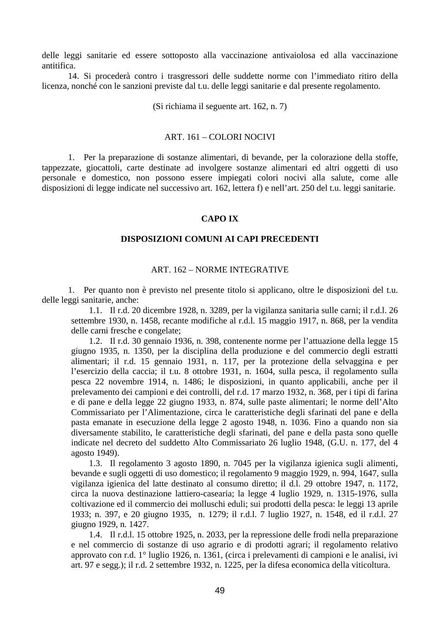delle leggi sanitarie ed essere sottoposto alla vaccinazione antivaiolosa ed alla vaccinazione antitifica.

14. Si procederà contro i trasgressori delle suddette norme con l'immediato ritiro della licenza, nonché con le sanzioni previste dal t.u. delle leggi sanitarie e dal presente regolamento.

(Si richiama il seguente art. 162, n. 7)

#### ART. 161 – COLORI NOCIVI

1. Per la preparazione di sostanze alimentari, di bevande, per la colorazione della stoffe, tappezzate, giocattoli, carte destinate ad involgere sostanze alimentari ed altri oggetti di uso personale e domestico, non possono essere impiegati colori nocivi alla salute, come alle disposizioni di legge indicate nel successivo art. 162, lettera f) e nell'art. 250 del t.u. leggi sanitarie.

### **CAPO IX**

## **DISPOSIZIONI COMUNI AI CAPI PRECEDENTI**

### ART. 162 – NORME INTEGRATIVE

1. Per quanto non è previsto nel presente titolo si applicano, oltre le disposizioni del t.u. delle leggi sanitarie, anche:

1.1. Il r.d. 20 dicembre 1928, n. 3289, per la vigilanza sanitaria sulle carni; il r.d.l. 26 settembre 1930, n. 1458, recante modifiche al r.d.l. 15 maggio 1917, n. 868, per la vendita delle carni fresche e congelate;

1.2. Il r.d. 30 gennaio 1936, n. 398, contenente norme per l'attuazione della legge 15 giugno 1935, n. 1350, per la disciplina della produzione e del commercio degli estratti alimentari; il r.d. 15 gennaio 1931, n. 117, per la protezione della selvaggina e per l'esercizio della caccia; il t.u. 8 ottobre 1931, n. 1604, sulla pesca, il regolamento sulla pesca 22 novembre 1914, n. 1486; le disposizioni, in quanto applicabili, anche per il prelevamento dei campioni e dei controlli, del r.d. 17 marzo 1932, n. 368, per i tipi di farina e di pane e della legge 22 giugno 1933, n. 874, sulle paste alimentari; le norme dell'Alto Commissariato per l'Alimentazione, circa le caratteristiche degli sfarinati del pane e della pasta emanate in esecuzione della legge 2 agosto 1948, n. 1036. Fino a quando non sia diversamente stabilito, le caratteristiche degli sfarinati, del pane e della pasta sono quelle indicate nel decreto del suddetto Alto Commissariato 26 luglio 1948, (G.U. n. 177, del 4 agosto 1949).

1.3. Il regolamento 3 agosto 1890, n. 7045 per la vigilanza igienica sugli alimenti, bevande e sugli oggetti di uso domestico; il regolamento 9 maggio 1929, n. 994, 1647, sulla vigilanza igienica del latte destinato al consumo diretto; il d.l. 29 ottobre 1947, n. 1172, circa la nuova destinazione lattiero-casearia; la legge 4 luglio 1929, n. 1315-1976, sulla coltivazione ed il commercio dei molluschi eduli; sui prodotti della pesca: le leggi 13 aprile 1933; n. 397, e 20 giugno 1935, n. 1279; il r.d.l. 7 luglio 1927, n. 1548, ed il r.d.l. 27 giugno 1929, n. 1427.

1.4. Il r.d.l. 15 ottobre 1925, n. 2033, per la repressione delle frodi nella preparazione e nel commercio di sostanze di uso agrario e di prodotti agrari; il regolamento relativo approvato con r.d. 1° luglio 1926, n. 1361, (circa i prelevamenti di campioni e le analisi, ivi art. 97 e segg.); il r.d. 2 settembre 1932, n. 1225, per la difesa economica della viticoltura.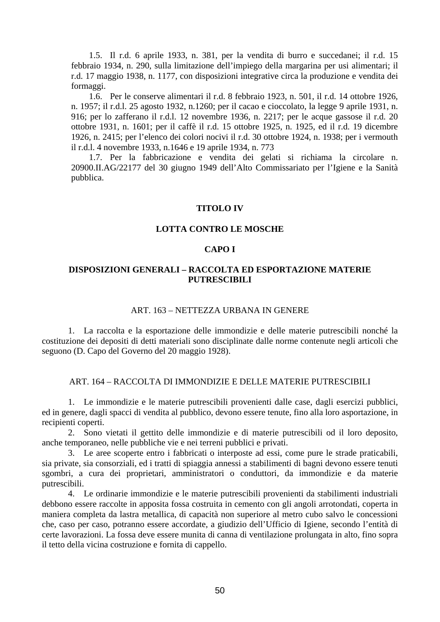1.5. Il r.d. 6 aprile 1933, n. 381, per la vendita di burro e succedanei; il r.d. 15 febbraio 1934, n. 290, sulla limitazione dell'impiego della margarina per usi alimentari; il r.d. 17 maggio 1938, n. 1177, con disposizioni integrative circa la produzione e vendita dei formaggi.

1.6. Per le conserve alimentari il r.d. 8 febbraio 1923, n. 501, il r.d. 14 ottobre 1926, n. 1957; il r.d.l. 25 agosto 1932, n.1260; per il cacao e cioccolato, la legge 9 aprile 1931, n. 916; per lo zafferano il r.d.l. 12 novembre 1936, n. 2217; per le acque gassose il r.d. 20 ottobre 1931, n. 1601; per il caffè il r.d. 15 ottobre 1925, n. 1925, ed il r.d. 19 dicembre 1926, n. 2415; per l'elenco dei colori nocivi il r.d. 30 ottobre 1924, n. 1938; per i vermouth il r.d.l. 4 novembre 1933, n.1646 e 19 aprile 1934, n. 773

1.7. Per la fabbricazione e vendita dei gelati si richiama la circolare n. 20900.II.AG/22177 del 30 giugno 1949 dell'Alto Commissariato per l'Igiene e la Sanità pubblica.

### **TITOLO IV**

### **LOTTA CONTRO LE MOSCHE**

### **CAPO I**

# **DISPOSIZIONI GENERALI – RACCOLTA ED ESPORTAZIONE MATERIE PUTRESCIBILI**

## ART. 163 – NETTEZZA URBANA IN GENERE

1. La raccolta e la esportazione delle immondizie e delle materie putrescibili nonché la costituzione dei depositi di detti materiali sono disciplinate dalle norme contenute negli articoli che seguono (D. Capo del Governo del 20 maggio 1928).

### ART. 164 – RACCOLTA DI IMMONDIZIE E DELLE MATERIE PUTRESCIBILI

1. Le immondizie e le materie putrescibili provenienti dalle case, dagli esercizi pubblici, ed in genere, dagli spacci di vendita al pubblico, devono essere tenute, fino alla loro asportazione, in recipienti coperti.

2. Sono vietati il gettito delle immondizie e di materie putrescibili od il loro deposito, anche temporaneo, nelle pubbliche vie e nei terreni pubblici e privati.

3. Le aree scoperte entro i fabbricati o interposte ad essi, come pure le strade praticabili, sia private, sia consorziali, ed i tratti di spiaggia annessi a stabilimenti di bagni devono essere tenuti sgombri, a cura dei proprietari, amministratori o conduttori, da immondizie e da materie putrescibili.

4. Le ordinarie immondizie e le materie putrescibili provenienti da stabilimenti industriali debbono essere raccolte in apposita fossa costruita in cemento con gli angoli arrotondati, coperta in maniera completa da lastra metallica, di capacità non superiore al metro cubo salvo le concessioni che, caso per caso, potranno essere accordate, a giudizio dell'Ufficio di Igiene, secondo l'entità di certe lavorazioni. La fossa deve essere munita di canna di ventilazione prolungata in alto, fino sopra il tetto della vicina costruzione e fornita di cappello.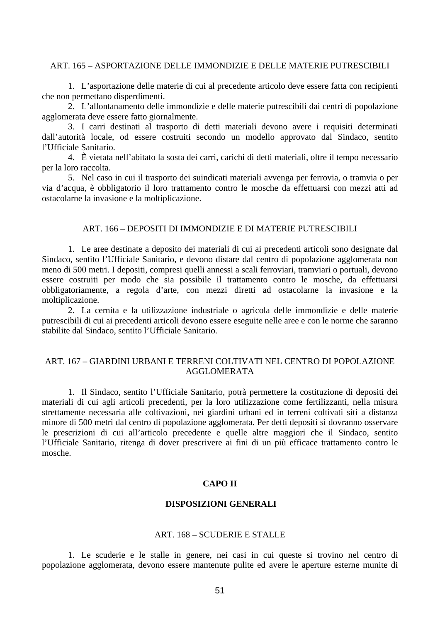### ART. 165 – ASPORTAZIONE DELLE IMMONDIZIE E DELLE MATERIE PUTRESCIBILI

1. L'asportazione delle materie di cui al precedente articolo deve essere fatta con recipienti che non permettano disperdimenti.

2. L'allontanamento delle immondizie e delle materie putrescibili dai centri di popolazione agglomerata deve essere fatto giornalmente.

3. I carri destinati al trasporto di detti materiali devono avere i requisiti determinati dall'autorità locale, od essere costruiti secondo un modello approvato dal Sindaco, sentito l'Ufficiale Sanitario.

4. È vietata nell'abitato la sosta dei carri, carichi di detti materiali, oltre il tempo necessario per la loro raccolta.

5. Nel caso in cui il trasporto dei suindicati materiali avvenga per ferrovia, o tramvia o per via d'acqua, è obbligatorio il loro trattamento contro le mosche da effettuarsi con mezzi atti ad ostacolarne la invasione e la moltiplicazione.

#### ART. 166 – DEPOSITI DI IMMONDIZIE E DI MATERIE PUTRESCIBILI

1. Le aree destinate a deposito dei materiali di cui ai precedenti articoli sono designate dal Sindaco, sentito l'Ufficiale Sanitario, e devono distare dal centro di popolazione agglomerata non meno di 500 metri. I depositi, compresi quelli annessi a scali ferroviari, tramviari o portuali, devono essere costruiti per modo che sia possibile il trattamento contro le mosche, da effettuarsi obbligatoriamente, a regola d'arte, con mezzi diretti ad ostacolarne la invasione e la moltiplicazione.

2. La cernita e la utilizzazione industriale o agricola delle immondizie e delle materie putrescibili di cui ai precedenti articoli devono essere eseguite nelle aree e con le norme che saranno stabilite dal Sindaco, sentito l'Ufficiale Sanitario.

# ART. 167 – GIARDINI URBANI E TERRENI COLTIVATI NEL CENTRO DI POPOLAZIONE AGGLOMERATA

1. Il Sindaco, sentito l'Ufficiale Sanitario, potrà permettere la costituzione di depositi dei materiali di cui agli articoli precedenti, per la loro utilizzazione come fertilizzanti, nella misura strettamente necessaria alle coltivazioni, nei giardini urbani ed in terreni coltivati siti a distanza minore di 500 metri dal centro di popolazione agglomerata. Per detti depositi si dovranno osservare le prescrizioni di cui all'articolo precedente e quelle altre maggiori che il Sindaco, sentito l'Ufficiale Sanitario, ritenga di dover prescrivere ai fini di un più efficace trattamento contro le mosche.

## **CAPO II**

#### **DISPOSIZIONI GENERALI**

## ART. 168 – SCUDERIE E STALLE

1. Le scuderie e le stalle in genere, nei casi in cui queste si trovino nel centro di popolazione agglomerata, devono essere mantenute pulite ed avere le aperture esterne munite di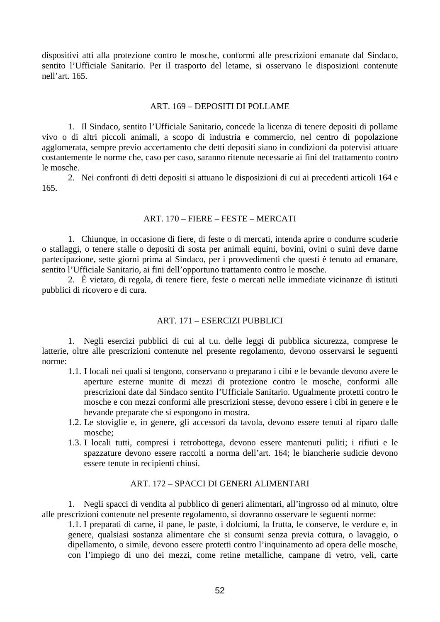dispositivi atti alla protezione contro le mosche, conformi alle prescrizioni emanate dal Sindaco, sentito l'Ufficiale Sanitario. Per il trasporto del letame, si osservano le disposizioni contenute nell'art. 165.

### ART. 169 – DEPOSITI DI POLLAME

1. Il Sindaco, sentito l'Ufficiale Sanitario, concede la licenza di tenere depositi di pollame vivo o di altri piccoli animali, a scopo di industria e commercio, nel centro di popolazione agglomerata, sempre previo accertamento che detti depositi siano in condizioni da potervisi attuare costantemente le norme che, caso per caso, saranno ritenute necessarie ai fini del trattamento contro le mosche.

2. Nei confronti di detti depositi si attuano le disposizioni di cui ai precedenti articoli 164 e 165.

## ART. 170 – FIERE – FESTE – MERCATI

1. Chiunque, in occasione di fiere, di feste o di mercati, intenda aprire o condurre scuderie o stallaggi, o tenere stalle o depositi di sosta per animali equini, bovini, ovini o suini deve darne partecipazione, sette giorni prima al Sindaco, per i provvedimenti che questi è tenuto ad emanare, sentito l'Ufficiale Sanitario, ai fini dell'opportuno trattamento contro le mosche.

2. È vietato, di regola, di tenere fiere, feste o mercati nelle immediate vicinanze di istituti pubblici di ricovero e di cura.

## ART. 171 – ESERCIZI PUBBLICI

1. Negli esercizi pubblici di cui al t.u. delle leggi di pubblica sicurezza, comprese le latterie, oltre alle prescrizioni contenute nel presente regolamento, devono osservarsi le seguenti norme:

- 1.1. I locali nei quali si tengono, conservano o preparano i cibi e le bevande devono avere le aperture esterne munite di mezzi di protezione contro le mosche, conformi alle prescrizioni date dal Sindaco sentito l'Ufficiale Sanitario. Ugualmente protetti contro le mosche e con mezzi conformi alle prescrizioni stesse, devono essere i cibi in genere e le bevande preparate che si espongono in mostra.
- 1.2. Le stoviglie e, in genere, gli accessori da tavola, devono essere tenuti al riparo dalle mosche;
- 1.3. I locali tutti, compresi i retrobottega, devono essere mantenuti puliti; i rifiuti e le spazzature devono essere raccolti a norma dell'art. 164; le biancherie sudicie devono essere tenute in recipienti chiusi.

# ART. 172 – SPACCI DI GENERI ALIMENTARI

1. Negli spacci di vendita al pubblico di generi alimentari, all'ingrosso od al minuto, oltre alle prescrizioni contenute nel presente regolamento, si dovranno osservare le seguenti norme:

1.1. I preparati di carne, il pane, le paste, i dolciumi, la frutta, le conserve, le verdure e, in genere, qualsiasi sostanza alimentare che si consumi senza previa cottura, o lavaggio, o dipellamento, o simile, devono essere protetti contro l'inquinamento ad opera delle mosche, con l'impiego di uno dei mezzi, come retine metalliche, campane di vetro, veli, carte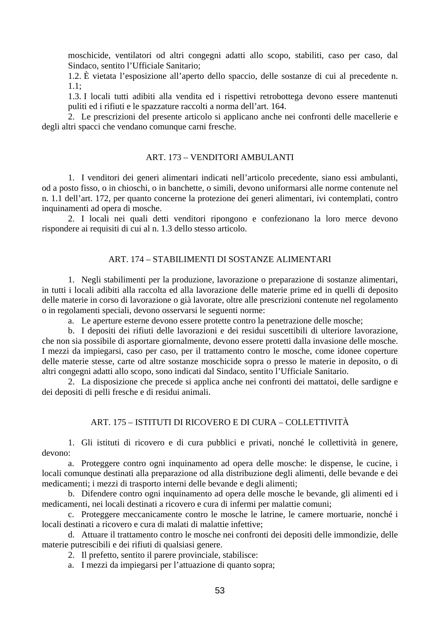moschicide, ventilatori od altri congegni adatti allo scopo, stabiliti, caso per caso, dal Sindaco, sentito l'Ufficiale Sanitario;

1.2. È vietata l'esposizione all'aperto dello spaccio, delle sostanze di cui al precedente n. 1.1;

1.3. I locali tutti adibiti alla vendita ed i rispettivi retrobottega devono essere mantenuti puliti ed i rifiuti e le spazzature raccolti a norma dell'art. 164.

2. Le prescrizioni del presente articolo si applicano anche nei confronti delle macellerie e degli altri spacci che vendano comunque carni fresche.

### ART. 173 – VENDITORI AMBULANTI

1. I venditori dei generi alimentari indicati nell'articolo precedente, siano essi ambulanti, od a posto fisso, o in chioschi, o in banchette, o simili, devono uniformarsi alle norme contenute nel n. 1.1 dell'art. 172, per quanto concerne la protezione dei generi alimentari, ivi contemplati, contro inquinamenti ad opera di mosche.

2. I locali nei quali detti venditori ripongono e confezionano la loro merce devono rispondere ai requisiti di cui al n. 1.3 dello stesso articolo.

### ART. 174 – STABILIMENTI DI SOSTANZE ALIMENTARI

1. Negli stabilimenti per la produzione, lavorazione o preparazione di sostanze alimentari, in tutti i locali adibiti alla raccolta ed alla lavorazione delle materie prime ed in quelli di deposito delle materie in corso di lavorazione o già lavorate, oltre alle prescrizioni contenute nel regolamento o in regolamenti speciali, devono osservarsi le seguenti norme:

a. Le aperture esterne devono essere protette contro la penetrazione delle mosche;

b. I depositi dei rifiuti delle lavorazioni e dei residui suscettibili di ulteriore lavorazione, che non sia possibile di asportare giornalmente, devono essere protetti dalla invasione delle mosche. I mezzi da impiegarsi, caso per caso, per il trattamento contro le mosche, come idonee coperture delle materie stesse, carte od altre sostanze moschicide sopra o presso le materie in deposito, o di altri congegni adatti allo scopo, sono indicati dal Sindaco, sentito l'Ufficiale Sanitario.

2. La disposizione che precede si applica anche nei confronti dei mattatoi, delle sardigne e dei depositi di pelli fresche e di residui animali.

## ART. 175 – ISTITUTI DI RICOVERO E DI CURA – COLLETTIVITÀ

1. Gli istituti di ricovero e di cura pubblici e privati, nonché le collettività in genere, devono:

a. Proteggere contro ogni inquinamento ad opera delle mosche: le dispense, le cucine, i locali comunque destinati alla preparazione od alla distribuzione degli alimenti, delle bevande e dei medicamenti; i mezzi di trasporto interni delle bevande e degli alimenti;

b. Difendere contro ogni inquinamento ad opera delle mosche le bevande, gli alimenti ed i medicamenti, nei locali destinati a ricovero e cura di infermi per malattie comuni;

c. Proteggere meccanicamente contro le mosche le latrine, le camere mortuarie, nonché i locali destinati a ricovero e cura di malati di malattie infettive;

d. Attuare il trattamento contro le mosche nei confronti dei depositi delle immondizie, delle materie putrescibili e dei rifiuti di qualsiasi genere.

2. Il prefetto, sentito il parere provinciale, stabilisce:

a. I mezzi da impiegarsi per l'attuazione di quanto sopra;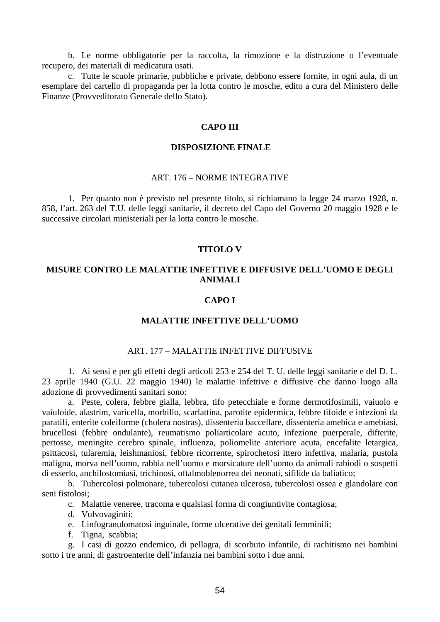b. Le norme obbligatorie per la raccolta, la rimozione e la distruzione o l'eventuale recupero, dei materiali di medicatura usati.

c. Tutte le scuole primarie, pubbliche e private, debbono essere fornite, in ogni aula, di un esemplare del cartello di propaganda per la lotta contro le mosche, edito a cura del Ministero delle Finanze (Provveditorato Generale dello Stato).

### **CAPO III**

#### **DISPOSIZIONE FINALE**

### ART. 176 – NORME INTEGRATIVE

1. Per quanto non è previsto nel presente titolo, si richiamano la legge 24 marzo 1928, n. 858, l'art. 263 del T.U. delle leggi sanitarie, il decreto del Capo del Governo 20 maggio 1928 e le successive circolari ministeriali per la lotta contro le mosche.

### **TITOLO V**

# **MISURE CONTRO LE MALATTIE INFETTIVE E DIFFUSIVE DELL'UOMO E DEGLI ANIMALI**

#### **CAPO I**

## **MALATTIE INFETTIVE DELL'UOMO**

#### ART. 177 – MALATTIE INFETTIVE DIFFUSIVE

1. Ai sensi e per gli effetti degli articoli 253 e 254 del T. U. delle leggi sanitarie e del D. L. 23 aprile 1940 (G.U. 22 maggio 1940) le malattie infettive e diffusive che danno luogo alla adozione di provvedimenti sanitari sono:

a. Peste, colera, febbre gialla, lebbra, tifo petecchiale e forme dermotifosimili, vaiuolo e vaiuloide, alastrim, varicella, morbillo, scarlattina, parotite epidermica, febbre tifoide e infezioni da paratifi, enterite coleiforme (cholera nostras), dissenteria baccellare, dissenteria amebica e amebiasi, brucellosi (febbre ondulante), reumatismo poliarticolare acuto, infezione puerperale, difterite, pertosse, meningite cerebro spinale, influenza, poliomelite anteriore acuta, encefalite letargica, psittacosi, tularemia, leishmaniosi, febbre ricorrente, spirochetosi ittero infettiva, malaria, pustola maligna, morva nell'uomo, rabbia nell'uomo e morsicature dell'uomo da animali rabiodi o sospetti di esserlo, anchilostomiasi, trichinosi, oftalmoblenorrea dei neonati, sifilide da baliatico;

b. Tubercolosi polmonare, tubercolosi cutanea ulcerosa, tubercolosi ossea e glandolare con seni fistolosi;

c. Malattie veneree, tracoma e qualsiasi forma di congiuntivite contagiosa;

- d. Vulvovaginiti;
- e. Linfogranulomatosi inguinale, forme ulcerative dei genitali femminili;
- f. Tigna, scabbia;

g. I casi di gozzo endemico, di pellagra, di scorbuto infantile, di rachitismo nei bambini sotto i tre anni, di gastroenterite dell'infanzia nei bambini sotto i due anni.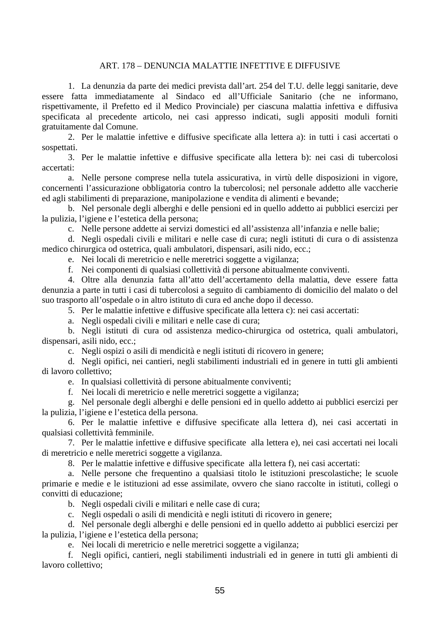# ART. 178 – DENUNCIA MALATTIE INFETTIVE E DIFFUSIVE

1. La denunzia da parte dei medici prevista dall'art. 254 del T.U. delle leggi sanitarie, deve essere fatta immediatamente al Sindaco ed all'Ufficiale Sanitario (che ne informano, rispettivamente, il Prefetto ed il Medico Provinciale) per ciascuna malattia infettiva e diffusiva specificata al precedente articolo, nei casi appresso indicati, sugli appositi moduli forniti gratuitamente dal Comune.

2. Per le malattie infettive e diffusive specificate alla lettera a): in tutti i casi accertati o sospettati.

3. Per le malattie infettive e diffusive specificate alla lettera b): nei casi di tubercolosi accertati:

a. Nelle persone comprese nella tutela assicurativa, in virtù delle disposizioni in vigore, concernenti l'assicurazione obbligatoria contro la tubercolosi; nel personale addetto alle vaccherie ed agli stabilimenti di preparazione, manipolazione e vendita di alimenti e bevande;

b. Nel personale degli alberghi e delle pensioni ed in quello addetto ai pubblici esercizi per la pulizia, l'igiene e l'estetica della persona;

c. Nelle persone addette ai servizi domestici ed all'assistenza all'infanzia e nelle balie;

d. Negli ospedali civili e militari e nelle case di cura; negli istituti di cura o di assistenza medico chirurgica od ostetrica, quali ambulatori, dispensari, asili nido, ecc.;

e. Nei locali di meretricio e nelle meretrici soggette a vigilanza;

f. Nei componenti di qualsiasi collettività di persone abitualmente conviventi.

4. Oltre alla denunzia fatta all'atto dell'accertamento della malattia, deve essere fatta denunzia a parte in tutti i casi di tubercolosi a seguito di cambiamento di domicilio del malato o del suo trasporto all'ospedale o in altro istituto di cura ed anche dopo il decesso.

5. Per le malattie infettive e diffusive specificate alla lettera c): nei casi accertati:

a. Negli ospedali civili e militari e nelle case di cura;

b. Negli istituti di cura od assistenza medico-chirurgica od ostetrica, quali ambulatori, dispensari, asili nido, ecc.;

c. Negli ospizi o asili di mendicità e negli istituti di ricovero in genere;

d. Negli opifici, nei cantieri, negli stabilimenti industriali ed in genere in tutti gli ambienti di lavoro collettivo;

e. In qualsiasi collettività di persone abitualmente conviventi;

f. Nei locali di meretricio e nelle meretrici soggette a vigilanza;

g. Nel personale degli alberghi e delle pensioni ed in quello addetto ai pubblici esercizi per la pulizia, l'igiene e l'estetica della persona.

6. Per le malattie infettive e diffusive specificate alla lettera d), nei casi accertati in qualsiasi collettività femminile.

7. Per le malattie infettive e diffusive specificate alla lettera e), nei casi accertati nei locali di meretricio e nelle meretrici soggette a vigilanza.

8. Per le malattie infettive e diffusive specificate alla lettera f), nei casi accertati:

a. Nelle persone che frequentino a qualsiasi titolo le istituzioni prescolastiche; le scuole primarie e medie e le istituzioni ad esse assimilate, ovvero che siano raccolte in istituti, collegi o convitti di educazione;

- b. Negli ospedali civili e militari e nelle case di cura;
- c. Negli ospedali o asili di mendicità e negli istituti di ricovero in genere;

d. Nel personale degli alberghi e delle pensioni ed in quello addetto ai pubblici esercizi per la pulizia, l'igiene e l'estetica della persona;

e. Nei locali di meretricio e nelle meretrici soggette a vigilanza;

f. Negli opifici, cantieri, negli stabilimenti industriali ed in genere in tutti gli ambienti di lavoro collettivo;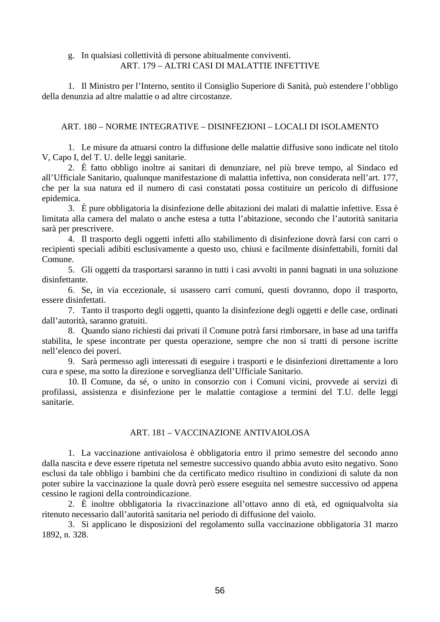# g. In qualsiasi collettività di persone abitualmente conviventi. ART. 179 – ALTRI CASI DI MALATTIE INFETTIVE

1. Il Ministro per l'Interno, sentito il Consiglio Superiore di Sanità, può estendere l'obbligo della denunzia ad altre malattie o ad altre circostanze.

# ART. 180 – NORME INTEGRATIVE – DISINFEZIONI – LOCALI DI ISOLAMENTO

1. Le misure da attuarsi contro la diffusione delle malattie diffusive sono indicate nel titolo V, Capo I, del T. U. delle leggi sanitarie.

2. È fatto obbligo inoltre ai sanitari di denunziare, nel più breve tempo, al Sindaco ed all'Ufficiale Sanitario, qualunque manifestazione di malattia infettiva, non considerata nell'art. 177, che per la sua natura ed il numero di casi constatati possa costituire un pericolo di diffusione epidemica.

3. È pure obbligatoria la disinfezione delle abitazioni dei malati di malattie infettive. Essa è limitata alla camera del malato o anche estesa a tutta l'abitazione, secondo che l'autorità sanitaria sarà per prescrivere.

4. Il trasporto degli oggetti infetti allo stabilimento di disinfezione dovrà farsi con carri o recipienti speciali adibiti esclusivamente a questo uso, chiusi e facilmente disinfettabili, forniti dal Comune.

5. Gli oggetti da trasportarsi saranno in tutti i casi avvolti in panni bagnati in una soluzione disinfettante.

6. Se, in via eccezionale, si usassero carri comuni, questi dovranno, dopo il trasporto, essere disinfettati.

7. Tanto il trasporto degli oggetti, quanto la disinfezione degli oggetti e delle case, ordinati dall'autorità, saranno gratuiti.

8. Quando siano richiesti dai privati il Comune potrà farsi rimborsare, in base ad una tariffa stabilita, le spese incontrate per questa operazione, sempre che non si tratti di persone iscritte nell'elenco dei poveri.

9. Sarà permesso agli interessati di eseguire i trasporti e le disinfezioni direttamente a loro cura e spese, ma sotto la direzione e sorveglianza dell'Ufficiale Sanitario.

10. Il Comune, da sé, o unito in consorzio con i Comuni vicini, provvede ai servizi di profilassi, assistenza e disinfezione per le malattie contagiose a termini del T.U. delle leggi sanitarie.

# ART. 181 – VACCINAZIONE ANTIVAIOLOSA

1. La vaccinazione antivaiolosa è obbligatoria entro il primo semestre del secondo anno dalla nascita e deve essere ripetuta nel semestre successivo quando abbia avuto esito negativo. Sono esclusi da tale obbligo i bambini che da certificato medico risultino in condizioni di salute da non poter subire la vaccinazione la quale dovrà però essere eseguita nel semestre successivo od appena cessino le ragioni della controindicazione.

2. È inoltre obbligatoria la rivaccinazione all'ottavo anno di età, ed ogniqualvolta sia ritenuto necessario dall'autorità sanitaria nel periodo di diffusione del vaiolo.

3. Si applicano le disposizioni del regolamento sulla vaccinazione obbligatoria 31 marzo 1892, n. 328.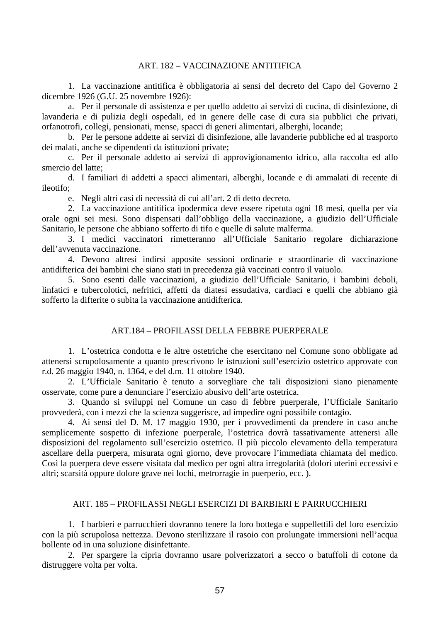### ART. 182 – VACCINAZIONE ANTITIFICA

1. La vaccinazione antitifica è obbligatoria ai sensi del decreto del Capo del Governo 2 dicembre 1926 (G.U. 25 novembre 1926):

a. Per il personale di assistenza e per quello addetto ai servizi di cucina, di disinfezione, di lavanderia e di pulizia degli ospedali, ed in genere delle case di cura sia pubblici che privati, orfanotrofi, collegi, pensionati, mense, spacci di generi alimentari, alberghi, locande;

b. Per le persone addette ai servizi di disinfezione, alle lavanderie pubbliche ed al trasporto dei malati, anche se dipendenti da istituzioni private;

c. Per il personale addetto ai servizi di approvigionamento idrico, alla raccolta ed allo smercio del latte;

d. I familiari di addetti a spacci alimentari, alberghi, locande e di ammalati di recente di ileotifo;

e. Negli altri casi di necessità di cui all'art. 2 di detto decreto.

2. La vaccinazione antitifica ipodermica deve essere ripetuta ogni 18 mesi, quella per via orale ogni sei mesi. Sono dispensati dall'obbligo della vaccinazione, a giudizio dell'Ufficiale Sanitario, le persone che abbiano sofferto di tifo e quelle di salute malferma.

3. I medici vaccinatori rimetteranno all'Ufficiale Sanitario regolare dichiarazione dell'avvenuta vaccinazione.

4. Devono altresì indirsi apposite sessioni ordinarie e straordinarie di vaccinazione antidifterica dei bambini che siano stati in precedenza già vaccinati contro il vaiuolo.

5. Sono esenti dalle vaccinazioni, a giudizio dell'Ufficiale Sanitario, i bambini deboli, linfatici e tubercolotici, nefritici, affetti da diatesi essudativa, cardiaci e quelli che abbiano già sofferto la difterite o subita la vaccinazione antidifterica.

## ART.184 – PROFILASSI DELLA FEBBRE PUERPERALE

1. L'ostetrica condotta e le altre ostetriche che esercitano nel Comune sono obbligate ad attenersi scrupolosamente a quanto prescrivono le istruzioni sull'esercizio ostetrico approvate con r.d. 26 maggio 1940, n. 1364, e del d.m. 11 ottobre 1940.

2. L'Ufficiale Sanitario è tenuto a sorvegliare che tali disposizioni siano pienamente osservate, come pure a denunciare l'esercizio abusivo dell'arte ostetrica.

3. Quando si sviluppi nel Comune un caso di febbre puerperale, l'Ufficiale Sanitario provvederà, con i mezzi che la scienza suggerisce, ad impedire ogni possibile contagio.

4. Ai sensi del D. M. 17 maggio 1930, per i provvedimenti da prendere in caso anche semplicemente sospetto di infezione puerperale, l'ostetrica dovrà tassativamente attenersi alle disposizioni del regolamento sull'esercizio ostetrico. Il più piccolo elevamento della temperatura ascellare della puerpera, misurata ogni giorno, deve provocare l'immediata chiamata del medico. Così la puerpera deve essere visitata dal medico per ogni altra irregolarità (dolori uterini eccessivi e altri; scarsità oppure dolore grave nei lochi, metrorragie in puerperio, ecc. ).

## ART. 185 – PROFILASSI NEGLI ESERCIZI DI BARBIERI E PARRUCCHIERI

1. I barbieri e parrucchieri dovranno tenere la loro bottega e suppellettili del loro esercizio con la più scrupolosa nettezza. Devono sterilizzare il rasoio con prolungate immersioni nell'acqua bollente od in una soluzione disinfettante.

2. Per spargere la cipria dovranno usare polverizzatori a secco o batuffoli di cotone da distruggere volta per volta.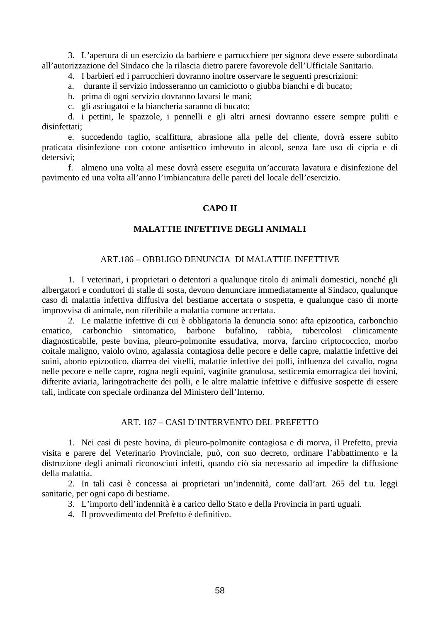3. L'apertura di un esercizio da barbiere e parrucchiere per signora deve essere subordinata all'autorizzazione del Sindaco che la rilascia dietro parere favorevole dell'Ufficiale Sanitario.

- 4. I barbieri ed i parrucchieri dovranno inoltre osservare le seguenti prescrizioni:
- a. durante il servizio indosseranno un camiciotto o giubba bianchi e di bucato;
- b. prima di ogni servizio dovranno lavarsi le mani;
- c. gli asciugatoi e la biancheria saranno di bucato;

d. i pettini, le spazzole, i pennelli e gli altri arnesi dovranno essere sempre puliti e disinfettati;

e. succedendo taglio, scalfittura, abrasione alla pelle del cliente, dovrà essere subito praticata disinfezione con cotone antisettico imbevuto in alcool, senza fare uso di cipria e di detersivi;

f. almeno una volta al mese dovrà essere eseguita un'accurata lavatura e disinfezione del pavimento ed una volta all'anno l'imbiancatura delle pareti del locale dell'esercizio.

# **CAPO II**

## **MALATTIE INFETTIVE DEGLI ANIMALI**

### ART.186 – OBBLIGO DENUNCIA DI MALATTIE INFETTIVE

1. I veterinari, i proprietari o detentori a qualunque titolo di animali domestici, nonché gli albergatori e conduttori di stalle di sosta, devono denunciare immediatamente al Sindaco, qualunque caso di malattia infettiva diffusiva del bestiame accertata o sospetta, e qualunque caso di morte improvvisa di animale, non riferibile a malattia comune accertata.

2. Le malattie infettive di cui è obbligatoria la denuncia sono: afta epizootica, carbonchio ematico, carbonchio sintomatico, barbone bufalino, rabbia, tubercolosi clinicamente diagnosticabile, peste bovina, pleuro-polmonite essudativa, morva, farcino criptococcico, morbo coitale maligno, vaiolo ovino, agalassia contagiosa delle pecore e delle capre, malattie infettive dei suini, aborto epizootico, diarrea dei vitelli, malattie infettive dei polli, influenza del cavallo, rogna nelle pecore e nelle capre, rogna negli equini, vaginite granulosa, setticemia emorragica dei bovini, difterite aviaria, laringotracheite dei polli, e le altre malattie infettive e diffusive sospette di essere tali, indicate con speciale ordinanza del Ministero dell'Interno.

### ART. 187 – CASI D'INTERVENTO DEL PREFETTO

1. Nei casi di peste bovina, di pleuro-polmonite contagiosa e di morva, il Prefetto, previa visita e parere del Veterinario Provinciale, può, con suo decreto, ordinare l'abbattimento e la distruzione degli animali riconosciuti infetti, quando ciò sia necessario ad impedire la diffusione della malattia.

2. In tali casi è concessa ai proprietari un'indennità, come dall'art. 265 del t.u. leggi sanitarie, per ogni capo di bestiame.

- 3. L'importo dell'indennità è a carico dello Stato e della Provincia in parti uguali.
- 4. Il provvedimento del Prefetto è definitivo.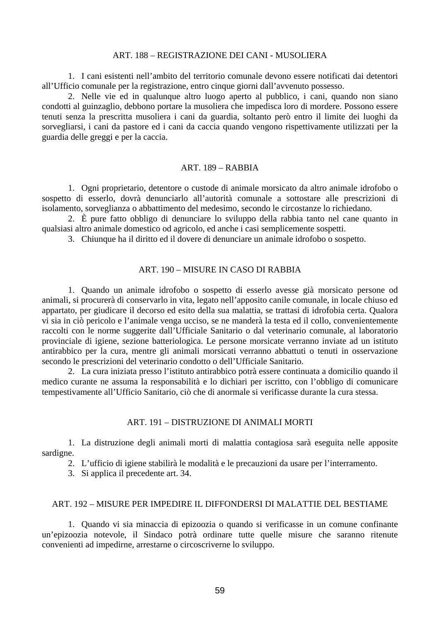## ART. 188 – REGISTRAZIONE DEI CANI - MUSOLIERA

1. I cani esistenti nell'ambito del territorio comunale devono essere notificati dai detentori all'Ufficio comunale per la registrazione, entro cinque giorni dall'avvenuto possesso.

2. Nelle vie ed in qualunque altro luogo aperto al pubblico, i cani, quando non siano condotti al guinzaglio, debbono portare la musoliera che impedisca loro di mordere. Possono essere tenuti senza la prescritta musoliera i cani da guardia, soltanto però entro il limite dei luoghi da sorvegliarsi, i cani da pastore ed i cani da caccia quando vengono rispettivamente utilizzati per la guardia delle greggi e per la caccia.

## ART. 189 – RABBIA

1. Ogni proprietario, detentore o custode di animale morsicato da altro animale idrofobo o sospetto di esserlo, dovrà denunciarlo all'autorità comunale a sottostare alle prescrizioni di isolamento, sorveglianza o abbattimento del medesimo, secondo le circostanze lo richiedano.

2. È pure fatto obbligo di denunciare lo sviluppo della rabbia tanto nel cane quanto in qualsiasi altro animale domestico od agricolo, ed anche i casi semplicemente sospetti.

3. Chiunque ha il diritto ed il dovere di denunciare un animale idrofobo o sospetto.

### ART. 190 – MISURE IN CASO DI RABBIA

1. Quando un animale idrofobo o sospetto di esserlo avesse già morsicato persone od animali, si procurerà di conservarlo in vita, legato nell'apposito canile comunale, in locale chiuso ed appartato, per giudicare il decorso ed esito della sua malattia, se trattasi di idrofobia certa. Qualora vi sia in ciò pericolo e l'animale venga ucciso, se ne manderà la testa ed il collo, convenientemente raccolti con le norme suggerite dall'Ufficiale Sanitario o dal veterinario comunale, al laboratorio provinciale di igiene, sezione batteriologica. Le persone morsicate verranno inviate ad un istituto antirabbico per la cura, mentre gli animali morsicati verranno abbattuti o tenuti in osservazione secondo le prescrizioni del veterinario condotto o dell'Ufficiale Sanitario.

2. La cura iniziata presso l'istituto antirabbico potrà essere continuata a domicilio quando il medico curante ne assuma la responsabilità e lo dichiari per iscritto, con l'obbligo di comunicare tempestivamente all'Ufficio Sanitario, ciò che di anormale si verificasse durante la cura stessa.

#### ART. 191 – DISTRUZIONE DI ANIMALI MORTI

1. La distruzione degli animali morti di malattia contagiosa sarà eseguita nelle apposite sardigne.

2. L'ufficio di igiene stabilirà le modalità e le precauzioni da usare per l'interramento.

3. Si applica il precedente art. 34.

#### ART. 192 – MISURE PER IMPEDIRE IL DIFFONDERSI DI MALATTIE DEL BESTIAME

1. Quando vi sia minaccia di epizoozia o quando si verificasse in un comune confinante un'epizoozia notevole, il Sindaco potrà ordinare tutte quelle misure che saranno ritenute convenienti ad impedirne, arrestarne o circoscriverne lo sviluppo.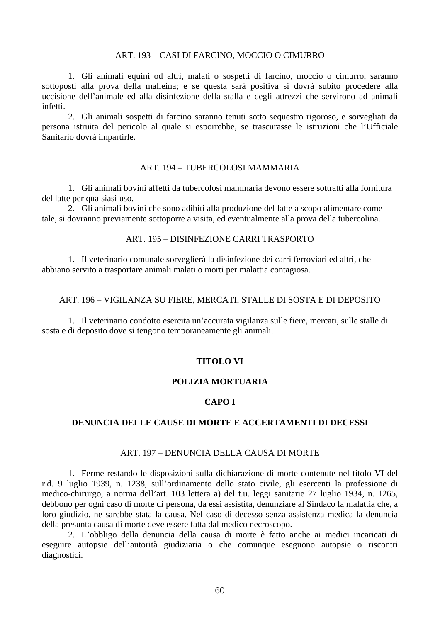## ART. 193 – CASI DI FARCINO, MOCCIO O CIMURRO

1. Gli animali equini od altri, malati o sospetti di farcino, moccio o cimurro, saranno sottoposti alla prova della malleina; e se questa sarà positiva si dovrà subito procedere alla uccisione dell'animale ed alla disinfezione della stalla e degli attrezzi che servirono ad animali infetti.

2. Gli animali sospetti di farcino saranno tenuti sotto sequestro rigoroso, e sorvegliati da persona istruita del pericolo al quale si esporrebbe, se trascurasse le istruzioni che l'Ufficiale Sanitario dovrà impartirle.

## ART. 194 – TUBERCOLOSI MAMMARIA

1. Gli animali bovini affetti da tubercolosi mammaria devono essere sottratti alla fornitura del latte per qualsiasi uso.

2. Gli animali bovini che sono adibiti alla produzione del latte a scopo alimentare come tale, si dovranno previamente sottoporre a visita, ed eventualmente alla prova della tubercolina.

## ART. 195 – DISINFEZIONE CARRI TRASPORTO

1. Il veterinario comunale sorveglierà la disinfezione dei carri ferroviari ed altri, che abbiano servito a trasportare animali malati o morti per malattia contagiosa.

### ART. 196 – VIGILANZA SU FIERE, MERCATI, STALLE DI SOSTA E DI DEPOSITO

1. Il veterinario condotto esercita un'accurata vigilanza sulle fiere, mercati, sulle stalle di sosta e di deposito dove si tengono temporaneamente gli animali.

# **TITOLO VI**

### **POLIZIA MORTUARIA**

# **CAPO I**

### **DENUNCIA DELLE CAUSE DI MORTE E ACCERTAMENTI DI DECESSI**

### ART. 197 – DENUNCIA DELLA CAUSA DI MORTE

1. Ferme restando le disposizioni sulla dichiarazione di morte contenute nel titolo VI del r.d. 9 luglio 1939, n. 1238, sull'ordinamento dello stato civile, gli esercenti la professione di medico-chirurgo, a norma dell'art. 103 lettera a) del t.u. leggi sanitarie 27 luglio 1934, n. 1265, debbono per ogni caso di morte di persona, da essi assistita, denunziare al Sindaco la malattia che, a loro giudizio, ne sarebbe stata la causa. Nel caso di decesso senza assistenza medica la denuncia della presunta causa di morte deve essere fatta dal medico necroscopo.

2. L'obbligo della denuncia della causa di morte è fatto anche ai medici incaricati di eseguire autopsie dell'autorità giudiziaria o che comunque eseguono autopsie o riscontri diagnostici.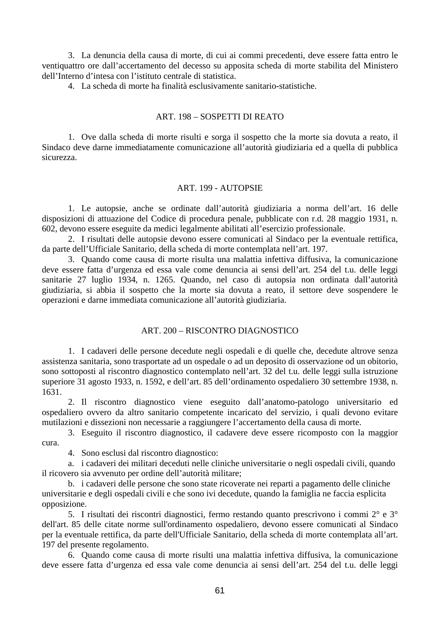3. La denuncia della causa di morte, di cui ai commi precedenti, deve essere fatta entro le ventiquattro ore dall'accertamento del decesso su apposita scheda di morte stabilita del Ministero dell'Interno d'intesa con l'istituto centrale di statistica.

4. La scheda di morte ha finalità esclusivamente sanitario-statistiche.

## ART. 198 – SOSPETTI DI REATO

1. Ove dalla scheda di morte risulti e sorga il sospetto che la morte sia dovuta a reato, il Sindaco deve darne immediatamente comunicazione all'autorità giudiziaria ed a quella di pubblica sicurezza.

## ART. 199 - AUTOPSIE

1. Le autopsie, anche se ordinate dall'autorità giudiziaria a norma dell'art. 16 delle disposizioni di attuazione del Codice di procedura penale, pubblicate con r.d. 28 maggio 1931, n. 602, devono essere eseguite da medici legalmente abilitati all'esercizio professionale.

2. I risultati delle autopsie devono essere comunicati al Sindaco per la eventuale rettifica, da parte dell'Ufficiale Sanitario, della scheda di morte contemplata nell'art. 197.

3. Quando come causa di morte risulta una malattia infettiva diffusiva, la comunicazione deve essere fatta d'urgenza ed essa vale come denuncia ai sensi dell'art. 254 del t.u. delle leggi sanitarie 27 luglio 1934, n. 1265. Quando, nel caso di autopsia non ordinata dall'autorità giudiziaria, si abbia il sospetto che la morte sia dovuta a reato, il settore deve sospendere le operazioni e darne immediata comunicazione all'autorità giudiziaria.

# ART. 200 – RISCONTRO DIAGNOSTICO

1. I cadaveri delle persone decedute negli ospedali e di quelle che, decedute altrove senza assistenza sanitaria, sono trasportate ad un ospedale o ad un deposito di osservazione od un obitorio, sono sottoposti al riscontro diagnostico contemplato nell'art. 32 del t.u. delle leggi sulla istruzione superiore 31 agosto 1933, n. 1592, e dell'art. 85 dell'ordinamento ospedaliero 30 settembre 1938, n. 1631.

2. Il riscontro diagnostico viene eseguito dall'anatomo-patologo universitario ed ospedaliero ovvero da altro sanitario competente incaricato del servizio, i quali devono evitare mutilazioni e dissezioni non necessarie a raggiungere l'accertamento della causa di morte.

3. Eseguito il riscontro diagnostico, il cadavere deve essere ricomposto con la maggior cura.

4. Sono esclusi dal riscontro diagnostico:

a. i cadaveri dei militari deceduti nelle cliniche universitarie o negli ospedali civili, quando il ricovero sia avvenuto per ordine dell'autorità militare;

b. i cadaveri delle persone che sono state ricoverate nei reparti a pagamento delle cliniche universitarie e degli ospedali civili e che sono ivi decedute, quando la famiglia ne faccia esplicita opposizione.

5. I risultati dei riscontri diagnostici, fermo restando quanto prescrivono i commi 2° e 3° dell'art. 85 delle citate norme sull'ordinamento ospedaliero, devono essere comunicati al Sindaco per la eventuale rettifica, da parte dell'Ufficiale Sanitario, della scheda di morte contemplata all'art. 197 del presente regolamento.

6. Quando come causa di morte risulti una malattia infettiva diffusiva, la comunicazione deve essere fatta d'urgenza ed essa vale come denuncia ai sensi dell'art. 254 del t.u. delle leggi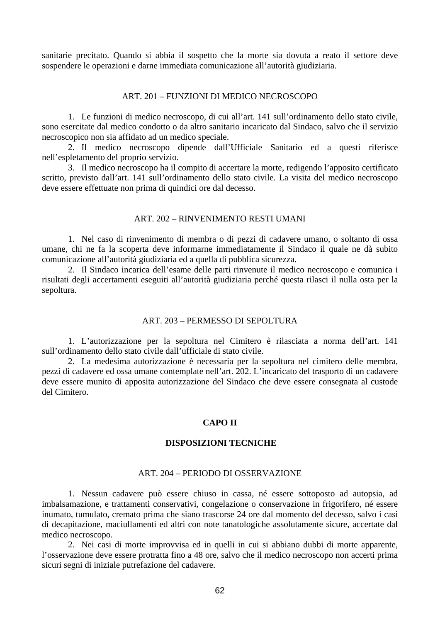sanitarie precitato. Quando si abbia il sospetto che la morte sia dovuta a reato il settore deve sospendere le operazioni e darne immediata comunicazione all'autorità giudiziaria.

## ART. 201 – FUNZIONI DI MEDICO NECROSCOPO

1. Le funzioni di medico necroscopo, di cui all'art. 141 sull'ordinamento dello stato civile, sono esercitate dal medico condotto o da altro sanitario incaricato dal Sindaco, salvo che il servizio necroscopico non sia affidato ad un medico speciale.

2. Il medico necroscopo dipende dall'Ufficiale Sanitario ed a questi riferisce nell'espletamento del proprio servizio.

3. Il medico necroscopo ha il compito di accertare la morte, redigendo l'apposito certificato scritto, previsto dall'art. 141 sull'ordinamento dello stato civile. La visita del medico necroscopo deve essere effettuate non prima di quindici ore dal decesso.

## ART. 202 – RINVENIMENTO RESTI UMANI

1. Nel caso di rinvenimento di membra o di pezzi di cadavere umano, o soltanto di ossa umane, chi ne fa la scoperta deve informarne immediatamente il Sindaco il quale ne dà subito comunicazione all'autorità giudiziaria ed a quella di pubblica sicurezza.

2. Il Sindaco incarica dell'esame delle parti rinvenute il medico necroscopo e comunica i risultati degli accertamenti eseguiti all'autorità giudiziaria perché questa rilasci il nulla osta per la sepoltura.

## ART. 203 – PERMESSO DI SEPOLTURA

1. L'autorizzazione per la sepoltura nel Cimitero è rilasciata a norma dell'art. 141 sull'ordinamento dello stato civile dall'ufficiale di stato civile.

2. La medesima autorizzazione è necessaria per la sepoltura nel cimitero delle membra, pezzi di cadavere ed ossa umane contemplate nell'art. 202. L'incaricato del trasporto di un cadavere deve essere munito di apposita autorizzazione del Sindaco che deve essere consegnata al custode del Cimitero.

#### **CAPO II**

## **DISPOSIZIONI TECNICHE**

### ART. 204 – PERIODO DI OSSERVAZIONE

1. Nessun cadavere può essere chiuso in cassa, né essere sottoposto ad autopsia, ad imbalsamazione, e trattamenti conservativi, congelazione o conservazione in frigorifero, né essere inumato, tumulato, cremato prima che siano trascorse 24 ore dal momento del decesso, salvo i casi di decapitazione, maciullamenti ed altri con note tanatologiche assolutamente sicure, accertate dal medico necroscopo.

2. Nei casi di morte improvvisa ed in quelli in cui si abbiano dubbi di morte apparente, l'osservazione deve essere protratta fino a 48 ore, salvo che il medico necroscopo non accerti prima sicuri segni di iniziale putrefazione del cadavere.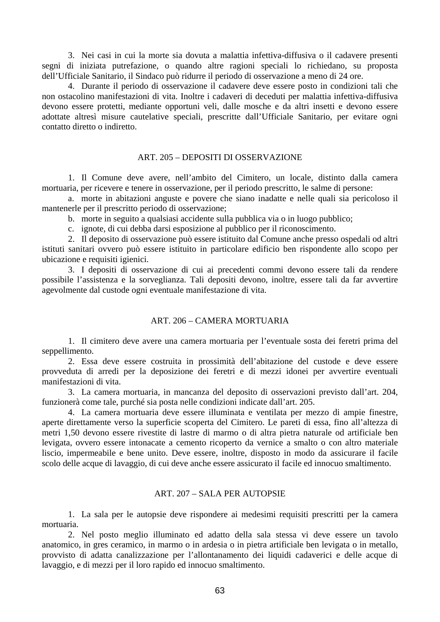3. Nei casi in cui la morte sia dovuta a malattia infettiva-diffusiva o il cadavere presenti segni di iniziata putrefazione, o quando altre ragioni speciali lo richiedano, su proposta dell'Ufficiale Sanitario, il Sindaco può ridurre il periodo di osservazione a meno di 24 ore.

4. Durante il periodo di osservazione il cadavere deve essere posto in condizioni tali che non ostacolino manifestazioni di vita. Inoltre i cadaveri di deceduti per malattia infettiva-diffusiva devono essere protetti, mediante opportuni veli, dalle mosche e da altri insetti e devono essere adottate altresì misure cautelative speciali, prescritte dall'Ufficiale Sanitario, per evitare ogni contatto diretto o indiretto.

### ART. 205 – DEPOSITI DI OSSERVAZIONE

1. Il Comune deve avere, nell'ambito del Cimitero, un locale, distinto dalla camera mortuaria, per ricevere e tenere in osservazione, per il periodo prescritto, le salme di persone:

a. morte in abitazioni anguste e povere che siano inadatte e nelle quali sia pericoloso il mantenerle per il prescritto periodo di osservazione;

b. morte in seguito a qualsiasi accidente sulla pubblica via o in luogo pubblico;

c. ignote, di cui debba darsi esposizione al pubblico per il riconoscimento.

2. Il deposito di osservazione può essere istituito dal Comune anche presso ospedali od altri istituti sanitari ovvero può essere istituito in particolare edificio ben rispondente allo scopo per ubicazione e requisiti igienici.

3. I depositi di osservazione di cui ai precedenti commi devono essere tali da rendere possibile l'assistenza e la sorveglianza. Tali depositi devono, inoltre, essere tali da far avvertire agevolmente dal custode ogni eventuale manifestazione di vita.

## ART. 206 – CAMERA MORTUARIA

1. Il cimitero deve avere una camera mortuaria per l'eventuale sosta dei feretri prima del seppellimento.

2. Essa deve essere costruita in prossimità dell'abitazione del custode e deve essere provveduta di arredi per la deposizione dei feretri e di mezzi idonei per avvertire eventuali manifestazioni di vita.

3. La camera mortuaria, in mancanza del deposito di osservazioni previsto dall'art. 204, funzionerà come tale, purché sia posta nelle condizioni indicate dall'art. 205.

4. La camera mortuaria deve essere illuminata e ventilata per mezzo di ampie finestre, aperte direttamente verso la superficie scoperta del Cimitero. Le pareti di essa, fino all'altezza di metri 1,50 devono essere rivestite di lastre di marmo o di altra pietra naturale od artificiale ben levigata, ovvero essere intonacate a cemento ricoperto da vernice a smalto o con altro materiale liscio, impermeabile e bene unito. Deve essere, inoltre, disposto in modo da assicurare il facile scolo delle acque di lavaggio, di cui deve anche essere assicurato il facile ed innocuo smaltimento.

### ART. 207 – SALA PER AUTOPSIE

1. La sala per le autopsie deve rispondere ai medesimi requisiti prescritti per la camera mortuaria.

2. Nel posto meglio illuminato ed adatto della sala stessa vi deve essere un tavolo anatomico, in gres ceramico, in marmo o in ardesia o in pietra artificiale ben levigata o in metallo, provvisto di adatta canalizzazione per l'allontanamento dei liquidi cadaverici e delle acque di lavaggio, e di mezzi per il loro rapido ed innocuo smaltimento.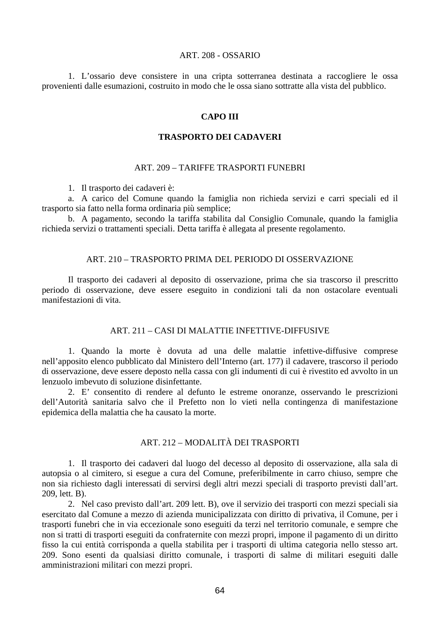### ART. 208 - OSSARIO

1. L'ossario deve consistere in una cripta sotterranea destinata a raccogliere le ossa provenienti dalle esumazioni, costruito in modo che le ossa siano sottratte alla vista del pubblico.

#### **CAPO III**

#### **TRASPORTO DEI CADAVERI**

### ART. 209 – TARIFFE TRASPORTI FUNEBRI

1. Il trasporto dei cadaveri è:

a. A carico del Comune quando la famiglia non richieda servizi e carri speciali ed il trasporto sia fatto nella forma ordinaria più semplice;

b. A pagamento, secondo la tariffa stabilita dal Consiglio Comunale, quando la famiglia richieda servizi o trattamenti speciali. Detta tariffa è allegata al presente regolamento.

#### ART. 210 – TRASPORTO PRIMA DEL PERIODO DI OSSERVAZIONE

Il trasporto dei cadaveri al deposito di osservazione, prima che sia trascorso il prescritto periodo di osservazione, deve essere eseguito in condizioni tali da non ostacolare eventuali manifestazioni di vita.

## ART. 211 – CASI DI MALATTIE INFETTIVE-DIFFUSIVE

1. Quando la morte è dovuta ad una delle malattie infettive-diffusive comprese nell'apposito elenco pubblicato dal Ministero dell'Interno (art. 177) il cadavere, trascorso il periodo di osservazione, deve essere deposto nella cassa con gli indumenti di cui è rivestito ed avvolto in un lenzuolo imbevuto di soluzione disinfettante.

2. E' consentito di rendere al defunto le estreme onoranze, osservando le prescrizioni dell'Autorità sanitaria salvo che il Prefetto non lo vieti nella contingenza di manifestazione epidemica della malattia che ha causato la morte.

# ART. 212 – MODALITÀ DEI TRASPORTI

1. Il trasporto dei cadaveri dal luogo del decesso al deposito di osservazione, alla sala di autopsia o al cimitero, si esegue a cura del Comune, preferibilmente in carro chiuso, sempre che non sia richiesto dagli interessati di servirsi degli altri mezzi speciali di trasporto previsti dall'art. 209, lett. B).

2. Nel caso previsto dall'art. 209 lett. B), ove il servizio dei trasporti con mezzi speciali sia esercitato dal Comune a mezzo di azienda municipalizzata con diritto di privativa, il Comune, per i trasporti funebri che in via eccezionale sono eseguiti da terzi nel territorio comunale, e sempre che non si tratti di trasporti eseguiti da confraternite con mezzi propri, impone il pagamento di un diritto fisso la cui entità corrisponda a quella stabilita per i trasporti di ultima categoria nello stesso art. 209. Sono esenti da qualsiasi diritto comunale, i trasporti di salme di militari eseguiti dalle amministrazioni militari con mezzi propri.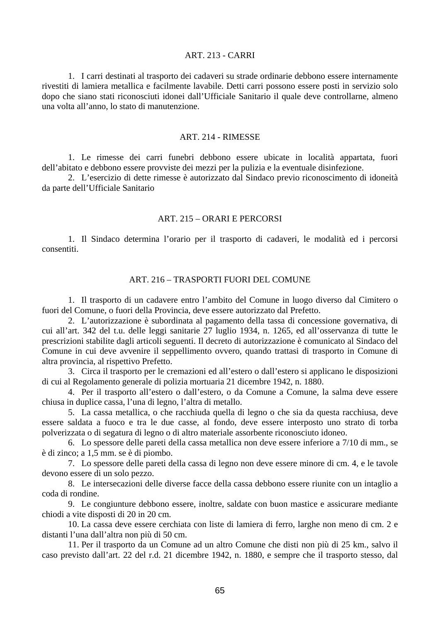## ART. 213 - CARRI

1. I carri destinati al trasporto dei cadaveri su strade ordinarie debbono essere internamente rivestiti di lamiera metallica e facilmente lavabile. Detti carri possono essere posti in servizio solo dopo che siano stati riconosciuti idonei dall'Ufficiale Sanitario il quale deve controllarne, almeno una volta all'anno, lo stato di manutenzione.

#### ART. 214 - RIMESSE

1. Le rimesse dei carri funebri debbono essere ubicate in località appartata, fuori dell'abitato e debbono essere provviste dei mezzi per la pulizia e la eventuale disinfezione.

2. L'esercizio di dette rimesse è autorizzato dal Sindaco previo riconoscimento di idoneità da parte dell'Ufficiale Sanitario

### ART. 215 – ORARI E PERCORSI

1. Il Sindaco determina l'orario per il trasporto di cadaveri, le modalità ed i percorsi consentiti.

# ART. 216 – TRASPORTI FUORI DEL COMUNE

1. Il trasporto di un cadavere entro l'ambito del Comune in luogo diverso dal Cimitero o fuori del Comune, o fuori della Provincia, deve essere autorizzato dal Prefetto.

2. L'autorizzazione è subordinata al pagamento della tassa di concessione governativa, di cui all'art. 342 del t.u. delle leggi sanitarie 27 luglio 1934, n. 1265, ed all'osservanza di tutte le prescrizioni stabilite dagli articoli seguenti. Il decreto di autorizzazione è comunicato al Sindaco del Comune in cui deve avvenire il seppellimento ovvero, quando trattasi di trasporto in Comune di altra provincia, al rispettivo Prefetto.

3. Circa il trasporto per le cremazioni ed all'estero o dall'estero si applicano le disposizioni di cui al Regolamento generale di polizia mortuaria 21 dicembre 1942, n. 1880.

4. Per il trasporto all'estero o dall'estero, o da Comune a Comune, la salma deve essere chiusa in duplice cassa, l'una di legno, l'altra di metallo.

5. La cassa metallica, o che racchiuda quella di legno o che sia da questa racchiusa, deve essere saldata a fuoco e tra le due casse, al fondo, deve essere interposto uno strato di torba polverizzata o di segatura di legno o di altro materiale assorbente riconosciuto idoneo.

6. Lo spessore delle pareti della cassa metallica non deve essere inferiore a 7/10 di mm., se è di zinco; a 1,5 mm. se è di piombo.

7. Lo spessore delle pareti della cassa di legno non deve essere minore di cm. 4, e le tavole devono essere di un solo pezzo.

8. Le intersecazioni delle diverse facce della cassa debbono essere riunite con un intaglio a coda di rondine.

9. Le congiunture debbono essere, inoltre, saldate con buon mastice e assicurare mediante chiodi a vite disposti di 20 in 20 cm.

10. La cassa deve essere cerchiata con liste di lamiera di ferro, larghe non meno di cm. 2 e distanti l'una dall'altra non più di 50 cm.

11. Per il trasporto da un Comune ad un altro Comune che disti non più di 25 km., salvo il caso previsto dall'art. 22 del r.d. 21 dicembre 1942, n. 1880, e sempre che il trasporto stesso, dal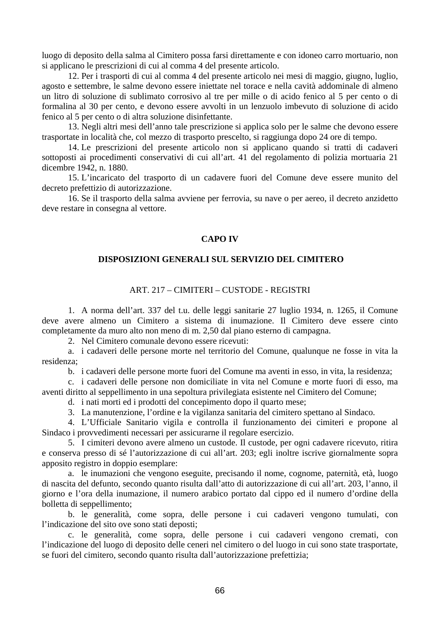luogo di deposito della salma al Cimitero possa farsi direttamente e con idoneo carro mortuario, non si applicano le prescrizioni di cui al comma 4 del presente articolo.

12. Per i trasporti di cui al comma 4 del presente articolo nei mesi di maggio, giugno, luglio, agosto e settembre, le salme devono essere iniettate nel torace e nella cavità addominale di almeno un litro di soluzione di sublimato corrosivo al tre per mille o di acido fenico al 5 per cento o di formalina al 30 per cento, e devono essere avvolti in un lenzuolo imbevuto di soluzione di acido fenico al 5 per cento o di altra soluzione disinfettante.

13. Negli altri mesi dell'anno tale prescrizione si applica solo per le salme che devono essere trasportate in località che, col mezzo di trasporto prescelto, si raggiunga dopo 24 ore di tempo.

14. Le prescrizioni del presente articolo non si applicano quando si tratti di cadaveri sottoposti ai procedimenti conservativi di cui all'art. 41 del regolamento di polizia mortuaria 21 dicembre 1942, n. 1880.

15. L'incaricato del trasporto di un cadavere fuori del Comune deve essere munito del decreto prefettizio di autorizzazione.

16. Se il trasporto della salma avviene per ferrovia, su nave o per aereo, il decreto anzidetto deve restare in consegna al vettore.

# **CAPO IV**

### **DISPOSIZIONI GENERALI SUL SERVIZIO DEL CIMITERO**

# ART. 217 – CIMITERI – CUSTODE - REGISTRI

1. A norma dell'art. 337 del t.u. delle leggi sanitarie 27 luglio 1934, n. 1265, il Comune deve avere almeno un Cimitero a sistema di inumazione. Il Cimitero deve essere cinto completamente da muro alto non meno di m. 2,50 dal piano esterno di campagna.

2. Nel Cimitero comunale devono essere ricevuti:

a. i cadaveri delle persone morte nel territorio del Comune, qualunque ne fosse in vita la residenza;

b. i cadaveri delle persone morte fuori del Comune ma aventi in esso, in vita, la residenza;

c. i cadaveri delle persone non domiciliate in vita nel Comune e morte fuori di esso, ma aventi diritto al seppellimento in una sepoltura privilegiata esistente nel Cimitero del Comune;

d. i nati morti ed i prodotti del concepimento dopo il quarto mese;

3. La manutenzione, l'ordine e la vigilanza sanitaria del cimitero spettano al Sindaco.

4. L'Ufficiale Sanitario vigila e controlla il funzionamento dei cimiteri e propone al Sindaco i provvedimenti necessari per assicurarne il regolare esercizio.

5. I cimiteri devono avere almeno un custode. Il custode, per ogni cadavere ricevuto, ritira e conserva presso di sé l'autorizzazione di cui all'art. 203; egli inoltre iscrive giornalmente sopra apposito registro in doppio esemplare:

a. le inumazioni che vengono eseguite, precisando il nome, cognome, paternità, età, luogo di nascita del defunto, secondo quanto risulta dall'atto di autorizzazione di cui all'art. 203, l'anno, il giorno e l'ora della inumazione, il numero arabico portato dal cippo ed il numero d'ordine della bolletta di seppellimento;

b. le generalità, come sopra, delle persone i cui cadaveri vengono tumulati, con l'indicazione del sito ove sono stati deposti;

c. le generalità, come sopra, delle persone i cui cadaveri vengono cremati, con l'indicazione del luogo di deposito delle ceneri nel cimitero o del luogo in cui sono state trasportate, se fuori del cimitero, secondo quanto risulta dall'autorizzazione prefettizia;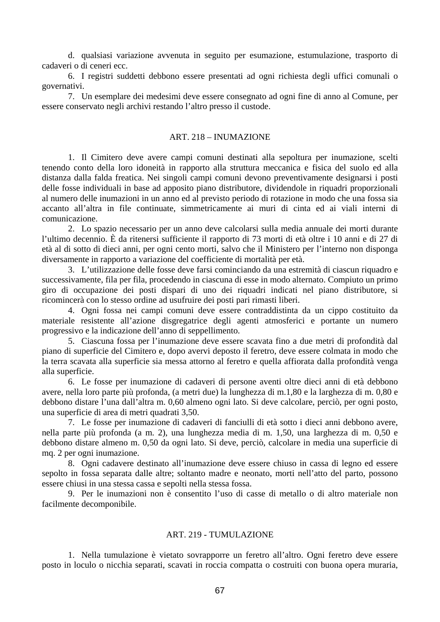d. qualsiasi variazione avvenuta in seguito per esumazione, estumulazione, trasporto di cadaveri o di ceneri ecc.

6. I registri suddetti debbono essere presentati ad ogni richiesta degli uffici comunali o governativi.

7. Un esemplare dei medesimi deve essere consegnato ad ogni fine di anno al Comune, per essere conservato negli archivi restando l'altro presso il custode.

### ART. 218 – INUMAZIONE

1. Il Cimitero deve avere campi comuni destinati alla sepoltura per inumazione, scelti tenendo conto della loro idoneità in rapporto alla struttura meccanica e fisica del suolo ed alla distanza dalla falda freatica. Nei singoli campi comuni devono preventivamente designarsi i posti delle fosse individuali in base ad apposito piano distributore, dividendole in riquadri proporzionali al numero delle inumazioni in un anno ed al previsto periodo di rotazione in modo che una fossa sia accanto all'altra in file continuate, simmetricamente ai muri di cinta ed ai viali interni di comunicazione.

2. Lo spazio necessario per un anno deve calcolarsi sulla media annuale dei morti durante l'ultimo decennio. È da ritenersi sufficiente il rapporto di 73 morti di età oltre i 10 anni e di 27 di età al di sotto di dieci anni, per ogni cento morti, salvo che il Ministero per l'interno non disponga diversamente in rapporto a variazione del coefficiente di mortalità per età.

3. L'utilizzazione delle fosse deve farsi cominciando da una estremità di ciascun riquadro e successivamente, fila per fila, procedendo in ciascuna di esse in modo alternato. Compiuto un primo giro di occupazione dei posti dispari di uno dei riquadri indicati nel piano distributore, si ricomincerà con lo stesso ordine ad usufruire dei posti pari rimasti liberi.

4. Ogni fossa nei campi comuni deve essere contraddistinta da un cippo costituito da materiale resistente all'azione disgregatrice degli agenti atmosferici e portante un numero progressivo e la indicazione dell'anno di seppellimento.

5. Ciascuna fossa per l'inumazione deve essere scavata fino a due metri di profondità dal piano di superficie del Cimitero e, dopo avervi deposto il feretro, deve essere colmata in modo che la terra scavata alla superficie sia messa attorno al feretro e quella affiorata dalla profondità venga alla superficie.

6. Le fosse per inumazione di cadaveri di persone aventi oltre dieci anni di età debbono avere, nella loro parte più profonda, (a metri due) la lunghezza di m.1,80 e la larghezza di m. 0,80 e debbono distare l'una dall'altra m. 0,60 almeno ogni lato. Si deve calcolare, perciò, per ogni posto, una superficie di area di metri quadrati 3,50.

7. Le fosse per inumazione di cadaveri di fanciulli di età sotto i dieci anni debbono avere, nella parte più profonda (a m. 2), una lunghezza media di m. 1,50, una larghezza di m. 0,50 e debbono distare almeno m. 0,50 da ogni lato. Si deve, perciò, calcolare in media una superficie di mq. 2 per ogni inumazione.

8. Ogni cadavere destinato all'inumazione deve essere chiuso in cassa di legno ed essere sepolto in fossa separata dalle altre; soltanto madre e neonato, morti nell'atto del parto, possono essere chiusi in una stessa cassa e sepolti nella stessa fossa.

9. Per le inumazioni non è consentito l'uso di casse di metallo o di altro materiale non facilmente decomponibile.

### ART. 219 - TUMULAZIONE

1. Nella tumulazione è vietato sovrapporre un feretro all'altro. Ogni feretro deve essere posto in loculo o nicchia separati, scavati in roccia compatta o costruiti con buona opera muraria,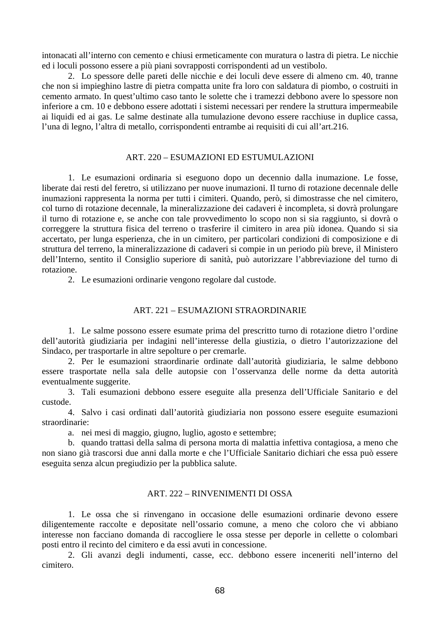intonacati all'interno con cemento e chiusi ermeticamente con muratura o lastra di pietra. Le nicchie ed i loculi possono essere a più piani sovrapposti corrispondenti ad un vestibolo.

2. Lo spessore delle pareti delle nicchie e dei loculi deve essere di almeno cm. 40, tranne che non si impieghino lastre di pietra compatta unite fra loro con saldatura di piombo, o costruiti in cemento armato. In quest'ultimo caso tanto le solette che i tramezzi debbono avere lo spessore non inferiore a cm. 10 e debbono essere adottati i sistemi necessari per rendere la struttura impermeabile ai liquidi ed ai gas. Le salme destinate alla tumulazione devono essere racchiuse in duplice cassa, l'una di legno, l'altra di metallo, corrispondenti entrambe ai requisiti di cui all'art.216.

### ART. 220 – ESUMAZIONI ED ESTUMULAZIONI

1. Le esumazioni ordinaria si eseguono dopo un decennio dalla inumazione. Le fosse, liberate dai resti del feretro, si utilizzano per nuove inumazioni. Il turno di rotazione decennale delle inumazioni rappresenta la norma per tutti i cimiteri. Quando, però, si dimostrasse che nel cimitero, col turno di rotazione decennale, la mineralizzazione dei cadaveri è incompleta, si dovrà prolungare il turno di rotazione e, se anche con tale provvedimento lo scopo non si sia raggiunto, si dovrà o correggere la struttura fisica del terreno o trasferire il cimitero in area più idonea. Quando si sia accertato, per lunga esperienza, che in un cimitero, per particolari condizioni di composizione e di struttura del terreno, la mineralizzazione di cadaveri si compie in un periodo più breve, il Ministero dell'Interno, sentito il Consiglio superiore di sanità, può autorizzare l'abbreviazione del turno di rotazione.

2. Le esumazioni ordinarie vengono regolare dal custode.

#### ART. 221 – ESUMAZIONI STRAORDINARIE

1. Le salme possono essere esumate prima del prescritto turno di rotazione dietro l'ordine dell'autorità giudiziaria per indagini nell'interesse della giustizia, o dietro l'autorizzazione del Sindaco, per trasportarle in altre sepolture o per cremarle.

2. Per le esumazioni straordinarie ordinate dall'autorità giudiziaria, le salme debbono essere trasportate nella sala delle autopsie con l'osservanza delle norme da detta autorità eventualmente suggerite.

3. Tali esumazioni debbono essere eseguite alla presenza dell'Ufficiale Sanitario e del custode.

4. Salvo i casi ordinati dall'autorità giudiziaria non possono essere eseguite esumazioni straordinarie:

a. nei mesi di maggio, giugno, luglio, agosto e settembre;

b. quando trattasi della salma di persona morta di malattia infettiva contagiosa, a meno che non siano già trascorsi due anni dalla morte e che l'Ufficiale Sanitario dichiari che essa può essere eseguita senza alcun pregiudizio per la pubblica salute.

### ART. 222 – RINVENIMENTI DI OSSA

1. Le ossa che si rinvengano in occasione delle esumazioni ordinarie devono essere diligentemente raccolte e depositate nell'ossario comune, a meno che coloro che vi abbiano interesse non facciano domanda di raccogliere le ossa stesse per deporle in cellette o colombari posti entro il recinto del cimitero e da essi avuti in concessione.

2. Gli avanzi degli indumenti, casse, ecc. debbono essere inceneriti nell'interno del cimitero.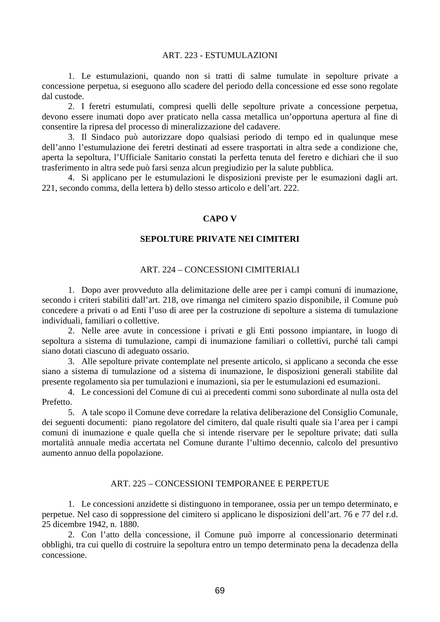### ART. 223 - ESTUMULAZIONI

1. Le estumulazioni, quando non si tratti di salme tumulate in sepolture private a concessione perpetua, si eseguono allo scadere del periodo della concessione ed esse sono regolate dal custode.

2. I feretri estumulati, compresi quelli delle sepolture private a concessione perpetua, devono essere inumati dopo aver praticato nella cassa metallica un'opportuna apertura al fine di consentire la ripresa del processo di mineralizzazione del cadavere.

3. Il Sindaco può autorizzare dopo qualsiasi periodo di tempo ed in qualunque mese dell'anno l'estumulazione dei feretri destinati ad essere trasportati in altra sede a condizione che, aperta la sepoltura, l'Ufficiale Sanitario constati la perfetta tenuta del feretro e dichiari che il suo trasferimento in altra sede può farsi senza alcun pregiudizio per la salute pubblica.

4. Si applicano per le estumulazioni le disposizioni previste per le esumazioni dagli art. 221, secondo comma, della lettera b) dello stesso articolo e dell'art. 222.

### **CAPO V**

### **SEPOLTURE PRIVATE NEI CIMITERI**

### ART. 224 – CONCESSIONI CIMITERIALI

1. Dopo aver provveduto alla delimitazione delle aree per i campi comuni di inumazione, secondo i criteri stabiliti dall'art. 218, ove rimanga nel cimitero spazio disponibile, il Comune può concedere a privati o ad Enti l'uso di aree per la costruzione di sepolture a sistema di tumulazione individuali, familiari o collettive.

2. Nelle aree avute in concessione i privati e gli Enti possono impiantare, in luogo di sepoltura a sistema di tumulazione, campi di inumazione familiari o collettivi, purché tali campi siano dotati ciascuno di adeguato ossario.

3. Alle sepolture private contemplate nel presente articolo, si applicano a seconda che esse siano a sistema di tumulazione od a sistema di inumazione, le disposizioni generali stabilite dal presente regolamento sia per tumulazioni e inumazioni, sia per le estumulazioni ed esumazioni.

4. Le concessioni del Comune di cui ai precedenti commi sono subordinate al nulla osta del Prefetto.

5. A tale scopo il Comune deve corredare la relativa deliberazione del Consiglio Comunale, dei seguenti documenti: piano regolatore del cimitero, dal quale risulti quale sia l'area per i campi comuni di inumazione e quale quella che si intende riservare per le sepolture private; dati sulla mortalità annuale media accertata nel Comune durante l'ultimo decennio, calcolo del presuntivo aumento annuo della popolazione.

## ART. 225 – CONCESSIONI TEMPORANEE E PERPETUE

1. Le concessioni anzidette si distinguono in temporanee, ossia per un tempo determinato, e perpetue. Nel caso di soppressione del cimitero si applicano le disposizioni dell'art. 76 e 77 del r.d. 25 dicembre 1942, n. 1880.

2. Con l'atto della concessione, il Comune può imporre al concessionario determinati obblighi, tra cui quello di costruire la sepoltura entro un tempo determinato pena la decadenza della concessione.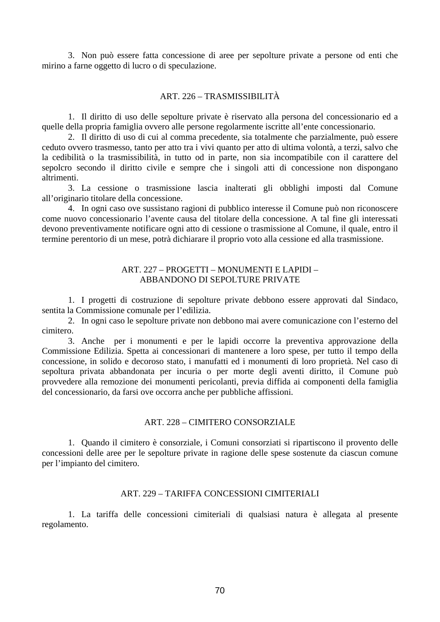3. Non può essere fatta concessione di aree per sepolture private a persone od enti che mirino a farne oggetto di lucro o di speculazione.

### ART. 226 – TRASMISSIBILITÀ

1. Il diritto di uso delle sepolture private è riservato alla persona del concessionario ed a quelle della propria famiglia ovvero alle persone regolarmente iscritte all'ente concessionario.

2. Il diritto di uso di cui al comma precedente, sia totalmente che parzialmente, può essere ceduto ovvero trasmesso, tanto per atto tra i vivi quanto per atto di ultima volontà, a terzi, salvo che la cedibilità o la trasmissibilità, in tutto od in parte, non sia incompatibile con il carattere del sepolcro secondo il diritto civile e sempre che i singoli atti di concessione non dispongano altrimenti.

3. La cessione o trasmissione lascia inalterati gli obblighi imposti dal Comune all'originario titolare della concessione.

4. In ogni caso ove sussistano ragioni di pubblico interesse il Comune può non riconoscere come nuovo concessionario l'avente causa del titolare della concessione. A tal fine gli interessati devono preventivamente notificare ogni atto di cessione o trasmissione al Comune, il quale, entro il termine perentorio di un mese, potrà dichiarare il proprio voto alla cessione ed alla trasmissione.

## ART. 227 – PROGETTI – MONUMENTI E LAPIDI – ABBANDONO DI SEPOLTURE PRIVATE

1. I progetti di costruzione di sepolture private debbono essere approvati dal Sindaco, sentita la Commissione comunale per l'edilizia.

2. In ogni caso le sepolture private non debbono mai avere comunicazione con l'esterno del cimitero.

3. Anche per i monumenti e per le lapidi occorre la preventiva approvazione della Commissione Edilizia. Spetta ai concessionari di mantenere a loro spese, per tutto il tempo della concessione, in solido e decoroso stato, i manufatti ed i monumenti di loro proprietà. Nel caso di sepoltura privata abbandonata per incuria o per morte degli aventi diritto, il Comune può provvedere alla remozione dei monumenti pericolanti, previa diffida ai componenti della famiglia del concessionario, da farsi ove occorra anche per pubbliche affissioni.

### ART. 228 – CIMITERO CONSORZIALE

1. Quando il cimitero è consorziale, i Comuni consorziati si ripartiscono il provento delle concessioni delle aree per le sepolture private in ragione delle spese sostenute da ciascun comune per l'impianto del cimitero.

## ART. 229 – TARIFFA CONCESSIONI CIMITERIALI

1. La tariffa delle concessioni cimiteriali di qualsiasi natura è allegata al presente regolamento.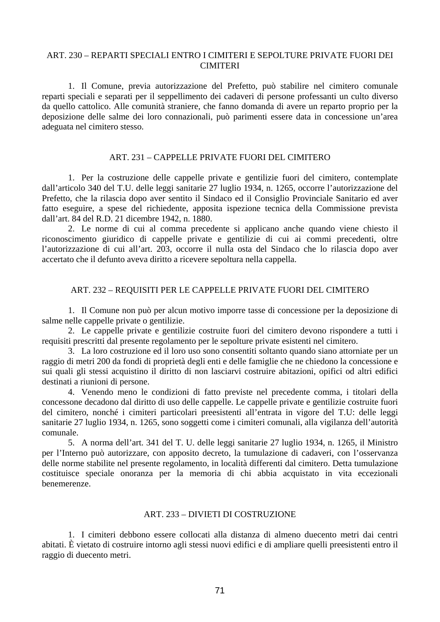# ART. 230 – REPARTI SPECIALI ENTRO I CIMITERI E SEPOLTURE PRIVATE FUORI DEI **CIMITERI**

1. Il Comune, previa autorizzazione del Prefetto, può stabilire nel cimitero comunale reparti speciali e separati per il seppellimento dei cadaveri di persone professanti un culto diverso da quello cattolico. Alle comunità straniere, che fanno domanda di avere un reparto proprio per la deposizione delle salme dei loro connazionali, può parimenti essere data in concessione un'area adeguata nel cimitero stesso.

### ART. 231 – CAPPELLE PRIVATE FUORI DEL CIMITERO

1. Per la costruzione delle cappelle private e gentilizie fuori del cimitero, contemplate dall'articolo 340 del T.U. delle leggi sanitarie 27 luglio 1934, n. 1265, occorre l'autorizzazione del Prefetto, che la rilascia dopo aver sentito il Sindaco ed il Consiglio Provinciale Sanitario ed aver fatto eseguire, a spese del richiedente, apposita ispezione tecnica della Commissione prevista dall'art. 84 del R.D. 21 dicembre 1942, n. 1880.

2. Le norme di cui al comma precedente si applicano anche quando viene chiesto il riconoscimento giuridico di cappelle private e gentilizie di cui ai commi precedenti, oltre l'autorizzazione di cui all'art. 203, occorre il nulla osta del Sindaco che lo rilascia dopo aver accertato che il defunto aveva diritto a ricevere sepoltura nella cappella.

## ART. 232 – REQUISITI PER LE CAPPELLE PRIVATE FUORI DEL CIMITERO

1. Il Comune non può per alcun motivo imporre tasse di concessione per la deposizione di salme nelle cappelle private o gentilizie.

2. Le cappelle private e gentilizie costruite fuori del cimitero devono rispondere a tutti i requisiti prescritti dal presente regolamento per le sepolture private esistenti nel cimitero.

3. La loro costruzione ed il loro uso sono consentiti soltanto quando siano attorniate per un raggio di metri 200 da fondi di proprietà degli enti e delle famiglie che ne chiedono la concessione e sui quali gli stessi acquistino il diritto di non lasciarvi costruire abitazioni, opifici od altri edifici destinati a riunioni di persone.

4. Venendo meno le condizioni di fatto previste nel precedente comma, i titolari della concessone decadono dal diritto di uso delle cappelle. Le cappelle private e gentilizie costruite fuori del cimitero, nonché i cimiteri particolari preesistenti all'entrata in vigore del T.U: delle leggi sanitarie 27 luglio 1934, n. 1265, sono soggetti come i cimiteri comunali, alla vigilanza dell'autorità comunale.

5. A norma dell'art. 341 del T. U. delle leggi sanitarie 27 luglio 1934, n. 1265, il Ministro per l'Interno può autorizzare, con apposito decreto, la tumulazione di cadaveri, con l'osservanza delle norme stabilite nel presente regolamento, in località differenti dal cimitero. Detta tumulazione costituisce speciale onoranza per la memoria di chi abbia acquistato in vita eccezionali benemerenze.

### ART. 233 – DIVIETI DI COSTRUZIONE

1. I cimiteri debbono essere collocati alla distanza di almeno duecento metri dai centri abitati. È vietato di costruire intorno agli stessi nuovi edifici e di ampliare quelli preesistenti entro il raggio di duecento metri.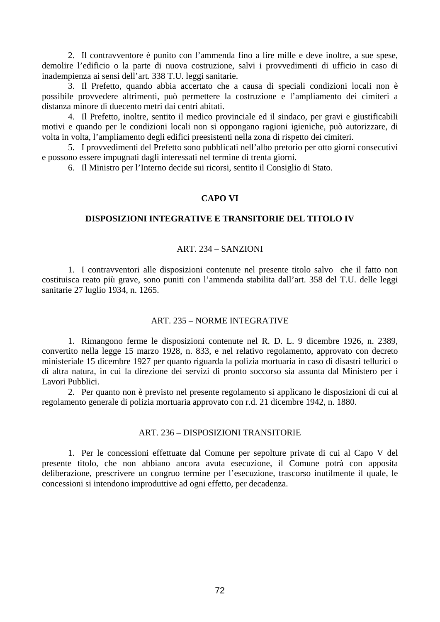2. Il contravventore è punito con l'ammenda fino a lire mille e deve inoltre, a sue spese, demolire l'edificio o la parte di nuova costruzione, salvi i provvedimenti di ufficio in caso di inadempienza ai sensi dell'art. 338 T.U. leggi sanitarie.

3. Il Prefetto, quando abbia accertato che a causa di speciali condizioni locali non è possibile provvedere altrimenti, può permettere la costruzione e l'ampliamento dei cimiteri a distanza minore di duecento metri dai centri abitati.

4. Il Prefetto, inoltre, sentito il medico provinciale ed il sindaco, per gravi e giustificabili motivi e quando per le condizioni locali non si oppongano ragioni igieniche, può autorizzare, di volta in volta, l'ampliamento degli edifici preesistenti nella zona di rispetto dei cimiteri.

5. I provvedimenti del Prefetto sono pubblicati nell'albo pretorio per otto giorni consecutivi e possono essere impugnati dagli interessati nel termine di trenta giorni.

6. Il Ministro per l'Interno decide sui ricorsi, sentito il Consiglio di Stato.

## **CAPO VI**

# **DISPOSIZIONI INTEGRATIVE E TRANSITORIE DEL TITOLO IV**

## ART. 234 – SANZIONI

1. I contravventori alle disposizioni contenute nel presente titolo salvo che il fatto non costituisca reato più grave, sono puniti con l'ammenda stabilita dall'art. 358 del T.U. delle leggi sanitarie 27 luglio 1934, n. 1265.

## ART. 235 – NORME INTEGRATIVE

1. Rimangono ferme le disposizioni contenute nel R. D. L. 9 dicembre 1926, n. 2389, convertito nella legge 15 marzo 1928, n. 833, e nel relativo regolamento, approvato con decreto ministeriale 15 dicembre 1927 per quanto riguarda la polizia mortuaria in caso di disastri tellurici o di altra natura, in cui la direzione dei servizi di pronto soccorso sia assunta dal Ministero per i Lavori Pubblici.

2. Per quanto non è previsto nel presente regolamento si applicano le disposizioni di cui al regolamento generale di polizia mortuaria approvato con r.d. 21 dicembre 1942, n. 1880.

## ART. 236 – DISPOSIZIONI TRANSITORIE

1. Per le concessioni effettuate dal Comune per sepolture private di cui al Capo V del presente titolo, che non abbiano ancora avuta esecuzione, il Comune potrà con apposita deliberazione, prescrivere un congruo termine per l'esecuzione, trascorso inutilmente il quale, le concessioni si intendono improduttive ad ogni effetto, per decadenza.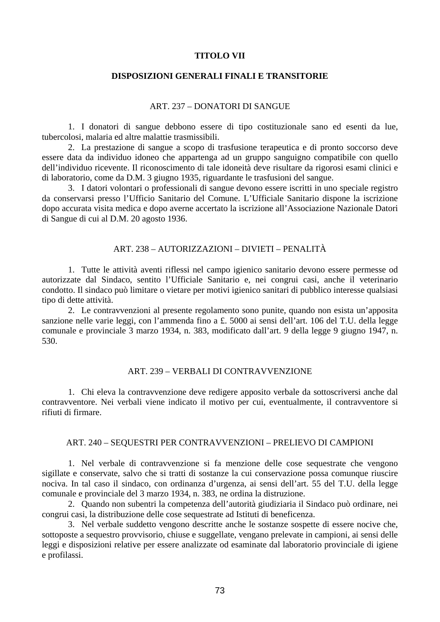### **TITOLO VII**

# **DISPOSIZIONI GENERALI FINALI E TRANSITORIE**

#### ART. 237 – DONATORI DI SANGUE

1. I donatori di sangue debbono essere di tipo costituzionale sano ed esenti da lue, tubercolosi, malaria ed altre malattie trasmissibili.

2. La prestazione di sangue a scopo di trasfusione terapeutica e di pronto soccorso deve essere data da individuo idoneo che appartenga ad un gruppo sanguigno compatibile con quello dell'individuo ricevente. Il riconoscimento di tale idoneità deve risultare da rigorosi esami clinici e di laboratorio, come da D.M. 3 giugno 1935, riguardante le trasfusioni del sangue.

3. I datori volontari o professionali di sangue devono essere iscritti in uno speciale registro da conservarsi presso l'Ufficio Sanitario del Comune. L'Ufficiale Sanitario dispone la iscrizione dopo accurata visita medica e dopo averne accertato la iscrizione all'Associazione Nazionale Datori di Sangue di cui al D.M. 20 agosto 1936.

## ART. 238 – AUTORIZZAZIONI – DIVIETI – PENALITÀ

1. Tutte le attività aventi riflessi nel campo igienico sanitario devono essere permesse od autorizzate dal Sindaco, sentito l'Ufficiale Sanitario e, nei congrui casi, anche il veterinario condotto. Il sindaco può limitare o vietare per motivi igienico sanitari di pubblico interesse qualsiasi tipo di dette attività.

2. Le contravvenzioni al presente regolamento sono punite, quando non esista un'apposita sanzione nelle varie leggi, con l'ammenda fino a £. 5000 ai sensi dell'art. 106 del T.U. della legge comunale e provinciale 3 marzo 1934, n. 383, modificato dall'art. 9 della legge 9 giugno 1947, n. 530.

### ART. 239 – VERBALI DI CONTRAVVENZIONE

1. Chi eleva la contravvenzione deve redigere apposito verbale da sottoscriversi anche dal contravventore. Nei verbali viene indicato il motivo per cui, eventualmente, il contravventore si rifiuti di firmare.

# ART. 240 – SEQUESTRI PER CONTRAVVENZIONI – PRELIEVO DI CAMPIONI

1. Nel verbale di contravvenzione si fa menzione delle cose sequestrate che vengono sigillate e conservate, salvo che si tratti di sostanze la cui conservazione possa comunque riuscire nociva. In tal caso il sindaco, con ordinanza d'urgenza, ai sensi dell'art. 55 del T.U. della legge comunale e provinciale del 3 marzo 1934, n. 383, ne ordina la distruzione.

2. Quando non subentri la competenza dell'autorità giudiziaria il Sindaco può ordinare, nei congrui casi, la distribuzione delle cose sequestrate ad Istituti di beneficenza.

3. Nel verbale suddetto vengono descritte anche le sostanze sospette di essere nocive che, sottoposte a sequestro provvisorio, chiuse e suggellate, vengano prelevate in campioni, ai sensi delle leggi e disposizioni relative per essere analizzate od esaminate dal laboratorio provinciale di igiene e profilassi.